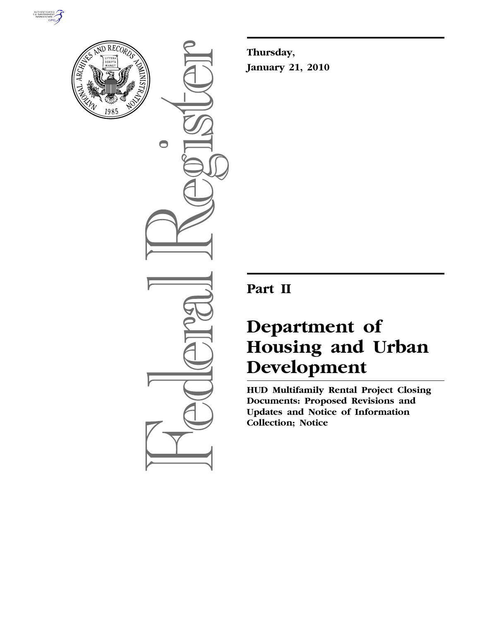



 $\bigcirc$ 

**Thursday, January 21, 2010** 

## **Part II**

# **Department of Housing and Urban Development**

**HUD Multifamily Rental Project Closing Documents: Proposed Revisions and Updates and Notice of Information Collection; Notice**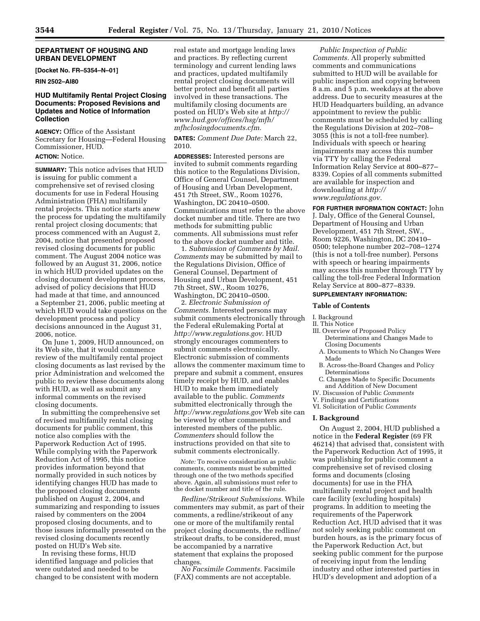## **DEPARTMENT OF HOUSING AND URBAN DEVELOPMENT**

**[Docket No. FR–5354–N–01]** 

**RIN 2502–AI80** 

## **HUD Multifamily Rental Project Closing Documents: Proposed Revisions and Updates and Notice of Information Collection**

**AGENCY:** Office of the Assistant Secretary for Housing—Federal Housing Commissioner, HUD. **ACTION:** Notice.

**SUMMARY:** This notice advises that HUD is issuing for public comment a comprehensive set of revised closing documents for use in Federal Housing Administration (FHA) multifamily rental projects. This notice starts anew the process for updating the multifamily rental project closing documents; that process commenced with an August 2, 2004, notice that presented proposed revised closing documents for public comment. The August 2004 notice was followed by an August 31, 2006, notice in which HUD provided updates on the closing document development process, advised of policy decisions that HUD had made at that time, and announced a September 21, 2006, public meeting at which HUD would take questions on the development process and policy decisions announced in the August 31, 2006, notice.

On June 1, 2009, HUD announced, on its Web site, that it would commence review of the multifamily rental project closing documents as last revised by the prior Administration and welcomed the public to review these documents along with HUD, as well as submit any informal comments on the revised closing documents.

In submitting the comprehensive set of revised multifamily rental closing documents for public comment, this notice also complies with the Paperwork Reduction Act of 1995. While complying with the Paperwork Reduction Act of 1995, this notice provides information beyond that normally provided in such notices by identifying changes HUD has made to the proposed closing documents published on August 2, 2004, and summarizing and responding to issues raised by commenters on the 2004 proposed closing documents, and to those issues informally presented on the revised closing documents recently posted on HUD's Web site.

In revising these forms, HUD identified language and policies that were outdated and needed to be changed to be consistent with modern

real estate and mortgage lending laws and practices. By reflecting current terminology and current lending laws and practices, updated multifamily rental project closing documents will better protect and benefit all parties involved in these transactions. The multifamily closing documents are posted on HUD's Web site at *http:// www.hud.gov/offices/hsg/mfh/ mfhclosingdocuments.cfm.* 

**DATES:** *Comment Due Date:* March 22, 2010.

**ADDRESSES:** Interested persons are invited to submit comments regarding this notice to the Regulations Division, Office of General Counsel, Department of Housing and Urban Development, 451 7th Street, SW., Room 10276, Washington, DC 20410–0500. Communications must refer to the above docket number and title. There are two methods for submitting public comments. All submissions must refer to the above docket number and title.

1. *Submission of Comments by Mail. Comments* may be submitted by mail to the Regulations Division, Office of General Counsel, Department of Housing and Urban Development, 451 7th Street, SW., Room 10276, Washington, DC 20410–0500.

2. *Electronic Submission of Comments.* Interested persons may submit comments electronically through the Federal eRulemaking Portal at *http://www.regulations.gov.* HUD strongly encourages commenters to submit comments electronically. Electronic submission of comments allows the commenter maximum time to prepare and submit a comment, ensures timely receipt by HUD, and enables HUD to make them immediately available to the public. *Comments*  submitted electronically through the *http://www.regulations.gov* Web site can be viewed by other commenters and interested members of the public. *Commenters* should follow the instructions provided on that site to submit comments electronically.

*Note:* To receive consideration as public comments, comments must be submitted through one of the two methods specified above. Again, all submissions must refer to the docket number and title of the rule.

*Redline/Strikeout Submissions.* While commenters may submit, as part of their comments, a redline/strikeout of any one or more of the multifamily rental project closing documents, the redline/ strikeout drafts, to be considered, must be accompanied by a narrative statement that explains the proposed changes.

*No Facsimile Comments.* Facsimile (FAX) comments are not acceptable.

*Public Inspection of Public Comments.* All properly submitted comments and communications submitted to HUD will be available for public inspection and copying between 8 a.m. and 5 p.m. weekdays at the above address. Due to security measures at the HUD Headquarters building, an advance appointment to review the public comments must be scheduled by calling the Regulations Division at 202–708– 3055 (this is not a toll-free number). Individuals with speech or hearing impairments may access this number via TTY by calling the Federal Information Relay Service at 800–877– 8339. Copies of all comments submitted are available for inspection and downloading at *http:// www.regulations.gov.* 

**FOR FURTHER INFORMATION CONTACT:** John J. Daly, Office of the General Counsel, Department of Housing and Urban Development, 451 7th Street, SW., Room 9226, Washington, DC 20410– 0500; telephone number 202–708–1274 (this is not a toll-free number). Persons with speech or hearing impairments may access this number through TTY by calling the toll-free Federal Information Relay Service at 800–877–8339.

## **SUPPLEMENTARY INFORMATION:**

#### **Table of Contents**

- I. Background
- II. This Notice
- III. Overview of Proposed Policy Determinations and Changes Made to Closing Documents
	- A. Documents to Which No Changes Were Made
	- B. Across-the-Board Changes and Policy Determinations
	- C. Changes Made to Specific Documents and Addition of New Document
- IV. Discussion of Public *Comments*
- V. Findings and Certifications
- VI. Solicitation of Public *Comments*

#### **I. Background**

On August 2, 2004, HUD published a notice in the **Federal Register** (69 FR 46214) that advised that, consistent with the Paperwork Reduction Act of 1995, it was publishing for public comment a comprehensive set of revised closing forms and documents (closing documents) for use in the FHA multifamily rental project and health care facility (excluding hospitals) programs. In addition to meeting the requirements of the Paperwork Reduction Act, HUD advised that it was not solely seeking public comment on burden hours, as is the primary focus of the Paperwork Reduction Act, but seeking public comment for the purpose of receiving input from the lending industry and other interested parties in HUD's development and adoption of a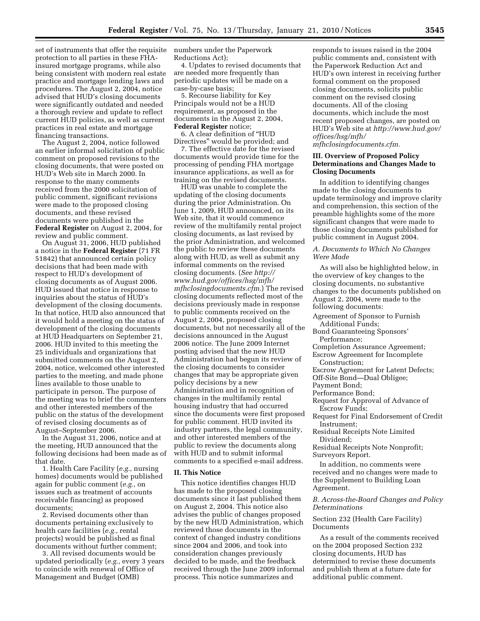set of instruments that offer the requisite protection to all parties in these FHAinsured mortgage programs, while also being consistent with modern real estate practice and mortgage lending laws and procedures. The August 2, 2004, notice advised that HUD's closing documents were significantly outdated and needed a thorough review and update to reflect current HUD policies, as well as current practices in real estate and mortgage financing transactions.

The August 2, 2004, notice followed an earlier informal solicitation of public comment on proposed revisions to the closing documents, that were posted on HUD's Web site in March 2000. In response to the many comments received from the 2000 solicitation of public comment, significant revisions were made to the proposed closing documents, and these revised documents were published in the **Federal Register** on August 2, 2004, for review and public comment.

On August 31, 2006, HUD published a notice in the **Federal Register** (71 FR 51842) that announced certain policy decisions that had been made with respect to HUD's development of closing documents as of August 2006. HUD issued that notice in response to inquiries about the status of HUD's development of the closing documents. In that notice, HUD also announced that it would hold a meeting on the status of development of the closing documents at HUD Headquarters on September 21, 2006. HUD invited to this meeting the 25 individuals and organizations that submitted comments on the August 2, 2004, notice, welcomed other interested parties to the meeting, and made phone lines available to those unable to participate in person. The purpose of the meeting was to brief the commenters and other interested members of the public on the status of the development of revised closing documents as of August–September 2006.

In the August 31, 2006, notice and at the meeting, HUD announced that the following decisions had been made as of that date.

1. Health Care Facility (*e.g.,* nursing homes) documents would be published again for public comment (*e.g.,* on issues such as treatment of accounts receivable financing) as proposed documents;

2. Revised documents other than documents pertaining exclusively to health care facilities (*e.g.,* rental projects) would be published as final documents without further comment;

3. All revised documents would be updated periodically (*e.g.,* every 3 years to coincide with renewal of Office of Management and Budget (OMB)

numbers under the Paperwork Reductions Act);

4. Updates to revised documents that are needed more frequently than periodic updates will be made on a case-by-case basis;

5. Recourse liability for Key Principals would not be a HUD requirement, as proposed in the documents in the August 2, 2004, **Federal Register** notice;

6. A clear definition of ''HUD Directives'' would be provided; and 7. The effective date for the revised documents would provide time for the processing of pending FHA mortgage insurance applications, as well as for training on the revised documents.

HUD was unable to complete the updating of the closing documents during the prior Administration. On June 1, 2009, HUD announced, on its Web site, that it would commence review of the multifamily rental project closing documents, as last revised by the prior Administration, and welcomed the public to review these documents along with HUD, as well as submit any informal comments on the revised closing documents. (*See http:// www.hud.gov/offices/hsg/mfh/ mfhclosingdocuments.cfm.*) The revised closing documents reflected most of the decisions previously made in response to public comments received on the August 2, 2004, proposed closing documents, but not necessarily all of the decisions announced in the August 2006 notice. The June 2009 Internet posting advised that the new HUD Administration had begun its review of the closing documents to consider changes that may be appropriate given policy decisions by a new Administration and in recognition of changes in the multifamily rental housing industry that had occurred since the documents were first proposed for public comment. HUD invited its industry partners, the legal community, and other interested members of the public to review the documents along with HUD and to submit informal comments to a specified e-mail address.

#### **II. This Notice**

This notice identifies changes HUD has made to the proposed closing documents since it last published them on August 2, 2004. This notice also advises the public of changes proposed by the new HUD Administration, which reviewed those documents in the context of changed industry conditions since 2004 and 2006, and took into consideration changes previously decided to be made, and the feedback received through the June 2009 informal process. This notice summarizes and

responds to issues raised in the 2004 public comments and, consistent with the Paperwork Reduction Act and HUD's own interest in receiving further formal comment on the proposed closing documents, solicits public comment on the revised closing documents. All of the closing documents, which include the most recent proposed changes, are posted on HUD's Web site at *http://www.hud.gov/ offices/hsg/mfh/ mfhclosingdocuments.cfm.* 

## **III. Overview of Proposed Policy Determinations and Changes Made to Closing Documents**

In addition to identifying changes made to the closing documents to update terminology and improve clarity and comprehension, this section of the preamble highlights some of the more significant changes that were made to those closing documents published for public comment in August 2004.

## *A. Documents to Which No Changes Were Made*

As will also be highlighted below, in the overview of key changes to the closing documents, no substantive changes to the documents published on August 2, 2004, were made to the following documents:

- Agreement of Sponsor to Furnish Additional Funds;
- Bond Guaranteeing Sponsors' Performance;
- Completion Assurance Agreement; Escrow Agreement for Incomplete
	- Construction;
- Escrow Agreement for Latent Defects;
- Off-Site Bond—Dual Obligee;
- Payment Bond;
- Performance Bond;
- Request for Approval of Advance of Escrow Funds;
- Request for Final Endorsement of Credit Instrument;
- Residual Receipts Note Limited Dividend;

Residual Receipts Note Nonprofit; Surveyors Report.

In addition, no comments were received and no changes were made to the Supplement to Building Loan Agreement.

## *B. Across-the-Board Changes and Policy Determinations*

Section 232 (Health Care Facility) Documents

As a result of the comments received on the 2004 proposed Section 232 closing documents, HUD has determined to revise these documents and publish them at a future date for additional public comment.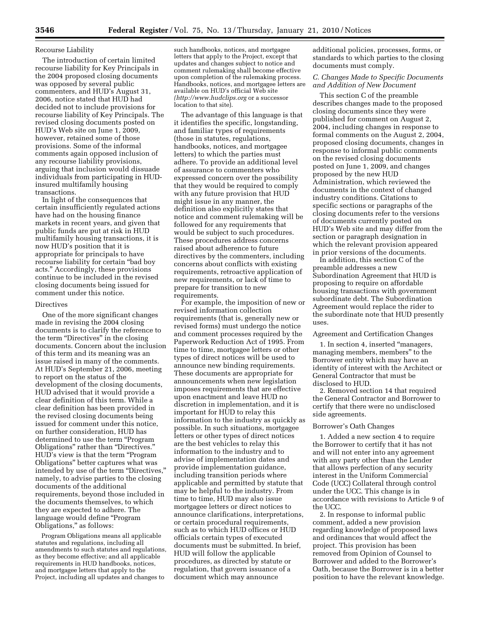#### Recourse Liability

The introduction of certain limited recourse liability for Key Principals in the 2004 proposed closing documents was opposed by several public commenters, and HUD's August 31, 2006, notice stated that HUD had decided not to include provisions for recourse liability of Key Principals. The revised closing documents posted on HUD's Web site on June 1, 2009, however, retained some of those provisions. Some of the informal comments again opposed inclusion of any recourse liability provisions, arguing that inclusion would dissuade individuals from participating in HUDinsured multifamily housing transactions.

In light of the consequences that certain insufficiently regulated actions have had on the housing finance markets in recent years, and given that public funds are put at risk in HUD multifamily housing transactions, it is now HUD's position that it is appropriate for principals to have recourse liability for certain ''bad boy acts.'' Accordingly, these provisions continue to be included in the revised closing documents being issued for comment under this notice.

#### Directives

One of the more significant changes made in revising the 2004 closing documents is to clarify the reference to the term ''Directives'' in the closing documents. Concern about the inclusion of this term and its meaning was an issue raised in many of the comments. At HUD's September 21, 2006, meeting to report on the status of the development of the closing documents, HUD advised that it would provide a clear definition of this term. While a clear definition has been provided in the revised closing documents being issued for comment under this notice, on further consideration, HUD has determined to use the term ''Program Obligations'' rather than ''Directives.'' HUD's view is that the term ''Program Obligations'' better captures what was intended by use of the term "Directives," namely, to advise parties to the closing documents of the additional requirements, beyond those included in the documents themselves, to which they are expected to adhere. The language would define "Program Obligations,'' as follows:

Program Obligations means all applicable statutes and regulations, including all amendments to such statutes and regulations, as they become effective; and all applicable requirements in HUD handbooks, notices, and mortgagee letters that apply to the Project, including all updates and changes to

such handbooks, notices, and mortgagee letters that apply to the Project, except that updates and changes subject to notice and comment rulemaking shall become effective upon completion of the rulemaking process. Handbooks, notices, and mortgagee letters are available on HUD's official Web site *(http://www.hudclips.org* or a successor location to that site).

The advantage of this language is that it identifies the specific, longstanding, and familiar types of requirements (those in statutes, regulations, handbooks, notices, and mortgagee letters) to which the parties must adhere. To provide an additional level of assurance to commenters who expressed concern over the possibility that they would be required to comply with any future provision that HUD might issue in any manner, the definition also explicitly states that notice and comment rulemaking will be followed for any requirements that would be subject to such procedures. These procedures address concerns raised about adherence to future directives by the commenters, including concerns about conflicts with existing requirements, retroactive application of new requirements, or lack of time to prepare for transition to new requirements.

For example, the imposition of new or revised information collection requirements (that is, generally new or revised forms) must undergo the notice and comment processes required by the Paperwork Reduction Act of 1995. From time to time, mortgagee letters or other types of direct notices will be used to announce new binding requirements. These documents are appropriate for announcements when new legislation imposes requirements that are effective upon enactment and leave HUD no discretion in implementation, and it is important for HUD to relay this information to the industry as quickly as possible. In such situations, mortgagee letters or other types of direct notices are the best vehicles to relay this information to the industry and to advise of implementation dates and provide implementation guidance, including transition periods where applicable and permitted by statute that may be helpful to the industry. From time to time, HUD may also issue mortgagee letters or direct notices to announce clarifications, interpretations, or certain procedural requirements, such as to which HUD offices or HUD officials certain types of executed documents must be submitted. In brief, HUD will follow the applicable procedures, as directed by statute or regulation, that govern issuance of a document which may announce

additional policies, processes, forms, or standards to which parties to the closing documents must comply.

## *C. Changes Made to Specific Documents and Addition of New Document*

This section C of the preamble describes changes made to the proposed closing documents since they were published for comment on August 2, 2004, including changes in response to formal comments on the August 2, 2004, proposed closing documents, changes in response to informal public comments on the revised closing documents posted on June 1, 2009, and changes proposed by the new HUD Administration, which reviewed the documents in the context of changed industry conditions. Citations to specific sections or paragraphs of the closing documents refer to the versions of documents currently posted on HUD's Web site and may differ from the section or paragraph designation in which the relevant provision appeared in prior versions of the documents.

In addition, this section C of the preamble addresses a new Subordination Agreement that HUD is proposing to require on affordable housing transactions with government subordinate debt. The Subordination Agreement would replace the rider to the subordinate note that HUD presently uses.

#### Agreement and Certification Changes

1. In section 4, inserted ''managers, managing members, members'' to the Borrower entity which may have an identity of interest with the Architect or General Contractor that must be disclosed to HUD.

2. Removed section 14 that required the General Contractor and Borrower to certify that there were no undisclosed side agreements.

#### Borrower's Oath Changes

1. Added a new section 4 to require the Borrower to certify that it has not and will not enter into any agreement with any party other than the Lender that allows perfection of any security interest in the Uniform Commercial Code (UCC) Collateral through control under the UCC. This change is in accordance with revisions to Article 9 of the UCC.

2. In response to informal public comment, added a new provision regarding knowledge of proposed laws and ordinances that would affect the project. This provision has been removed from Opinion of Counsel to Borrower and added to the Borrower's Oath, because the Borrower is in a better position to have the relevant knowledge.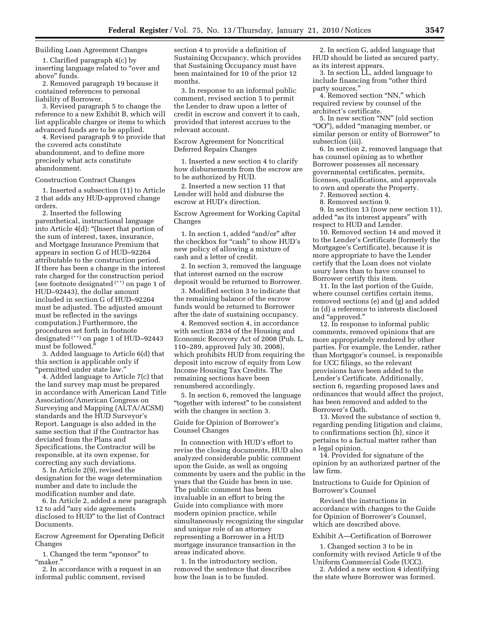## Building Loan Agreement Changes

1. Clarified paragraph 4(c) by inserting language related to ''over and above'' funds.

2. Removed paragraph 19 because it contained references to personal liability of Borrower.

3. Revised paragraph 5 to change the reference to a new Exhibit B, which will list applicable charges or items to which advanced funds are to be applied.

4. Revised paragraph 9 to provide that the covered acts constitute abandonment, and to define more precisely what acts constitute abandonment.

#### Construction Contract Changes

1. Inserted a subsection (11) to Article 2 that adds any HUD-approved change orders.

2. Inserted the following parenthetical, instructional language into Article 4(d): ''(Insert that portion of the sum of interest, taxes, insurance, and Mortgage Insurance Premium that appears in section G of HUD–92264 attributable to the construction period. If there has been a change in the interest rate charged for the construction period (see footnote designated (\*\*) on page 1 of HUD–92443), the dollar amount included in section G of HUD–92264 must be adjusted. The adjusted amount must be reflected in the savings computation.) Furthermore, the procedures set forth in footnote designated (\*\*) on page 1 of HUD–92443 must be followed.''

3. Added language to Article 6(d) that this section is applicable only if ''permitted under state law.''

4. Added language to Article 7(c) that the land survey map must be prepared in accordance with American Land Title Association/American Congress on Surveying and Mapping (ALTA/ACSM) standards and the HUD Surveyor's Report. Language is also added in the same section that if the Contractor has deviated from the Plans and Specifications, the Contractor will be responsible, at its own expense, for correcting any such deviations.

5. In Article 2(9), revised the designation for the wage determination number and date to include the modification number and date.

6. In Article 2, added a new paragraph 12 to add ''any side agreements disclosed to HUD'' to the list of Contract Documents.

Escrow Agreement for Operating Deficit Changes

1. Changed the term ''sponsor'' to ''maker.''

2. In accordance with a request in an informal public comment, revised

section 4 to provide a definition of Sustaining Occupancy, which provides that Sustaining Occupancy must have been maintained for 10 of the prior 12 months.

3. In response to an informal public comment, revised section 5 to permit the Lender to draw upon a letter of credit in escrow and convert it to cash, provided that interest accrues to the relevant account.

Escrow Agreement for Noncritical Deferred Repairs Changes

1. Inserted a new section 4 to clarify how disbursements from the escrow are to be authorized by HUD.

2. Inserted a new section 11 that Lender will hold and disburse the escrow at HUD's direction.

Escrow Agreement for Working Capital Changes

1. In section 1, added ''and/or'' after the checkbox for "cash" to show HUD's new policy of allowing a mixture of cash and a letter of credit.

2. In section 3, removed the language that interest earned on the escrow deposit would be returned to Borrower.

3. Modified section 3 to indicate that the remaining balance of the escrow funds would be returned to Borrower after the date of sustaining occupancy.

4. Removed section 4, in accordance with section 2834 of the Housing and Economic Recovery Act of 2008 (Pub. L. 110–289, approved July 30, 2008), which prohibits HUD from requiring the deposit into escrow of equity from Low Income Housing Tax Credits. The remaining sections have been renumbered accordingly.

5. In section 6, removed the language "together with interest" to be consistent with the changes in section 3.

#### Guide for Opinion of Borrower's Counsel Changes

In connection with HUD's effort to revise the closing documents, HUD also analyzed considerable public comment upon the Guide, as well as ongoing comments by users and the public in the years that the Guide has been in use. The public comment has been invaluable in an effort to bring the Guide into compliance with more modern opinion practice, while simultaneously recognizing the singular and unique role of an attorney representing a Borrower in a HUD mortgage insurance transaction in the areas indicated above.

1. In the introductory section, removed the sentence that describes how the loan is to be funded.

2. In section G, added language that HUD should be listed as secured party, as its interest appears.

3. In section LL, added language to include financing from ''other third party sources.''

4. Removed section ''NN,'' which required review by counsel of the architect's certificate.

5. In new section ''NN'' (old section ''OO''), added ''managing member, or similar person or entity of Borrower'' to subsection (iii).

6. In section 2, removed language that has counsel opining as to whether Borrower possesses all necessary governmental certificates, permits, licenses, qualifications, and approvals to own and operate the Property.

7. Removed section 4.

8. Removed section 9.

9. In section 13 (now new section 11), added ''as its interest appears'' with respect to HUD and Lender.

10. Removed section 14 and moved it to the Lender's Certificate (formerly the Mortgagee's Certificate), because it is more appropriate to have the Lender certify that the Loan does not violate usury laws than to have counsel to Borrower certify this item.

11. In the last portion of the Guide, where counsel certifies certain items, removed sections (e) and (g) and added in (d) a reference to interests disclosed and ''approved.''

12. In response to informal public comments, removed opinions that are more appropriately rendered by other parties. For example, the Lender, rather than Mortgagor's counsel, is responsible for UCC filings, so the relevant provisions have been added to the Lender's Certificate. Additionally, section 6, regarding proposed laws and ordinances that would affect the project, has been removed and added to the Borrower's Oath.

13. Moved the substance of section 9, regarding pending litigation and claims, to confirmations section (h), since it pertains to a factual matter rather than a legal opinion.

14. Provided for signature of the opinion by an authorized partner of the law firm.

Instructions to Guide for Opinion of Borrower's Counsel

Revised the instructions in accordance with changes to the Guide for Opinion of Borrower's Counsel, which are described above.

#### Exhibit A—Certification of Borrower

1. Changed section 3 to be in conformity with revised Article 9 of the Uniform Commercial Code (UCC).

2. Added a new section 4 identifying the state where Borrower was formed.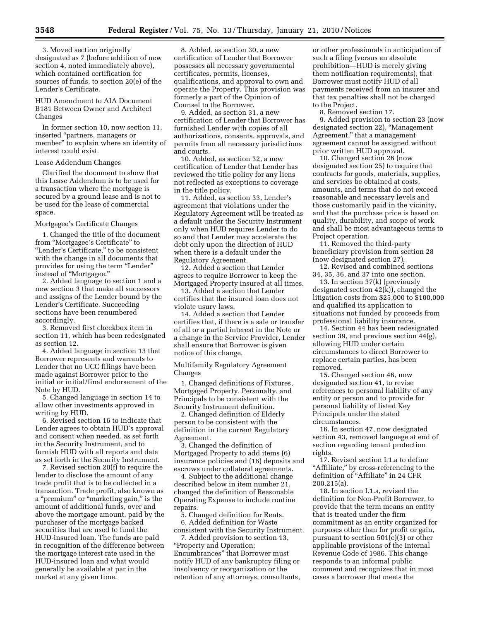3. Moved section originally designated as 7 (before addition of new section 4, noted immediately above), which contained certification for sources of funds, to section 20(e) of the Lender's Certificate.

HUD Amendment to AIA Document B181 Between Owner and Architect Changes

In former section 10, now section 11, inserted ''partners, managers or member'' to explain where an identity of interest could exist.

#### Lease Addendum Changes

Clarified the document to show that this Lease Addendum is to be used for a transaction where the mortgage is secured by a ground lease and is not to be used for the lease of commercial space.

#### Mortgagee's Certificate Changes

1. Changed the title of the document from ''Mortgagee's Certificate'' to "Lender's Certificate," to be consistent with the change in all documents that provides for using the term ''Lender'' instead of ''Mortgagee.''

2. Added language to section 1 and a new section 3 that make all successors and assigns of the Lender bound by the Lender's Certificate. Succeeding sections have been renumbered accordingly.

3. Removed first checkbox item in section 11, which has been redesignated as section 12.

4. Added language in section 13 that Borrower represents and warrants to Lender that no UCC filings have been made against Borrower prior to the initial or initial/final endorsement of the Note by HUD.

5. Changed language in section 14 to allow other investments approved in writing by HUD.

6. Revised section 16 to indicate that Lender agrees to obtain HUD's approval and consent when needed, as set forth in the Security Instrument, and to furnish HUD with all reports and data as set forth in the Security Instrument.

7. Revised section 20(f) to require the lender to disclose the amount of any trade profit that is to be collected in a transaction. Trade profit, also known as a "premium" or "marketing gain," is the amount of additional funds, over and above the mortgage amount, paid by the purchaser of the mortgage backed securities that are used to fund the HUD-insured loan. The funds are paid in recognition of the difference between the mortgage interest rate used in the HUD-insured loan and what would generally be available at par in the market at any given time.

8. Added, as section 30, a new certification of Lender that Borrower possesses all necessary governmental certificates, permits, licenses, qualifications, and approval to own and operate the Property. This provision was formerly a part of the Opinion of Counsel to the Borrower.

9. Added, as section 31, a new certification of Lender that Borrower has furnished Lender with copies of all authorizations, consents, approvals, and permits from all necessary jurisdictions and courts.

10. Added, as section 32, a new certification of Lender that Lender has reviewed the title policy for any liens not reflected as exceptions to coverage in the title policy.

11. Added, as section 33, Lender's agreement that violations under the Regulatory Agreement will be treated as a default under the Security Instrument only when HUD requires Lender to do so and that Lender may accelerate the debt only upon the direction of HUD when there is a default under the Regulatory Agreement.

12. Added a section that Lender agrees to require Borrower to keep the Mortgaged Property insured at all times.

13. Added a section that Lender certifies that the insured loan does not violate usury laws.

14. Added a section that Lender certifies that, if there is a sale or transfer of all or a partial interest in the Note or a change in the Service Provider, Lender shall ensure that Borrower is given notice of this change.

Multifamily Regulatory Agreement Changes

1. Changed definitions of Fixtures, Mortgaged Property, Personalty, and Principals to be consistent with the Security Instrument definition.

2. Changed definition of Elderly person to be consistent with the definition in the current Regulatory Agreement.

3. Changed the definition of Mortgaged Property to add items (6) insurance policies and (16) deposits and escrows under collateral agreements.

4. Subject to the additional change described below in item number 21, changed the definition of Reasonable Operating Expense to include routine repairs.

5. Changed definition for Rents.

6. Added definition for Waste consistent with the Security Instrument.

7. Added provision to section 13, ''Property and Operation; Encumbrances'' that Borrower must notify HUD of any bankruptcy filing or insolvency or reorganization or the retention of any attorneys, consultants,

or other professionals in anticipation of such a filing (versus an absolute prohibition—HUD is merely giving them notification requirements), that Borrower must notify HUD of all payments received from an insurer and that tax penalties shall not be charged to the Project.

8. Removed section 17.

9. Added provision to section 23 (now designated section 22), ''Management Agreement,'' that a management agreement cannot be assigned without prior written HUD approval.

10. Changed section 26 (now designated section 25) to require that contracts for goods, materials, supplies, and services be obtained at costs, amounts, and terms that do not exceed reasonable and necessary levels and those customarily paid in the vicinity, and that the purchase price is based on quality, durability, and scope of work and shall be most advantageous terms to Project operation.

11. Removed the third-party beneficiary provision from section 28 (now designated section 27).

12. Revised and combined sections 34, 35, 36, and 37 into one section.

13. In section 37(k) (previously designated section 42(k)), changed the litigation costs from \$25,000 to \$100,000 and qualified its application to situations not funded by proceeds from professional liability insurance.

14. Section 44 has been redesignated section 39, and previous section 44(g), allowing HUD under certain circumstances to direct Borrower to replace certain parties, has been removed.

15. Changed section 46, now designated section 41, to revise references to personal liability of any entity or person and to provide for personal liability of listed Key Principals under the stated circumstances.

16. In section 47, now designated section 43, removed language at end of section regarding tenant protection rights.

17. Revised section I.1.a to define ''Affiliate,'' by cross-referencing to the definition of "Affiliate" in 24 CFR 200.215(a).

18. In section I.1.s, revised the definition for Non-Profit Borrower, to provide that the term means an entity that is treated under the firm commitment as an entity organized for purposes other than for profit or gain, pursuant to section  $501(c)(3)$  or other applicable provisions of the Internal Revenue Code of 1986. This change responds to an informal public comment and recognizes that in most cases a borrower that meets the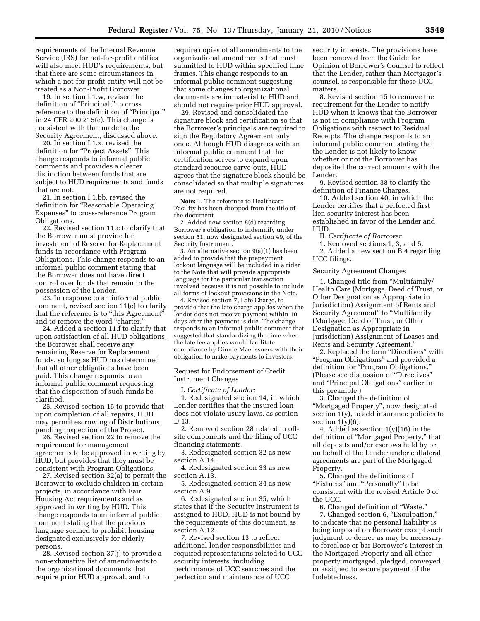requirements of the Internal Revenue Service (IRS) for not-for-profit entities will also meet HUD's requirements, but that there are some circumstances in which a not-for-profit entity will not be treated as a Non-Profit Borrower.

19. In section I.1.w, revised the definition of ''Principal,'' to cross reference to the definition of ''Principal'' in 24 CFR 200.215(e). This change is consistent with that made to the Security Agreement, discussed above.

20. In section I.1.x, revised the definition for "Project Assets". This change responds to informal public comments and provides a clearer distinction between funds that are subject to HUD requirements and funds that are not.

21. In section I.1.bb, revised the definition for ''Reasonable Operating Expenses'' to cross-reference Program Obligations.

22. Revised section 11.c to clarify that the Borrower must provide for investment of Reserve for Replacement funds in accordance with Program Obligations. This change responds to an informal public comment stating that the Borrower does not have direct control over funds that remain in the possession of the Lender.

23. In response to an informal public comment, revised section 11(e) to clarify that the reference is to "this Agreement" and to remove the word ''charter.''

24. Added a section 11.f to clarify that upon satisfaction of all HUD obligations, the Borrower shall receive any remaining Reserve for Replacement funds, so long as HUD has determined that all other obligations have been paid. This change responds to an informal public comment requesting that the disposition of such funds be clarified.

25. Revised section 15 to provide that upon completion of all repairs, HUD may permit escrowing of Distributions, pending inspection of the Project.

26. Revised section 22 to remove the requirement for management agreements to be approved in writing by HUD, but provides that they must be consistent with Program Obligations.

27. Revised section 32(a) to permit the Borrower to exclude children in certain projects, in accordance with Fair Housing Act requirements and as approved in writing by HUD. This change responds to an informal public comment stating that the previous language seemed to prohibit housing designated exclusively for elderly persons.

28. Revised section 37(j) to provide a non-exhaustive list of amendments to the organizational documents that require prior HUD approval, and to

require copies of all amendments to the organizational amendments that must submitted to HUD within specified time frames. This change responds to an informal public comment suggesting that some changes to organizational documents are immaterial to HUD and should not require prior HUD approval.

29. Revised and consolidated the signature block and certification so that the Borrower's principals are required to sign the Regulatory Agreement only once. Although HUD disagrees with an informal public comment that the certification serves to expand upon standard recourse carve-outs, HUD agrees that the signature block should be consolidated so that multiple signatures are not required.

**Note:** 1. The reference to Healthcare Facility has been dropped from the title of the document.

2. Added new section 8(d) regarding Borrower's obligation to indemnify under section 51, now designated section 49, of the Security Instrument.

3. An alternative section 9(a)(1) has been added to provide that the prepayment lockout language will be included in a rider to the Note that will provide appropriate language for the particular transaction involved because it is not possible to include all forms of lockout provisions in the Note.

4. Revised section 7, Late Charge, to provide that the late charge applies when the lender does not receive payment within 10 days after the payment is due. The change responds to an informal public comment that suggested that standardizing the time when the late fee applies would facilitate compliance  $\overrightarrow{by}$  Ginnie Mae issuers with their obligation to make payments to investors.

Request for Endorsement of Credit Instrument Changes

I. *Certificate of Lender:* 

1. Redesignated section 14, in which Lender certifies that the insured loan does not violate usury laws, as section D.13.

2. Removed section 28 related to offsite components and the filing of UCC financing statements.

3. Redesignated section 32 as new section A 14

4. Redesignated section 33 as new section A.13.

5. Redesignated section 34 as new section A.9.

6. Redesignated section 35, which states that if the Security Instrument is assigned to HUD, HUD is not bound by the requirements of this document, as section A.12.

7. Revised section 13 to reflect additional lender responsibilities and required representations related to UCC security interests, including performance of UCC searches and the perfection and maintenance of UCC

security interests. The provisions have been removed from the Guide for Opinion of Borrower's Counsel to reflect that the Lender, rather than Mortgagor's counsel, is responsible for these UCC matters.

8. Revised section 15 to remove the requirement for the Lender to notify HUD when it knows that the Borrower is not in compliance with Program Obligations with respect to Residual Receipts. The change responds to an informal public comment stating that the Lender is not likely to know whether or not the Borrower has deposited the correct amounts with the Lender.

9. Revised section 38 to clarify the definition of Finance Charges.

10. Added section 40, in which the Lender certifies that a perfected first lien security interest has been established in favor of the Lender and HUD.

II. *Certificate of Borrower:* 

1. Removed sections 1, 3, and 5.

2. Added a new section B.4 regarding UCC filings.

Security Agreement Changes

1. Changed title from ''Multifamily/ Health Care (Mortgage, Deed of Trust, or Other Designation as Appropriate in Jurisdiction) Assignment of Rents and Security Agreement" to "Multifamily (Mortgage, Deed of Trust, or Other Designation as Appropriate in Jurisdiction) Assignment of Leases and Rents and Security Agreement.''

2. Replaced the term ''Directives'' with ''Program Obligations'' and provided a definition for "Program Obligations." (Please see discussion of ''Directives'' and ''Principal Obligations'' earlier in this preamble.)

3. Changed the definition of ''Mortgaged Property'', now designated section  $1(y)$ , to add insurance policies to section  $1(y)(6)$ .

4. Added as section 1(y)(16) in the definition of ''Mortgaged Property,'' that all deposits and/or escrows held by or on behalf of the Lender under collateral agreements are part of the Mortgaged Property.

5. Changed the definitions of ''Fixtures'' and ''Personalty'' to be consistent with the revised Article 9 of the UCC.

6. Changed definition of ''Waste.'' 7. Changed section 6, "Exculpation," to indicate that no personal liability is being imposed on Borrower except such judgment or decree as may be necessary to foreclose or bar Borrower's interest in the Mortgaged Property and all other property mortgaged, pledged, conveyed, or assigned to secure payment of the Indebtedness.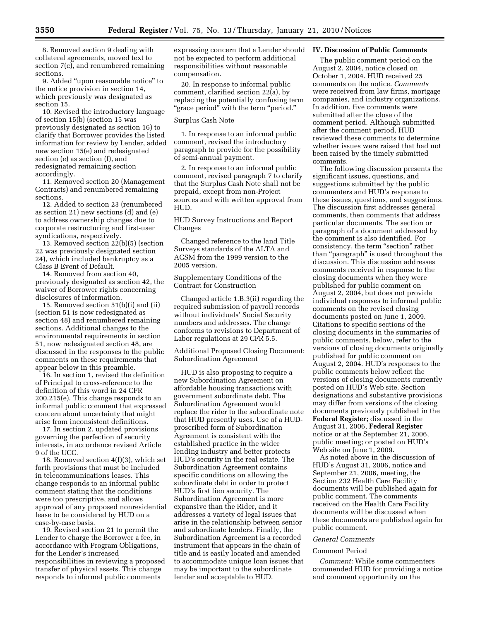8. Removed section 9 dealing with collateral agreements, moved text to section 7(c), and renumbered remaining sections.

9. Added ''upon reasonable notice'' to the notice provision in section 14, which previously was designated as section 15.

10. Revised the introductory language of section 15(b) (section 15 was previously designated as section 16) to clarify that Borrower provides the listed information for review by Lender, added new section 15(e) and redesignated section (e) as section (f), and redesignated remaining section accordingly.

11. Removed section 20 (Management Contracts) and renumbered remaining sections.

12. Added to section 23 (renumbered as section 21) new sections (d) and (e) to address ownership changes due to corporate restructuring and first-user syndications, respectively.

13. Removed section 22(b)(5) (section 22 was previously designated section 24), which included bankruptcy as a Class B Event of Default.

14. Removed from section 40, previously designated as section 42, the waiver of Borrower rights concerning disclosures of information.

15. Removed section 51(b)(i) and (ii) (section 51 is now redesignated as section 48) and renumbered remaining sections. Additional changes to the environmental requirements in section 51, now redesignated section 48, are discussed in the responses to the public comments on these requirements that appear below in this preamble.

16. In section 1, revised the definition of Principal to cross-reference to the definition of this word in 24 CFR 200.215(e). This change responds to an informal public comment that expressed concern about uncertainty that might arise from inconsistent definitions.

17. In section 2, updated provisions governing the perfection of security interests, in accordance revised Article 9 of the UCC.

18. Removed section 4(f)(3), which set forth provisions that must be included in telecommunications leases. This change responds to an informal public comment stating that the conditions were too prescriptive, and allows approval of any proposed nonresidential lease to be considered by HUD on a case-by-case basis.

19. Revised section 21 to permit the Lender to charge the Borrower a fee, in accordance with Program Obligations, for the Lender's increased responsibilities in reviewing a proposed transfer of physical assets. This change responds to informal public comments

expressing concern that a Lender should not be expected to perform additional responsibilities without reasonable compensation.

20. In response to informal public comment, clarified section 22(a), by replacing the potentially confusing term ''grace period'' with the term ''period.''

## Surplus Cash Note

1. In response to an informal public comment, revised the introductory paragraph to provide for the possibility of semi-annual payment.

2. In response to an informal public comment, revised paragraph 7 to clarify that the Surplus Cash Note shall not be prepaid, except from non-Project sources and with written approval from HUD.

HUD Survey Instructions and Report Changes

Changed reference to the land Title Surveys standards of the ALTA and ACSM from the 1999 version to the 2005 version.

## Supplementary Conditions of the Contract for Construction

Changed article 1.B.3(ii) regarding the required submission of payroll records without individuals' Social Security numbers and addresses. The change conforms to revisions to Department of Labor regulations at 29 CFR 5.5.

Additional Proposed Closing Document: Subordination Agreement

HUD is also proposing to require a new Subordination Agreement on affordable housing transactions with government subordinate debt. The Subordination Agreement would replace the rider to the subordinate note that HUD presently uses. Use of a HUDproscribed form of Subordination Agreement is consistent with the established practice in the wider lending industry and better protects HUD's security in the real estate. The Subordination Agreement contains specific conditions on allowing the subordinate debt in order to protect HUD's first lien security. The Subordination Agreement is more expansive than the Rider, and it addresses a variety of legal issues that arise in the relationship between senior and subordinate lenders. Finally, the Subordination Agreement is a recorded instrument that appears in the chain of title and is easily located and amended to accommodate unique loan issues that may be important to the subordinate lender and acceptable to HUD.

## **IV. Discussion of Public Comments**

The public comment period on the August 2, 2004, notice closed on October 1, 2004. HUD received 25 comments on the notice. *Comments*  were received from law firms, mortgage companies, and industry organizations. In addition, five comments were submitted after the close of the comment period. Although submitted after the comment period, HUD reviewed these comments to determine whether issues were raised that had not been raised by the timely submitted comments.

The following discussion presents the significant issues, questions, and suggestions submitted by the public commenters and HUD's response to these issues, questions, and suggestions. The discussion first addresses general comments, then comments that address particular documents. The section or paragraph of a document addressed by the comment is also identified. For consistency, the term "section" rather than ''paragraph'' is used throughout the discussion. This discussion addresses comments received in response to the closing documents when they were published for public comment on August 2, 2004, but does not provide individual responses to informal public comments on the revised closing documents posted on June 1, 2009. Citations to specific sections of the closing documents in the summaries of public comments, below, refer to the versions of closing documents originally published for public comment on August 2, 2004. HUD's responses to the public comments below reflect the versions of closing documents currently posted on HUD's Web site. Section designations and substantive provisions may differ from versions of the closing documents previously published in the **Federal Register;** discussed in the August 31, 2006, **Federal Register**  notice or at the September 21, 2006, public meeting; or posted on HUD's Web site on June 1, 2009.

As noted above in the discussion of HUD's August 31, 2006, notice and September 21, 2006, meeting, the Section 232 Health Care Facility documents will be published again for public comment. The comments received on the Health Care Facility documents will be discussed when these documents are published again for public comment.

#### *General Comments*

## Comment Period

*Comment:* While some commenters commended HUD for providing a notice and comment opportunity on the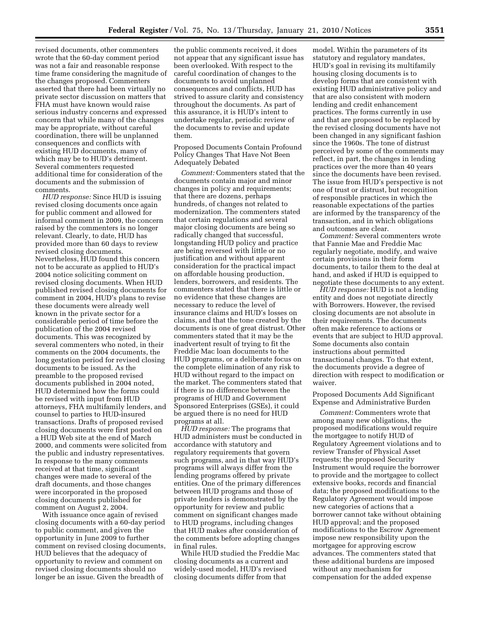revised documents, other commenters wrote that the 60-day comment period was not a fair and reasonable response time frame considering the magnitude of the changes proposed. Commenters asserted that there had been virtually no private sector discussion on matters that FHA must have known would raise serious industry concerns and expressed concern that while many of the changes may be appropriate, without careful coordination, there will be unplanned consequences and conflicts with existing HUD documents, many of which may be to HUD's detriment. Several commenters requested additional time for consideration of the documents and the submission of comments.

*HUD response:* Since HUD is issuing revised closing documents once again for public comment and allowed for informal comment in 2009, the concern raised by the commenters is no longer relevant. Clearly, to date, HUD has provided more than 60 days to review revised closing documents. Nevertheless, HUD found this concern not to be accurate as applied to HUD's 2004 notice soliciting comment on revised closing documents. When HUD published revised closing documents for comment in 2004, HUD's plans to revise these documents were already well known in the private sector for a considerable period of time before the publication of the 2004 revised documents. This was recognized by several commenters who noted, in their comments on the 2004 documents, the long gestation period for revised closing documents to be issued. As the preamble to the proposed revised documents published in 2004 noted, HUD determined how the forms could be revised with input from HUD attorneys, FHA multifamily lenders, and counsel to parties to HUD-insured transactions. Drafts of proposed revised closing documents were first posted on a HUD Web site at the end of March 2000, and comments were solicited from the public and industry representatives. In response to the many comments received at that time, significant changes were made to several of the draft documents, and those changes were incorporated in the proposed closing documents published for comment on August 2, 2004.

With issuance once again of revised closing documents with a 60-day period to public comment, and given the opportunity in June 2009 to further comment on revised closing documents, HUD believes that the adequacy of opportunity to review and comment on revised closing documents should no longer be an issue. Given the breadth of

the public comments received, it does not appear that any significant issue has been overlooked. With respect to the careful coordination of changes to the documents to avoid unplanned consequences and conflicts, HUD has strived to assure clarity and consistency throughout the documents. As part of this assurance, it is HUD's intent to undertake regular, periodic review of the documents to revise and update them.

Proposed Documents Contain Profound Policy Changes That Have Not Been Adequately Debated

*Comment:* Commenters stated that the documents contain major and minor changes in policy and requirements; that there are dozens, perhaps hundreds, of changes not related to modernization. The commenters stated that certain regulations and several major closing documents are being so radically changed that successful, longstanding HUD policy and practice are being reversed with little or no justification and without apparent consideration for the practical impact on affordable housing production, lenders, borrowers, and residents. The commenters stated that there is little or no evidence that these changes are necessary to reduce the level of insurance claims and HUD's losses on claims, and that the tone created by the documents is one of great distrust. Other commenters stated that it may be the inadvertent result of trying to fit the Freddie Mac loan documents to the HUD programs, or a deliberate focus on the complete elimination of any risk to HUD without regard to the impact on the market. The commenters stated that if there is no difference between the programs of HUD and Government Sponsored Enterprises (GSEs), it could be argued there is no need for HUD programs at all.

*HUD response:* The programs that HUD administers must be conducted in accordance with statutory and regulatory requirements that govern such programs, and in that way HUD's programs will always differ from the lending programs offered by private entities. One of the primary differences between HUD programs and those of private lenders is demonstrated by the opportunity for review and public comment on significant changes made to HUD programs, including changes that HUD makes after consideration of the comments before adopting changes in final rules.

While HUD studied the Freddie Mac closing documents as a current and widely-used model, HUD's revised closing documents differ from that

model. Within the parameters of its statutory and regulatory mandates, HUD's goal in revising its multifamily housing closing documents is to develop forms that are consistent with existing HUD administrative policy and that are also consistent with modern lending and credit enhancement practices. The forms currently in use and that are proposed to be replaced by the revised closing documents have not been changed in any significant fashion since the 1960s. The tone of distrust perceived by some of the comments may reflect, in part, the changes in lending practices over the more than 40 years since the documents have been revised. The issue from HUD's perspective is not one of trust or distrust, but recognition of responsible practices in which the reasonable expectations of the parties are informed by the transparency of the transaction, and in which obligations and outcomes are clear.

*Comment:* Several commenters wrote that Fannie Mae and Freddie Mac regularly negotiate, modify, and waive certain provisions in their form documents, to tailor them to the deal at hand, and asked if HUD is equipped to negotiate these documents to any extent.

*HUD response:* HUD is not a lending entity and does not negotiate directly with Borrowers. However, the revised closing documents are not absolute in their requirements. The documents often make reference to actions or events that are subject to HUD approval. Some documents also contain instructions about permitted transactional changes. To that extent, the documents provide a degree of direction with respect to modification or waiver.

## Proposed Documents Add Significant Expense and Administrative Burden

*Comment:* Commenters wrote that among many new obligations, the proposed modifications would require the mortgagee to notify HUD of Regulatory Agreement violations and to review Transfer of Physical Asset requests; the proposed Security Instrument would require the borrower to provide and the mortgagee to collect extensive books, records and financial data; the proposed modifications to the Regulatory Agreement would impose new categories of actions that a borrower cannot take without obtaining HUD approval; and the proposed modifications to the Escrow Agreement impose new responsibility upon the mortgagee for approving escrow advances. The commenters stated that these additional burdens are imposed without any mechanism for compensation for the added expense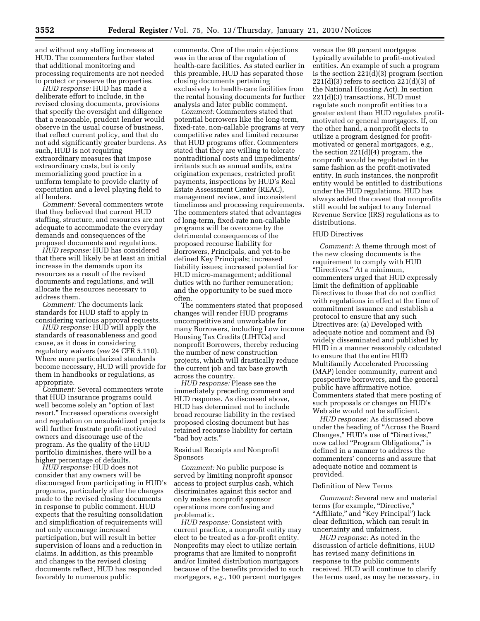and without any staffing increases at HUD. The commenters further stated that additional monitoring and processing requirements are not needed to protect or preserve the properties.

*HUD response:* HUD has made a deliberate effort to include, in the revised closing documents, provisions that specify the oversight and diligence that a reasonable, prudent lender would observe in the usual course of business, that reflect current policy, and that do not add significantly greater burdens. As such, HUD is not requiring extraordinary measures that impose extraordinary costs, but is only memorializing good practice in a uniform template to provide clarity of expectation and a level playing field to all lenders.

*Comment:* Several commenters wrote that they believed that current HUD staffing, structure, and resources are not adequate to accommodate the everyday demands and consequences of the proposed documents and regulations.

*HUD response:* HUD has considered that there will likely be at least an initial increase in the demands upon its resources as a result of the revised documents and regulations, and will allocate the resources necessary to address them.

*Comment:* The documents lack standards for HUD staff to apply in considering various approval requests.

*HUD response:* HUD will apply the standards of reasonableness and good cause, as it does in considering regulatory waivers (*see* 24 CFR 5.110). Where more particularized standards become necessary, HUD will provide for them in handbooks or regulations, as appropriate.

*Comment:* Several commenters wrote that HUD insurance programs could well become solely an "option of last resort.'' Increased operations oversight and regulation on unsubsidized projects will further frustrate profit-motivated owners and discourage use of the program. As the quality of the HUD portfolio diminishes, there will be a higher percentage of defaults.

*HUD response:* HUD does not consider that any owners will be discouraged from participating in HUD's programs, particularly after the changes made to the revised closing documents in response to public comment. HUD expects that the resulting consolidation and simplification of requirements will not only encourage increased participation, but will result in better supervision of loans and a reduction in claims. In addition, as this preamble and changes to the revised closing documents reflect, HUD has responded favorably to numerous public

comments. One of the main objections was in the area of the regulation of health-care facilities. As stated earlier in this preamble, HUD has separated those closing documents pertaining exclusively to health-care facilities from the rental housing documents for further analysis and later public comment.

*Comment:* Commenters stated that potential borrowers like the long-term, fixed-rate, non-callable programs at very competitive rates and limited recourse that HUD programs offer. Commenters stated that they are willing to tolerate nontraditional costs and impediments/ irritants such as annual audits, extra origination expenses, restricted profit payments, inspections by HUD's Real Estate Assessment Center (REAC), management review, and inconsistent timeliness and processing requirements. The commenters stated that advantages of long-term, fixed-rate non-callable programs will be overcome by the detrimental consequences of the proposed recourse liability for Borrowers, Principals, and yet-to-be defined Key Principals; increased liability issues; increased potential for HUD micro-management; additional duties with no further remuneration; and the opportunity to be sued more often.

The commenters stated that proposed changes will render HUD programs uncompetitive and unworkable for many Borrowers, including Low income Housing Tax Credits (LIHTCs) and nonprofit Borrowers, thereby reducing the number of new construction projects, which will drastically reduce the current job and tax base growth across the country.

*HUD response:* Please see the immediately preceding comment and HUD response. As discussed above, HUD has determined not to include broad recourse liability in the revised proposed closing document but has retained recourse liability for certain ''bad boy acts.''

Residual Receipts and Nonprofit Sponsors

*Comment:* No public purpose is served by limiting nonprofit sponsor access to project surplus cash, which discriminates against this sector and only makes nonprofit sponsor operations more confusing and problematic.

*HUD response:* Consistent with current practice, a nonprofit entity may elect to be treated as a for-profit entity. Nonprofits may elect to utilize certain programs that are limited to nonprofit and/or limited distribution mortgagors because of the benefits provided to such mortgagors, *e.g.,* 100 percent mortgages

versus the 90 percent mortgages typically available to profit-motivated entities. An example of such a program is the section 221(d)(3) program (section  $221(d)(3)$  refers to section  $221(d)(3)$  of the National Housing Act). In section 221(d)(3) transactions, HUD must regulate such nonprofit entities to a greater extent than HUD regulates profitmotivated or general mortgagors. If, on the other hand, a nonprofit elects to utilize a program designed for profitmotivated or general mortgagors, e.g., the section 221(d)(4) program, the nonprofit would be regulated in the same fashion as the profit-motivated entity. In such instances, the nonprofit entity would be entitled to distributions under the HUD regulations. HUD has always added the caveat that nonprofits still would be subject to any Internal Revenue Service (IRS) regulations as to distributions.

#### HUD Directives

*Comment:* A theme through most of the new closing documents is the requirement to comply with HUD ''Directives.'' At a minimum, commenters urged that HUD expressly limit the definition of applicable Directives to those that do not conflict with regulations in effect at the time of commitment issuance and establish a protocol to ensure that any such Directives are: (a) Developed with adequate notice and comment and (b) widely disseminated and published by HUD in a manner reasonably calculated to ensure that the entire HUD Multifamily Accelerated Processing (MAP) lender community, current and prospective borrowers, and the general public have affirmative notice. Commenters stated that mere posting of such proposals or changes on HUD's Web site would not be sufficient.

*HUD response:* As discussed above under the heading of ''Across the Board Changes,'' HUD's use of ''Directives,'' now called "Program Obligations," is defined in a manner to address the commenters' concerns and assure that adequate notice and comment is provided.

#### Definition of New Terms

*Comment:* Several new and material terms (for example, "Directive," "Affiliate," and "Key Principal") lack clear definition, which can result in uncertainty and unfairness.

*HUD response:* As noted in the discussion of article definitions, HUD has revised many definitions in response to the public comments received. HUD will continue to clarify the terms used, as may be necessary, in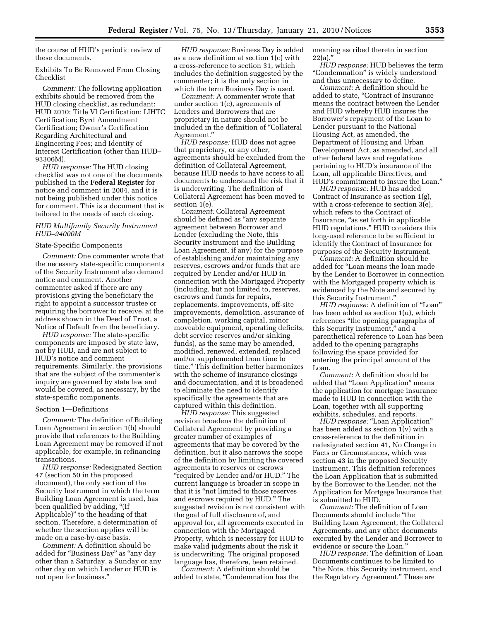the course of HUD's periodic review of these documents.

Exhibits To Be Removed From Closing Checklist

*Comment:* The following application exhibits should be removed from the HUD closing checklist, as redundant: HUD 2010; Title VI Certification; LIHTC Certification; Byrd Amendment Certification; Owner's Certification Regarding Architectural and Engineering Fees; and Identity of Interest Certification (other than HUD– 93306M).

*HUD response:* The HUD closing checklist was not one of the documents published in the **Federal Register** for notice and comment in 2004, and it is not being published under this notice for comment. This is a document that is tailored to the needs of each closing.

## *HUD Multifamily Security Instrument HUD–94000M*

#### State-Specific Components

*Comment:* One commenter wrote that the necessary state-specific components of the Security Instrument also demand notice and comment. Another commenter asked if there are any provisions giving the beneficiary the right to appoint a successor trustee or requiring the borrower to receive, at the address shown in the Deed of Trust, a Notice of Default from the beneficiary.

*HUD response:* The state-specific components are imposed by state law, not by HUD, and are not subject to HUD's notice and comment requirements. Similarly, the provisions that are the subject of the commenter's inquiry are governed by state law and would be covered, as necessary, by the state-specific components.

#### Section 1—Definitions

*Comment:* The definition of Building Loan Agreement in section 1(b) should provide that references to the Building Loan Agreement may be removed if not applicable, for example, in refinancing transactions.

*HUD response:* Redesignated Section 47 (section 50 in the proposed document), the only section of the Security Instrument in which the term Building Loan Agreement is used, has been qualified by adding, "(If Applicable)'' to the heading of that section. Therefore, a determination of whether the section applies will be made on a case-by-case basis.

*Comment:* A definition should be added for ''Business Day'' as ''any day other than a Saturday, a Sunday or any other day on which Lender or HUD is not open for business.''

*HUD response:* Business Day is added as a new definition at section 1(c) with a cross-reference to section 31, which includes the definition suggested by the commenter; it is the only section in which the term Business Day is used.

*Comment:* A commenter wrote that under section 1(c), agreements of Lenders and Borrowers that are proprietary in nature should not be included in the definition of ''Collateral Agreement.''

*HUD response:* HUD does not agree that proprietary, or any other, agreements should be excluded from the definition of Collateral Agreement, because HUD needs to have access to all documents to understand the risk that it is underwriting. The definition of Collateral Agreement has been moved to section 1(e).

*Comment:* Collateral Agreement should be defined as ''any separate agreement between Borrower and Lender (excluding the Note, this Security Instrument and the Building Loan Agreement, if any) for the purpose of establishing and/or maintaining any reserves, escrows and/or funds that are required by Lender and/or HUD in connection with the Mortgaged Property (including, but not limited to, reserves, escrows and funds for repairs, replacements, improvements, off-site improvements, demolition, assurance of completion, working capital, minor moveable equipment, operating deficits, debt service reserves and/or sinking funds), as the same may be amended, modified, renewed, extended, replaced and/or supplemented from time to time.'' This definition better harmonizes with the scheme of insurance closings and documentation, and it is broadened to eliminate the need to identify specifically the agreements that are captured within this definition.

*HUD response:* This suggested revision broadens the definition of Collateral Agreement by providing a greater number of examples of agreements that may be covered by the definition, but it also narrows the scope of the definition by limiting the covered agreements to reserves or escrows ''required by Lender and/or HUD.'' The current language is broader in scope in that it is ''not limited to those reserves and escrows required by HUD.'' The suggested revision is not consistent with the goal of full disclosure of, and approval for, all agreements executed in connection with the Mortgaged Property, which is necessary for HUD to make valid judgments about the risk it is underwriting. The original proposed language has, therefore, been retained.

*Comment:* A definition should be added to state, ''Condemnation has the meaning ascribed thereto in section  $22(a)$ ."

*HUD response:* HUD believes the term ''Condemnation'' is widely understood and thus unnecessary to define.

*Comment:* A definition should be added to state, ''Contract of Insurance means the contract between the Lender and HUD whereby HUD insures the Borrower's repayment of the Loan to Lender pursuant to the National Housing Act, as amended, the Department of Housing and Urban Development Act, as amended, and all other federal laws and regulations pertaining to HUD's insurance of the Loan, all applicable Directives, and HUD's commitment to insure the Loan.''

*HUD response:* HUD has added Contract of Insurance as section 1(g), with a cross-reference to section 3(e), which refers to the Contract of Insurance, ''as set forth in applicable HUD regulations.'' HUD considers this long-used reference to be sufficient to identify the Contract of Insurance for purposes of the Security Instrument.

*Comment:* A definition should be added for ''Loan means the loan made by the Lender to Borrower in connection with the Mortgaged property which is evidenced by the Note and secured by this Security Instrument.''

*HUD response:* A definition of ''Loan'' has been added as section 1(u), which references ''the opening paragraphs of this Security Instrument,'' and a parenthetical reference to Loan has been added to the opening paragraphs following the space provided for entering the principal amount of the Loan.

*Comment:* A definition should be added that ''Loan Application'' means the application for mortgage insurance made to HUD in connection with the Loan, together with all supporting exhibits, schedules, and reports.

*HUD response:* "Loan Application" has been added as section 1(v) with a cross-reference to the definition in redesignated section 41, No Change in Facts or Circumstances, which was section 43 in the proposed Security Instrument. This definition references the Loan Application that is submitted by the Borrower to the Lender, not the Application for Mortgage Insurance that is submitted to HUD.

*Comment:* The definition of Loan Documents should include ''the Building Loan Agreement, the Collateral Agreements, and any other documents executed by the Lender and Borrower to evidence or secure the Loan.''

*HUD response:* The definition of Loan Documents continues to be limited to ''the Note, this Security instrument, and the Regulatory Agreement.'' These are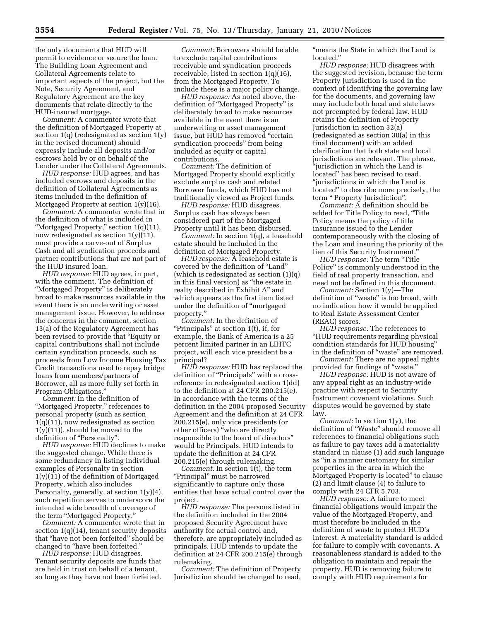the only documents that HUD will permit to evidence or secure the loan. The Building Loan Agreement and Collateral Agreements relate to important aspects of the project, but the Note, Security Agreement, and Regulatory Agreement are the key documents that relate directly to the HUD-insured mortgage.

*Comment:* A commenter wrote that the definition of Mortgaged Property at section 1(q) (redesignated as section 1(y) in the revised document) should expressly include all deposits and/or escrows held by or on behalf of the Lender under the Collateral Agreements.

*HUD response:* HUD agrees, and has included escrows and deposits in the definition of Collateral Agreements as items included in the definition of Mortgaged Property at section 1(y)(16).

*Comment:* A commenter wrote that in the definition of what is included in ''Mortgaged Property,'' section 1(q)(11), now redesignated as section 1(y)(11), must provide a carve-out of Surplus Cash and all syndication proceeds and partner contributions that are not part of the HUD insured loan.

*HUD response:* HUD agrees, in part, with the comment. The definition of ''Mortgaged Property'' is deliberately broad to make resources available in the event there is an underwriting or asset management issue. However, to address the concerns in the comment, section 13(a) of the Regulatory Agreement has been revised to provide that ''Equity or capital contributions shall not include certain syndication proceeds, such as proceeds from Low Income Housing Tax Credit transactions used to repay bridge loans from members/partners of Borrower, all as more fully set forth in Program Obligations.''

*Comment:* In the definition of ''Mortgaged Property,'' references to personal property (such as section 1(q)(11), now redesignated as section  $1(y)(11)$ , should be moved to the definition of "Personalty".

*HUD response:* HUD declines to make the suggested change. While there is some redundancy in listing individual examples of Personalty in section 1(y)(11) of the definition of Mortgaged Property, which also includes Personalty, generally, at section 1(y)(4), such repetition serves to underscore the intended wide breadth of coverage of the term ''Mortgaged Property.''

*Comment:* A commenter wrote that in section 1(q)(14), tenant security deposits that ''have not been forfeited'' should be changed to ''have been forfeited.''

*HUD response:* HUD disagrees. Tenant security deposits are funds that are held in trust on behalf of a tenant, so long as they have not been forfeited.

*Comment:* Borrowers should be able to exclude capital contributions receivable and syndication proceeds receivable, listed in section 1(q)(16), from the Mortgaged Property. To include these is a major policy change.

*HUD response:* As noted above, the definition of ''Mortgaged Property'' is deliberately broad to make resources available in the event there is an underwriting or asset management issue, but HUD has removed ''certain syndication proceeds'' from being included as equity or capital contributions.

*Comment:* The definition of Mortgaged Property should explicitly exclude surplus cash and related Borrower funds, which HUD has not traditionally viewed as Project funds.

*HUD response:* HUD disagrees. Surplus cash has always been considered part of the Mortgaged Property until it has been disbursed.

*Comment:* In section 1(q), a leasehold estate should be included in the definition of Mortgaged Property.

*HUD response:* A leasehold estate is covered by the definition of ''Land'' (which is redesignated as section (1)(q) in this final version) as ''the estate in realty described in Exhibit A'' and which appears as the first item listed under the definition of ''mortgaged property.''

*Comment:* In the definition of ''Principals'' at section 1(t), if, for example, the Bank of America is a 25 percent limited partner in an LIHTC project, will each vice president be a principal?

*HUD response:* HUD has replaced the definition of "Principals" with a crossreference in redesignated section 1(dd) to the definition at 24 CFR 200.215(e). In accordance with the terms of the definition in the 2004 proposed Security Agreement and the definition at 24 CFR 200.215(e), only vice presidents (or other officers) ''who are directly responsible to the board of directors'' would be Principals. HUD intends to update the definition at 24 CFR 200.215(e) through rulemaking.

*Comment:* In section 1(t), the term ''Principal'' must be narrowed significantly to capture only those entities that have actual control over the project.

*HUD response:* The persons listed in the definition included in the 2004 proposed Security Agreement have authority for actual control and, therefore, are appropriately included as principals. HUD intends to update the definition at 24 CFR 200.215(e) through rulemaking.

*Comment:* The definition of Property Jurisdiction should be changed to read, ''means the State in which the Land is located.''

*HUD response:* HUD disagrees with the suggested revision, because the term Property Jurisdiction is used in the context of identifying the governing law for the documents, and governing law may include both local and state laws not preempted by federal law. HUD retains the definition of Property Jurisdiction in section 32(a) (redesignated as section 30(a) in this final document) with an added clarification that both state and local jurisdictions are relevant. The phrase, ''jurisdiction in which the Land is located'' has been revised to read, ''jurisdictions in which the Land is located'' to describe more precisely, the term '' Property Jurisdiction''.

*Comment:* A definition should be added for Title Policy to read, ''Title Policy means the policy of title insurance issued to the Lender contemporaneously with the closing of the Loan and insuring the priority of the lien of this Security Instrument.''

*HUD response:* The term "Title" Policy'' is commonly understood in the field of real property transaction, and need not be defined in this document.

*Comment:* Section 1(y)—The definition of ''waste'' is too broad, with no indication how it would be applied to Real Estate Assessment Center (REAC) scores.

*HUD response:* The references to ''HUD requirements regarding physical condition standards for HUD housing'' in the definition of ''waste'' are removed.

*Comment:* There are no appeal rights provided for findings of "waste."

*HUD response:* HUD is not aware of any appeal right as an industry-wide practice with respect to Security Instrument covenant violations. Such disputes would be governed by state law.

*Comment:* In section 1(y), the definition of ''Waste'' should remove all references to financial obligations such as failure to pay taxes add a materiality standard in clause (1) add such language as ''in a manner customary for similar properties in the area in which the Mortgaged Property is located'' to clause (2) and limit clause (4) to failure to comply with 24 CFR 5.703.

*HUD response:* A failure to meet financial obligations would impair the value of the Mortgaged Property, and must therefore be included in the definition of waste to protect HUD's interest. A materiality standard is added for failure to comply with covenants. A reasonableness standard is added to the obligation to maintain and repair the property. HUD is removing failure to comply with HUD requirements for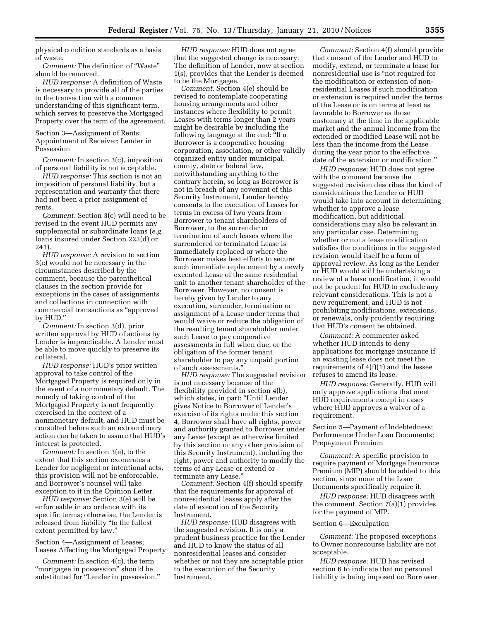physical condition standards as a basis of waste.

*Comment:* The definition of ''Waste'' should be removed.

*HUD response:* A definition of Waste is necessary to provide all of the parties to the transaction with a common understanding of this significant term, which serves to preserve the Mortgaged Property over the term of the agreement.

Section 3—Assignment of Rents; Appointment of Receiver; Lender in Possession

*Comment:* In section 3(c), imposition of personal liability is not acceptable.

*HUD response:* This section is not an imposition of personal liability, but a representation and warranty that there had not been a prior assignment of rents.

*Comment:* Section 3(c) will need to be revised in the event HUD permits any supplemental or subordinate loans (*e.g.*, loans insured under Section 223(d) or 241).

*HUD response:* A revision to section 3(c) would not be necessary in the circumstances described by the comment, because the parenthetical clauses in the section provide for exceptions in the cases of assignments and collections in connection with commercial transactions as ''approved by HUD.''

*Comment:* In section 3(d), prior written approval by HUD of actions by Lender is impracticable. A Lender must be able to move quickly to preserve its collateral.

*HUD response:* HUD's prior written approval to take control of the Mortgaged Property is required only in the event of a nonmonetary default. The remedy of taking control of the Mortgaged Property is not frequently exercised in the context of a nonmonetary default, and HUD must be consulted before such an extraordinary action can be taken to assure that HUD's interest is protected.

*Comment:* In section 3(e), to the extent that this section exonerates a Lender for negligent or intentional acts, this provision will not be enforceable, and Borrower's counsel will take exception to it in the Opinion Letter.

*HUD response:* Section 3(e) will be enforceable in accordance with its specific terms; otherwise, the Lender is released from liability ''to the fullest extent permitted by law.''

Section 4—Assignment of Leases; Leases Affecting the Mortgaged Property

*Comment:* In section 4(c), the term ''mortgagee in possession'' should be substituted for "Lender in possession."

*HUD response:* HUD does not agree that the suggested change is necessary. The definition of Lender, now at section 1(s), provides that the Lender is deemed to be the Mortgagee.

*Comment:* Section 4(e) should be revised to contemplate cooperating housing arrangements and other instances where flexibility to permit Leases with terms longer than 2 years might be desirable by including the following language at the end: ''If a Borrower is a cooperative housing corporation, association, or other validly organized entity under municipal, county, state or federal law, notwithstanding anything to the contrary herein, so long as Borrower is not in breach of any covenant of this Security Instrument, Lender hereby consents to the execution of Leases for terms in excess of two years from Borrower to tenant shareholders of Borrower, to the surrender or termination of such leases where the surrendered or terminated Lease is immediately replaced or where the Borrower makes best efforts to secure such immediate replacement by a newly executed Lease of the same residential unit to another tenant shareholder of the Borrower. However, no consent is hereby given by Lender to any execution, surrender, termination or assignment of a Lease under terms that would waive or reduce the obligation of the resulting tenant shareholder under such Lease to pay cooperative assessments in full when due, or the obligation of the former tenant shareholder to pay any unpaid portion of such assessments.''

*HUD response:* The suggested revision is not necessary because of the flexibility provided in section 4(b), which states, in part: "Until Lender gives Notice to Borrower of Lender's exercise of its rights under this section 4, Borrower shall have all rights, power and authority granted to Borrower under any Lease (except as otherwise limited by this section or any other provision of this Security Instrument), including the right, power and authority to modify the terms of any Lease or extend or terminate any Lease.''

*Comment:* Section 4(f) should specify that the requirements for approval of nonresidential leases apply after the date of execution of the Security Instrument.

*HUD response:* HUD disagrees with the suggested revision. It is only a prudent business practice for the Lender and HUD to know the status of all nonresidential leases and consider whether or not they are acceptable prior to the execution of the Security Instrument.

*Comment:* Section 4(f) should provide that consent of the Lender and HUD to modify, extend, or terminate a lease for nonresidential use is ''not required for the modification or extension of nonresidential Leases if such modification or extension is required under the terms of the Lease or is on terms at least as favorable to Borrower as those customary at the time in the applicable market and the annual income from the extended or modified Lease will not be less than the income from the Lease during the year prior to the effective date of the extension or modification.''

*HUD response:* HUD does not agree with the comment because the suggested revision describes the kind of considerations the Lender or HUD would take into account in determining whether to approve a lease modification, but additional considerations may also be relevant in any particular case. Determining whether or not a lease modification satisfies the conditions in the suggested revision would itself be a form of approval review. As long as the Lender or HUD would still be undertaking a review of a lease modification, it would not be prudent for HUD to exclude any relevant considerations. This is not a new requirement, and HUD is not prohibiting modifications, extensions, or renewals, only prudently requiring that HUD's consent be obtained.

*Comment:* A commenter asked whether HUD intends to deny applications for mortgage insurance if an existing lease does not meet the requirements of 4(f)(1) and the lessee refuses to amend its lease.

*HUD response:* Generally, HUD will only approve applications that meet HUD requirements except in cases where HUD approves a waiver of a requirement.

Section 5—Payment of Indebtedness; Performance Under Loan Documents; Prepayment Premium

*Comment:* A specific provision to require payment of Mortgage Insurance Premium (MIP) should be added to this section, since none of the Loan Documents specifically require it.

*HUD response:* HUD disagrees with the comment. Section 7(a)(1) provides for the payment of MIP.

## Section 6—Exculpation

*Comment:* The proposed exceptions to Owner nonrecourse liability are not acceptable.

*HUD response:* HUD has revised section 6 to indicate that no personal liability is being imposed on Borrower.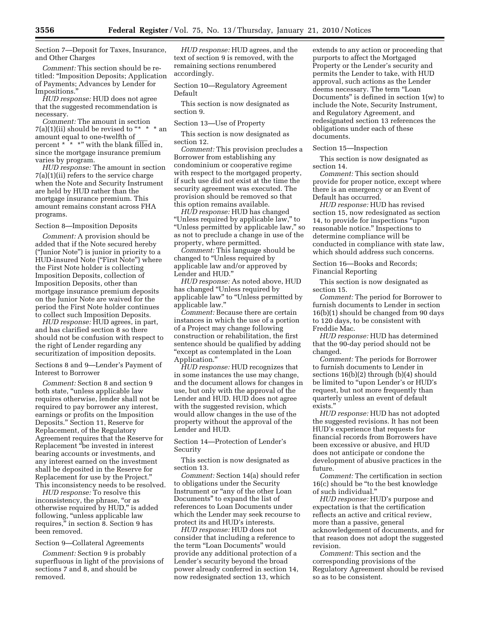Section 7—Deposit for Taxes, Insurance, and Other Charges

*Comment:* This section should be retitled: ''Imposition Deposits; Application of Payments; Advances by Lender for Impositions.''

*HUD response:* HUD does not agree that the suggested recommendation is necessary.

*Comment:* The amount in section 7(a)(1)(ii) should be revised to "\* \* \* an amount equal to one-twelfth of percent  $* \times^*$  with the blank filled in, since the mortgage insurance premium varies by program.

*HUD response:* The amount in section 7(a)(1)(ii) refers to the service charge when the Note and Security Instrument are held by HUD rather than the mortgage insurance premium. This amount remains constant across FHA programs.

Section 8—Imposition Deposits

*Comment:* A provision should be added that if the Note secured hereby (''Junior Note'') is junior in priority to a HUD-insured Note (''First Note'') where the First Note holder is collecting Imposition Deposits, collection of Imposition Deposits, other than mortgage insurance premium deposits on the Junior Note are waived for the period the First Note holder continues to collect such Imposition Deposits.

*HUD response:* HUD agrees, in part, and has clarified section 8 so there should not be confusion with respect to the right of Lender regarding any securitization of imposition deposits.

Sections 8 and 9—Lender's Payment of Interest to Borrower

*Comment:* Section 8 and section 9 both state, ''unless applicable law requires otherwise, lender shall not be required to pay borrower any interest, earnings or profits on the Imposition Deposits.'' Section 11, Reserve for Replacement, of the Regulatory Agreement requires that the Reserve for Replacement ''be invested in interest bearing accounts or investments, and any interest earned on the investment shall be deposited in the Reserve for Replacement for use by the Project.'' This inconsistency needs to be resolved.

*HUD response:* To resolve this inconsistency, the phrase, "or as otherwise required by HUD,'' is added following, "unless applicable law requires,'' in section 8. Section 9 has been removed.

#### Section 9—Collateral Agreements

*Comment:* Section 9 is probably superfluous in light of the provisions of sections 7 and 8, and should be removed.

*HUD response:* HUD agrees, and the text of section 9 is removed, with the remaining sections renumbered accordingly.

Section 10—Regulatory Agreement Default

This section is now designated as section 9.

Section 13—Use of Property

This section is now designated as section 12.

*Comment:* This provision precludes a Borrower from establishing any condominium or cooperative regime with respect to the mortgaged property, if such use did not exist at the time the security agreement was executed. The provision should be removed so that this option remains available.

*HUD response:* HUD has changed ''Unless required by applicable law,'' to ''Unless permitted by applicable law,'' so as not to preclude a change in use of the property, where permitted.

*Comment:* This language should be changed to ''Unless required by applicable law and/or approved by Lender and HUD.''

*HUD response:* As noted above, HUD has changed ''Unless required by applicable law" to "Unless permitted by applicable law.''

*Comment:* Because there are certain instances in which the use of a portion of a Project may change following construction or rehabilitation, the first sentence should be qualified by adding ''except as contemplated in the Loan Application.''

*HUD response:* HUD recognizes that in some instances the use may change, and the document allows for changes in use, but only with the approval of the Lender and HUD. HUD does not agree with the suggested revision, which would allow changes in the use of the property without the approval of the Lender and HUD.

Section 14—Protection of Lender's Security

This section is now designated as section 13.

*Comment:* Section 14(a) should refer to obligations under the Security Instrument or "any of the other Loan Documents'' to expand the list of references to Loan Documents under which the Lender may seek recourse to protect its and HUD's interests.

*HUD response:* HUD does not consider that including a reference to the term "Loan Documents" would provide any additional protection of a Lender's security beyond the broad power already conferred in section 14, now redesignated section 13, which

extends to any action or proceeding that purports to affect the Mortgaged Property or the Lender's security and permits the Lender to take, with HUD approval, such actions as the Lender deems necessary. The term ''Loan Documents'' is defined in section 1(w) to include the Note, Security Instrument, and Regulatory Agreement, and redesignated section 13 references the obligations under each of these documents.

Section 15—Inspection

This section is now designated as section 14.

*Comment:* This section should provide for proper notice, except where there is an emergency or an Event of Default has occurred.

*HUD response:* HUD has revised section 15, now redesignated as section 14, to provide for inspections ''upon reasonable notice.'' Inspections to determine compliance will be conducted in compliance with state law, which should address such concerns.

Section 16—Books and Records; Financial Reporting

This section is now designated as section 15.

*Comment:* The period for Borrower to furnish documents to Lender in section 16(b)(1) should be changed from 90 days to 120 days, to be consistent with Freddie Mac.

*HUD response:* HUD has determined that the 90-day period should not be changed.

*Comment:* The periods for Borrower to furnish documents to Lender in sections 16(b)(2) through (b)(4) should be limited to "upon Lender's or HUD's request, but not more frequently than quarterly unless an event of default exists.''

*HUD response:* HUD has not adopted the suggested revisions. It has not been HUD's experience that requests for financial records from Borrowers have been excessive or abusive, and HUD does not anticipate or condone the development of abusive practices in the future.

*Comment:* The certification in section 16(c) should be ''to the best knowledge of such individual.''

*HUD response:* HUD's purpose and expectation is that the certification reflects an active and critical review, more than a passive, general acknowledgement of documents, and for that reason does not adopt the suggested revision.

*Comment:* This section and the corresponding provisions of the Regulatory Agreement should be revised so as to be consistent.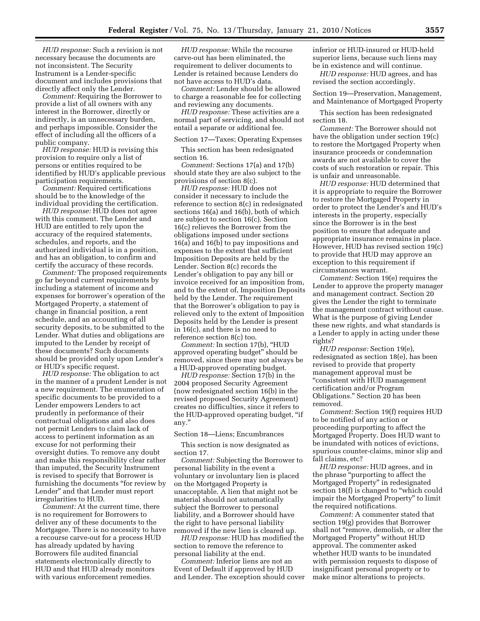*HUD response:* Such a revision is not necessary because the documents are not inconsistent. The Security Instrument is a Lender-specific document and includes provisions that directly affect only the Lender.

*Comment:* Requiring the Borrower to provide a list of all owners with any interest in the Borrower, directly or indirectly, is an unnecessary burden, and perhaps impossible. Consider the effect of including all the officers of a public company.

*HUD response:* HUD is revising this provision to require only a list of persons or entities required to be identified by HUD's applicable previous participation requirements.

*Comment:* Required certifications should be to the knowledge of the individual providing the certification.

*HUD response:* HUD does not agree with this comment. The Lender and HUD are entitled to rely upon the accuracy of the required statements, schedules, and reports, and the authorized individual is in a position, and has an obligation, to confirm and certify the accuracy of these records.

*Comment:* The proposed requirements go far beyond current requirements by including a statement of income and expenses for borrower's operation of the Mortgaged Property, a statement of change in financial position, a rent schedule, and an accounting of all security deposits, to be submitted to the Lender. What duties and obligations are imputed to the Lender by receipt of these documents? Such documents should be provided only upon Lender's or HUD's specific request.

*HUD response:* The obligation to act in the manner of a prudent Lender is not a new requirement. The enumeration of specific documents to be provided to a Lender empowers Lenders to act prudently in performance of their contractual obligations and also does not permit Lenders to claim lack of access to pertinent information as an excuse for not performing their oversight duties. To remove any doubt and make this responsibility clear rather than imputed, the Security Instrument is revised to specify that Borrower is furnishing the documents ''for review by Lender'' and that Lender must report irregularities to HUD.

*Comment:* At the current time, there is no requirement for Borrowers to deliver any of these documents to the Mortgagee. There is no necessity to have a recourse carve-out for a process HUD has already updated by having Borrowers file audited financial statements electronically directly to HUD and that HUD already monitors with various enforcement remedies.

*HUD response:* While the recourse carve-out has been eliminated, the requirement to deliver documents to Lender is retained because Lenders do not have access to HUD's data.

*Comment:* Lender should be allowed to charge a reasonable fee for collecting and reviewing any documents.

*HUD response:* These activities are a normal part of servicing, and should not entail a separate or additional fee.

#### Section 17—Taxes; Operating Expenses

This section has been redesignated section 16.

*Comment:* Sections 17(a) and 17(b) should state they are also subject to the provisions of section 8(c).

*HUD response:* HUD does not consider it necessary to include the reference to section 8(c) in redesignated sections 16(a) and 16(b), both of which are subject to section 16(c). Section 16(c) relieves the Borrower from the obligations imposed under sections 16(a) and 16(b) to pay impositions and expenses to the extent that sufficient Imposition Deposits are held by the Lender. Section 8(c) records the Lender's obligation to pay any bill or invoice received for an imposition from, and to the extent of, Imposition Deposits held by the Lender. The requirement that the Borrower's obligation to pay is relieved only to the extent of Imposition Deposits held by the Lender is present in 16(c), and there is no need to reference section 8(c) too.

*Comment:* In section 17(b), ''HUD approved operating budget'' should be removed, since there may not always be a HUD-approved operating budget.

*HUD response:* Section 17(b) in the 2004 proposed Security Agreement (now redesignated section 16(b) in the revised proposed Security Agreement) creates no difficulties, since it refers to the HUD-approved operating budget, ''if any.''

Section 18—Liens; Encumbrances

This section is now designated as section 17.

*Comment:* Subjecting the Borrower to personal liability in the event a voluntary or involuntary lien is placed on the Mortgaged Property is unacceptable. A lien that might not be material should not automatically subject the Borrower to personal liability, and a Borrower should have the right to have personal liability removed if the new lien is cleared up.

*HUD response:* HUD has modified the section to remove the reference to personal liability at the end.

*Comment:* Inferior liens are not an Event of Default if approved by HUD and Lender. The exception should cover inferior or HUD-insured or HUD-held superior liens, because such liens may be in existence and will continue.

*HUD response:* HUD agrees, and has revised the section accordingly.

Section 19—Preservation, Management, and Maintenance of Mortgaged Property

This section has been redesignated section 18.

*Comment:* The Borrower should not have the obligation under section 19(c) to restore the Mortgaged Property when insurance proceeds or condemnation awards are not available to cover the costs of such restoration or repair. This is unfair and unreasonable.

*HUD response:* HUD determined that it is appropriate to require the Borrower to restore the Mortgaged Property in order to protect the Lender's and HUD's interests in the property, especially since the Borrower is in the best position to ensure that adequate and appropriate insurance remains in place. However, HUD has revised section 19(c) to provide that HUD may approve an exception to this requirement if circumstances warrant.

*Comment:* Section 19(e) requires the Lender to approve the property manager and management contract. Section 20 gives the Lender the right to terminate the management contract without cause. What is the purpose of giving Lender these new rights, and what standards is a Lender to apply in acting under these rights?

*HUD response:* Section 19(e), redesignated as section 18(e), has been revised to provide that property management approval must be ''consistent with HUD management certification and/or Program Obligations.'' Section 20 has been removed.

*Comment:* Section 19(f) requires HUD to be notified of any action or proceeding purporting to affect the Mortgaged Property. Does HUD want to be inundated with notices of evictions, spurious counter-claims, minor slip and fall claims, etc?

*HUD response:* HUD agrees, and in the phrase ''purporting to affect the Mortgaged Property'' in redesignated section 18(f) is changed to "which could impair the Mortgaged Property'' to limit the required notifications.

*Comment:* A commenter stated that section 19(g) provides that Borrower shall not "remove, demolish, or alter the Mortgaged Property'' without HUD approval. The commenter asked whether HUD wants to be inundated with permission requests to dispose of insignificant personal property or to make minor alterations to projects.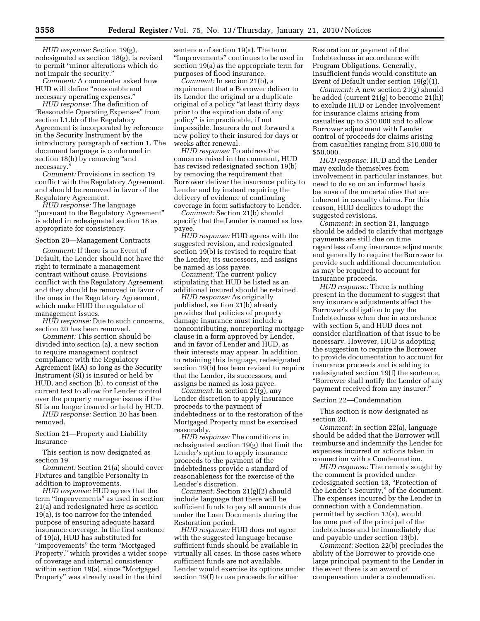*HUD response:* Section 19(g), redesignated as section 18(g), is revised to permit ''minor alterations which do not impair the security.''

*Comment:* A commenter asked how HUD will define ''reasonable and necessary operating expenses.''

*HUD response:* The definition of 'Reasonable Operating Expenses'' from section I.1.bb of the Regulatory Agreement is incorporated by reference in the Security Instrument by the introductory paragraph of section 1. The document language is conformed in section 18(h) by removing "and necessary.''

*Comment:* Provisions in section 19 conflict with the Regulatory Agreement, and should be removed in favor of the Regulatory Agreement.

*HUD response:* The language ''pursuant to the Regulatory Agreement'' is added in redesignated section 18 as appropriate for consistency.

## Section 20—Management Contracts

*Comment:* If there is no Event of Default, the Lender should not have the right to terminate a management contract without cause. Provisions conflict with the Regulatory Agreement, and they should be removed in favor of the ones in the Regulatory Agreement, which make HUD the regulator of management issues.

*HUD response:* Due to such concerns, section 20 has been removed.

*Comment:* This section should be divided into section (a), a new section to require management contract compliance with the Regulatory Agreement (RA) so long as the Security Instrument (SI) is insured or held by HUD, and section (b), to consist of the current text to allow for Lender control over the property manager issues if the SI is no longer insured or held by HUD.

*HUD response:* Section 20 has been removed.

Section 21—Property and Liability Insurance

This section is now designated as section 19.

*Comment:* Section 21(a) should cover Fixtures and tangible Personalty in addition to Improvements.

*HUD response:* HUD agrees that the term ''Improvements'' as used in section 21(a) and redesignated here as section 19(a), is too narrow for the intended purpose of ensuring adequate hazard insurance coverage. In the first sentence of 19(a), HUD has substituted for ''Improvements'' the term ''Mortgaged Property,'' which provides a wider scope of coverage and internal consistency within section 19(a), since "Mortgaged" Property'' was already used in the third

sentence of section 19(a). The term ''Improvements'' continues to be used in section 19(a) as the appropriate term for purposes of flood insurance.

*Comment:* In section 21(b), a requirement that a Borrower deliver to its Lender the original or a duplicate original of a policy ''at least thirty days prior to the expiration date of any policy'' is impracticable, if not impossible. Insurers do not forward a new policy to their insured for days or weeks after renewal.

*HUD response:* To address the concerns raised in the comment, HUD has revised redesignated section 19(b) by removing the requirement that Borrower deliver the insurance policy to Lender and by instead requiring the delivery of evidence of continuing coverage in form satisfactory to Lender.

*Comment:* Section 21(b) should specify that the Lender is named as loss payee.

*HUD response:* HUD agrees with the suggested revision, and redesignated section 19(b) is revised to require that the Lender, its successors, and assigns be named as loss payee.

*Comment:* The current policy stipulating that HUD be listed as an additional insured should be retained.

*HUD response:* As originally published, section 21(b) already provides that policies of property damage insurance must include a noncontributing, nonreporting mortgage clause in a form approved by Lender, and in favor of Lender and HUD, as their interests may appear. In addition to retaining this language, redesignated section 19(b) has been revised to require that the Lender, its successors, and assigns be named as loss payee.

*Comment:* In section 21(g), any Lender discretion to apply insurance proceeds to the payment of indebtedness or to the restoration of the Mortgaged Property must be exercised reasonably.

*HUD response:* The conditions in redesignated section 19(g) that limit the Lender's option to apply insurance proceeds to the payment of the indebtedness provide a standard of reasonableness for the exercise of the Lender's discretion.

*Comment:* Section 21(g)(2) should include language that there will be sufficient funds to pay all amounts due under the Loan Documents during the Restoration period.

*HUD response:* HUD does not agree with the suggested language because sufficient funds should be available in virtually all cases. In those cases where sufficient funds are not available, Lender would exercise its options under section 19(f) to use proceeds for either

Restoration or payment of the Indebtedness in accordance with Program Obligations. Generally, insufficient funds would constitute an Event of Default under section 19(g)(1).

*Comment:* A new section 21(g) should be added (current 21(g) to become 21(h)) to exclude HUD or Lender involvement for insurance claims arising from casualties up to \$10,000 and to allow Borrower adjustment with Lender control of proceeds for claims arising from casualties ranging from \$10,000 to \$50,000.

*HUD response:* HUD and the Lender may exclude themselves from involvement in particular instances, but need to do so on an informed basis because of the uncertainties that are inherent in casualty claims. For this reason, HUD declines to adopt the suggested revisions.

*Comment:* In section 21, language should be added to clarify that mortgage payments are still due on time regardless of any insurance adjustments and generally to require the Borrower to provide such additional documentation as may be required to account for insurance proceeds.

*HUD response:* There is nothing present in the document to suggest that any insurance adjustments affect the Borrower's obligation to pay the Indebtedness when due in accordance with section 5, and HUD does not consider clarification of that issue to be necessary. However, HUD is adopting the suggestion to require the Borrower to provide documentation to account for insurance proceeds and is adding to redesignated section 19(f) the sentence, ''Borrower shall notify the Lender of any payment received from any insurer.''

#### Section 22—Condemnation

This section is now designated as section 20.

*Comment:* In section 22(a), language should be added that the Borrower will reimburse and indemnify the Lender for expenses incurred or actions taken in connection with a Condemnation.

*HUD response:* The remedy sought by the comment is provided under redesignated section 13, ''Protection of the Lender's Security,'' of the document. The expenses incurred by the Lender in connection with a Condemnation, permitted by section 13(a), would become part of the principal of the indebtedness and be immediately due and payable under section 13(b).

*Comment:* Section 22(b) precludes the ability of the Borrower to provide one large principal payment to the Lender in the event there is an award of compensation under a condemnation.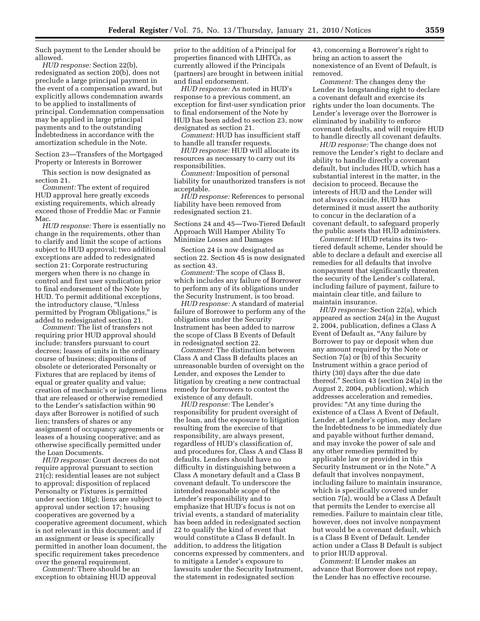Such payment to the Lender should be allowed.

*HUD response:* Section 22(b), redesignated as section 20(b), does not preclude a large principal payment in the event of a compensation award, but explicitly allows condemnation awards to be applied to installments of principal. Condemnation compensation may be applied in large principal payments and to the outstanding Indebtedness in accordance with the amortization schedule in the Note.

Section 23—Transfers of the Mortgaged Property or Interests in Borrower

This section is now designated as section 21.

*Comment:* The extent of required HUD approval here greatly exceeds existing requirements, which already exceed those of Freddie Mac or Fannie Mac.

*HUD response:* There is essentially no change in the requirements, other than to clarify and limit the scope of actions subject to HUD approval; two additional exceptions are added to redesignated section 21: Corporate restructuring mergers when there is no change in control and first user syndication prior to final endorsement of the Note by HUD. To permit additional exceptions, the introductory clause, ''Unless permitted by Program Obligations,'' is added to redesignated section 21.

*Comment:* The list of transfers not requiring prior HUD approval should include: transfers pursuant to court decrees; leases of units in the ordinary course of business; dispositions of obsolete or deteriorated Personalty or Fixtures that are replaced by items of equal or greater quality and value; creation of mechanic's or judgment liens that are released or otherwise remedied to the Lender's satisfaction within 90 days after Borrower is notified of such lien; transfers of shares or any assignment of occupancy agreements or leases of a housing cooperative; and as otherwise specifically permitted under the Loan Documents.

*HUD response:* Court decrees do not require approval pursuant to section 21(c); residential leases are not subject to approval; disposition of replaced Personalty or Fixtures is permitted under section 18(g); liens are subject to approval under section 17; housing cooperatives are governed by a cooperative agreement document, which is not relevant in this document; and if an assignment or lease is specifically permitted in another loan document, the specific requirement takes precedence over the general requirement.

*Comment:* There should be an exception to obtaining HUD approval

prior to the addition of a Principal for properties financed with LIHTCs, as currently allowed if the Principals (partners) are brought in between initial and final endorsement.

*HUD response:* As noted in HUD's response to a previous comment, an exception for first-user syndication prior to final endorsement of the Note by HUD has been added to section 23, now designated as section 21.

*Comment:* HUD has insufficient staff to handle all transfer requests.

*HUD response:* HUD will allocate its resources as necessary to carry out its responsibilities.

*Comment:* Imposition of personal liability for unauthorized transfers is not acceptable.

*HUD response:* References to personal liability have been removed from redesignated section 21.

Sections 24 and 45—Two-Tiered Default Approach Will Hamper Ability To Minimize Losses and Damages

Section 24 is now designated as section 22. Section 45 is now designated as section 43.

*Comment:* The scope of Class B, which includes any failure of Borrower to perform any of its obligations under the Security Instrument, is too broad.

*HUD response:* A standard of material failure of Borrower to perform any of the obligations under the Security Instrument has been added to narrow the scope of Class B Events of Default in redesignated section 22.

*Comment:* The distinction between Class A and Class B defaults places an unreasonable burden of oversight on the Lender, and exposes the Lender to litigation by creating a new contractual remedy for borrowers to contest the existence of any default.

*HUD response:* The Lender's responsibility for prudent oversight of the loan, and the exposure to litigation resulting from the exercise of that responsibility, are always present, regardless of HUD's classification of, and procedures for, Class A and Class B defaults. Lenders should have no difficulty in distinguishing between a Class A monetary default and a Class B covenant default. To underscore the intended reasonable scope of the Lender's responsibility and to emphasize that HUD's focus is not on trivial events, a standard of materiality has been added in redesignated section 22 to qualify the kind of event that would constitute a Class B default. In addition, to address the litigation concerns expressed by commenters, and to mitigate a Lender's exposure to lawsuits under the Security Instrument, the statement in redesignated section

43, concerning a Borrower's right to bring an action to assert the nonexistence of an Event of Default, is removed.

*Comment:* The changes deny the Lender its longstanding right to declare a covenant default and exercise its rights under the loan documents. The Lender's leverage over the Borrower is eliminated by inability to enforce covenant defaults, and will require HUD to handle directly all covenant defaults.

*HUD response:* The change does not remove the Lender's right to declare and ability to handle directly a covenant default, but includes HUD, which has a substantial interest in the matter, in the decision to proceed. Because the interests of HUD and the Lender will not always coincide, HUD has determined it must assert the authority to concur in the declaration of a covenant default, to safeguard properly the public assets that HUD administers.

*Comment:* If HUD retains its twotiered default scheme, Lender should be able to declare a default and exercise all remedies for all defaults that involve nonpayment that significantly threaten the security of the Lender's collateral, including failure of payment, failure to maintain clear title, and failure to maintain insurance.

*HUD response:* Section 22(a), which appeared as section 24(a) in the August 2, 2004, publication, defines a Class A Event of Default as, "Any failure by Borrower to pay or deposit when due any amount required by the Note or Section 7(a) or (b) of this Security Instrument within a grace period of thirty (30) days after the due date thereof.'' Section 43 (section 24(a) in the August 2, 2004, publication), which addresses acceleration and remedies, provides: ''At any time during the existence of a Class A Event of Default, Lender, at Lender's option, may declare the Indebtedness to be immediately due and payable without further demand, and may invoke the power of sale and any other remedies permitted by applicable law or provided in this Security Instrument or in the Note.'' A default that involves nonpayment, including failure to maintain insurance, which is specifically covered under section 7(a), would be a Class A Default that permits the Lender to exercise all remedies. Failure to maintain clear title, however, does not involve nonpayment but would be a covenant default, which is a Class B Event of Default. Lender action under a Class B Default is subject to prior HUD approval.

*Comment:* If Lender makes an advance that Borrower does not repay, the Lender has no effective recourse.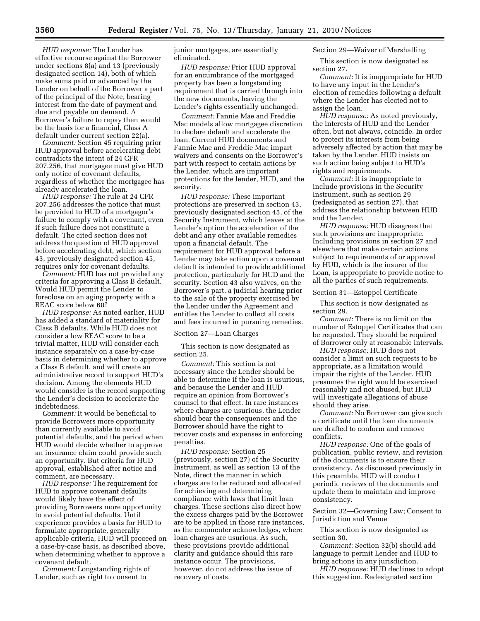*HUD response:* The Lender has effective recourse against the Borrower under sections 8(a) and 13 (previously designated section 14), both of which make sums paid or advanced by the Lender on behalf of the Borrower a part of the principal of the Note, bearing interest from the date of payment and due and payable on demand. A Borrower's failure to repay then would be the basis for a financial, Class A default under current section 22(a).

*Comment:* Section 45 requiring prior HUD approval before accelerating debt contradicts the intent of 24 CFR 207.256, that mortgagee must give HUD only notice of covenant defaults, regardless of whether the mortgagee has already accelerated the loan.

*HUD response:* The rule at 24 CFR 207.256 addresses the notice that must be provided to HUD of a mortgagor's failure to comply with a covenant, even if such failure does not constitute a default. The cited section does not address the question of HUD approval before accelerating debt, which section 43, previously designated section 45, requires only for covenant defaults.

*Comment:* HUD has not provided any criteria for approving a Class B default. Would HUD permit the Lender to foreclose on an aging property with a REAC score below 60?

*HUD response:* As noted earlier, HUD has added a standard of materiality for Class B defaults. While HUD does not consider a low REAC score to be a trivial matter, HUD will consider each instance separately on a case-by-case basis in determining whether to approve a Class B default, and will create an administrative record to support HUD's decision. Among the elements HUD would consider is the record supporting the Lender's decision to accelerate the indebtedness.

*Comment:* It would be beneficial to provide Borrowers more opportunity than currently available to avoid potential defaults, and the period when HUD would decide whether to approve an insurance claim could provide such an opportunity. But criteria for HUD approval, established after notice and comment, are necessary.

*HUD response:* The requirement for HUD to approve covenant defaults would likely have the effect of providing Borrowers more opportunity to avoid potential defaults. Until experience provides a basis for HUD to formulate appropriate, generally applicable criteria, HUD will proceed on a case-by-case basis, as described above, when determining whether to approve a covenant default.

*Comment:* Longstanding rights of Lender, such as right to consent to

junior mortgages, are essentially eliminated.

*HUD response:* Prior HUD approval for an encumbrance of the mortgaged property has been a longstanding requirement that is carried through into the new documents, leaving the Lender's rights essentially unchanged.

*Comment:* Fannie Mae and Freddie Mac models allow mortgagee discretion to declare default and accelerate the loan. Current HUD documents and Fannie Mae and Freddie Mac impart waivers and consents on the Borrower's part with respect to certain actions by the Lender, which are important protections for the lender, HUD, and the security.

*HUD response:* These important protections are preserved in section 43, previously designated section 45, of the Security Instrument, which leaves at the Lender's option the acceleration of the debt and any other available remedies upon a financial default. The requirement for HUD approval before a Lender may take action upon a covenant default is intended to provide additional protection, particularly for HUD and the security. Section 43 also waives, on the Borrower's part, a judicial hearing prior to the sale of the property exercised by the Lender under the Agreement and entitles the Lender to collect all costs and fees incurred in pursuing remedies.

#### Section 27—Loan Charges

This section is now designated as section 25.

*Comment:* This section is not necessary since the Lender should be able to determine if the loan is usurious, and because the Lender and HUD require an opinion from Borrower's counsel to that effect. In rare instances where charges are usurious, the Lender should bear the consequences and the Borrower should have the right to recover costs and expenses in enforcing penalties.

*HUD response:* Section 25 (previously, section 27) of the Security Instrument, as well as section 13 of the Note, direct the manner in which charges are to be reduced and allocated for achieving and determining compliance with laws that limit loan charges. These sections also direct how the excess charges paid by the Borrower are to be applied in those rare instances, as the commenter acknowledges, where loan charges are usurious. As such, these provisions provide additional clarity and guidance should this rare instance occur. The provisions, however, do not address the issue of recovery of costs.

Section 29—Waiver of Marshalling

This section is now designated as section 27.

*Comment:* It is inappropriate for HUD to have any input in the Lender's election of remedies following a default where the Lender has elected not to assign the loan.

*HUD response:* As noted previously, the interests of HUD and the Lender often, but not always, coincide. In order to protect its interests from being adversely affected by action that may be taken by the Lender, HUD insists on such action being subject to HUD's rights and requirements.

*Comment:* It is inappropriate to include provisions in the Security Instrument, such as section 29 (redesignated as section 27), that address the relationship between HUD and the Lender.

*HUD response:* HUD disagrees that such provisions are inappropriate. Including provisions in section 27 and elsewhere that make certain actions subject to requirements of or approval by HUD, which is the insurer of the Loan, is appropriate to provide notice to all the parties of such requirements.

#### Section 31—Estoppel Certificate

This section is now designated as section 29.

*Comment:* There is no limit on the number of Estoppel Certificates that can be requested. They should be required of Borrower only at reasonable intervals.

*HUD response:* HUD does not consider a limit on such requests to be appropriate, as a limitation would impair the rights of the Lender. HUD presumes the right would be exercised reasonably and not abused, but HUD will investigate allegations of abuse should they arise.

*Comment:* No Borrower can give such a certificate until the loan documents are drafted to conform and remove conflicts.

*HUD response:* One of the goals of publication, public review, and revision of the documents is to ensure their consistency. As discussed previously in this preamble, HUD will conduct periodic reviews of the documents and update them to maintain and improve consistency.

Section 32—Governing Law; Consent to Jurisdiction and Venue

This section is now designated as section 30.

*Comment:* Section 32(b) should add language to permit Lender and HUD to bring actions in any jurisdiction.

*HUD response:* HUD declines to adopt this suggestion. Redesignated section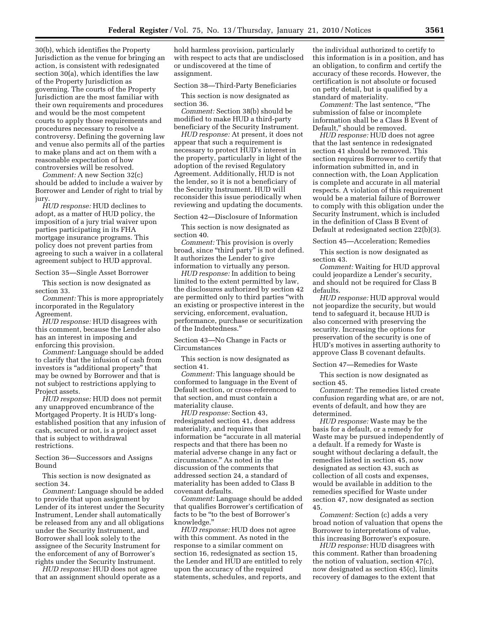30(b), which identifies the Property Jurisdiction as the venue for bringing an action, is consistent with redesignated section 30(a), which identifies the law of the Property Jurisdiction as governing. The courts of the Property Jurisdiction are the most familiar with their own requirements and procedures and would be the most competent courts to apply those requirements and procedures necessary to resolve a controversy. Defining the governing law and venue also permits all of the parties to make plans and act on them with a reasonable expectation of how controversies will be resolved.

*Comment:* A new Section 32(c) should be added to include a waiver by Borrower and Lender of right to trial by jury.

*HUD response:* HUD declines to adopt, as a matter of HUD policy, the imposition of a jury trial waiver upon parties participating in its FHA mortgage insurance programs. This policy does not prevent parties from agreeing to such a waiver in a collateral agreement subject to HUD approval.

Section 35—Single Asset Borrower

This section is now designated as section 33.

*Comment:* This is more appropriately incorporated in the Regulatory Agreement.

*HUD response:* HUD disagrees with this comment, because the Lender also has an interest in imposing and enforcing this provision.

*Comment:* Language should be added to clarify that the infusion of cash from investors is ''additional property'' that may be owned by Borrower and that is not subject to restrictions applying to Project assets.

*HUD response:* HUD does not permit any unapproved encumbrance of the Mortgaged Property. It is HUD's longestablished position that any infusion of cash, secured or not, is a project asset that is subject to withdrawal restrictions.

Section 36—Successors and Assigns Bound

This section is now designated as section 34.

*Comment:* Language should be added to provide that upon assignment by Lender of its interest under the Security Instrument, Lender shall automatically be released from any and all obligations under the Security Instrument, and Borrower shall look solely to the assignee of the Security Instrument for the enforcement of any of Borrower's rights under the Security Instrument.

*HUD response:* HUD does not agree that an assignment should operate as a hold harmless provision, particularly with respect to acts that are undisclosed or undiscovered at the time of assignment.

Section 38—Third-Party Beneficiaries

This section is now designated as section 36.

*Comment:* Section 38(b) should be modified to make HUD a third-party beneficiary of the Security Instrument.

*HUD response:* At present, it does not appear that such a requirement is necessary to protect HUD's interest in the property, particularly in light of the adoption of the revised Regulatory Agreement. Additionally, HUD is not the lender, so it is not a beneficiary of the Security Instrument. HUD will reconsider this issue periodically when reviewing and updating the documents.

Section 42—Disclosure of Information

This section is now designated as section 40.

*Comment:* This provision is overly broad, since ''third party'' is not defined. It authorizes the Lender to give information to virtually any person.

*HUD response:* In addition to being limited to the extent permitted by law, the disclosures authorized by section 42 are permitted only to third parties ''with an existing or prospective interest in the servicing, enforcement, evaluation, performance, purchase or securitization of the Indebtedness.''

Section 43—No Change in Facts or Circumstances

This section is now designated as section 41.

*Comment:* This language should be conformed to language in the Event of Default section, or cross-referenced to that section, and must contain a materiality clause.

*HUD response:* Section 43, redesignated section 41, does address materiality, and requires that information be ''accurate in all material respects and that there has been no material adverse change in any fact or circumstance.'' As noted in the discussion of the comments that addressed section 24, a standard of materiality has been added to Class B covenant defaults.

*Comment:* Language should be added that qualifies Borrower's certification of facts to be ''to the best of Borrower's knowledge.''

*HUD response:* HUD does not agree with this comment. As noted in the response to a similar comment on section 16, redesignated as section 15, the Lender and HUD are entitled to rely upon the accuracy of the required statements, schedules, and reports, and

the individual authorized to certify to this information is in a position, and has an obligation, to confirm and certify the accuracy of these records. However, the certification is not absolute or focused on petty detail, but is qualified by a standard of materiality.

*Comment:* The last sentence, ''The submission of false or incomplete information shall be a Class B Event of Default,'' should be removed.

*HUD response:* HUD does not agree that the last sentence in redesignated section 41 should be removed. This section requires Borrower to certify that information submitted in, and in connection with, the Loan Application is complete and accurate in all material respects. A violation of this requirement would be a material failure of Borrower to comply with this obligation under the Security Instrument, which is included in the definition of Class B Event of Default at redesignated section 22(b)(3).

Section 45—Acceleration; Remedies

This section is now designated as section 43.

*Comment:* Waiting for HUD approval could jeopardize a Lender's security, and should not be required for Class B defaults.

*HUD response:* HUD approval would not jeopardize the security, but would tend to safeguard it, because HUD is also concerned with preserving the security. Increasing the options for preservation of the security is one of HUD's motives in asserting authority to approve Class B covenant defaults.

Section 47—Remedies for Waste

This section is now designated as section 45.

*Comment:* The remedies listed create confusion regarding what are, or are not, events of default, and how they are determined.

*HUD response:* Waste may be the basis for a default, or a remedy for Waste may be pursued independently of a default. If a remedy for Waste is sought without declaring a default, the remedies listed in section 45, now designated as section 43, such as collection of all costs and expenses, would be available in addition to the remedies specified for Waste under section 47, now designated as section 45.

*Comment:* Section (c) adds a very broad notion of valuation that opens the Borrower to interpretations of value, this increasing Borrower's exposure.

*HUD response:* HUD disagrees with this comment. Rather than broadening the notion of valuation, section 47(c), now designated as section 45(c), limits recovery of damages to the extent that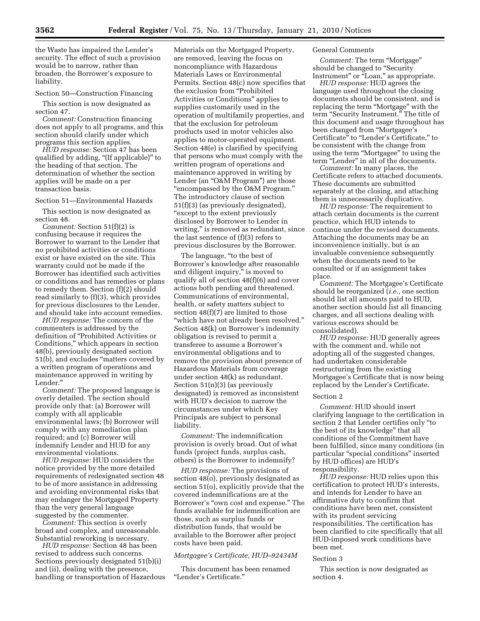the Waste has impaired the Lender's security. The effect of such a provision would be to narrow, rather than broaden, the Borrower's exposure to liability.

## Section 50—Construction Financing

This section is now designated as section 47.

*Comment:* Construction financing does not apply to all programs, and this section should clarify under which programs this section applies.

*HUD response:* Section 47 has been qualified by adding, "(If applicable)" to the heading of that section. The determination of whether the section applies will be made on a per transaction basis.

## Section 51—Environmental Hazards

This section is now designated as section 48.

*Comment:* Section 51(f)(2) is confusing because it requires the Borrower to warrant to the Lender that no prohibited activities or conditions exist or have existed on the site. This warranty could not be made if the Borrower has identified such activities or conditions and has remedies or plans to remedy them. Section (f)(2) should read similarly to (f)(3), which provides for previous disclosures to the Lender, and should take into account remedies.

*HUD response:* The concern of the commenters is addressed by the definition of ''Prohibited Activities or Conditions,'' which appears in section 48(b), previously designated section 51(b), and excludes ''matters covered by a written program of operations and maintenance approved in writing by Lender.''

*Comment:* The proposed language is overly detailed. The section should provide only that: (a) Borrower will comply with all applicable environmental laws; (b) Borrower will comply with any remediation plan required; and (c) Borrower will indemnify Lender and HUD for any environmental violations.

*HUD response:* HUD considers the notice provided by the more detailed requirements of redesignated section 48 to be of more assistance in addressing and avoiding environmental risks that may endanger the Mortgaged Property than the very general language suggested by the commenter.

*Comment:* This section is overly broad and complex, and unreasonable. Substantial reworking is necessary.

*HUD response:* Section 48 has been revised to address such concerns. Sections previously designated 51(b)(i) and (ii), dealing with the presence, handling or transportation of Hazardous Materials on the Mortgaged Property, are removed, leaving the focus on noncompliance with Hazardous Materials Laws or Environmental Permits. Section 48(c) now specifies that the exclusion from "Prohibited Activities or Conditions'' applies to supplies customarily used in the operation of multifamily properties, and that the exclusion for petroleum products used in motor vehicles also applies to motor-operated equipment. Section 48(e) is clarified by specifying that persons who must comply with the written program of operations and maintenance approved in writing by Lender (an "O&M Program") are those ''encompassed by the O&M Program.'' The introductory clause of section 51(f)(3) (as previously designated), ''except to the extent previously disclosed by Borrower to Lender in writing," is removed as redundant, since the last sentence of (f)(3) refers to previous disclosures by the Borrower.

The language, "to the best of Borrower's knowledge after reasonable and diligent inquiry," is moved to qualify all of section 48(f)(6) and cover actions both pending and threatened. Communications of environmental, health, or safety matters subject to section 48(f)(7) are limited to those ''which have not already been resolved.'' Section 48(k) on Borrower's indemnity obligation is revised to permit a transferee to assume a Borrower's environmental obligations and to remove the provision about presence of Hazardous Materials from coverage under section 48(k) as redundant. Section  $51(n)(3)$  (as previously designated) is removed as inconsistent with HUD's decision to narrow the circumstances under which Key Principals are subject to personal liability.

*Comment:* The indemnification provision is overly broad. Out of what funds (project funds, surplus cash, others) is the Borrower to indemnify?

*HUD response:* The provisions of section 48(o), previously designated as section 51(o), explicitly provide that the covered indemnifications are at the Borrower's "own cost and expense." The funds available for indemnification are those, such as surplus funds or distribution funds, that would be available to the Borrower after project costs have been paid.

## *Mortgagee's Certificate, HUD–92434M*

This document has been renamed ''Lender's Certificate.''

## General Comments

*Comment:* The term ''Mortgage'' should be changed to "Security" Instrument" or "Loan," as appropriate.

*HUD response:* HUD agrees the language used throughout the closing documents should be consistent, and is replacing the term ''Mortgage'' with the term "Security Instrument." The title of this document and usage throughout has been changed from ''Mortgagee's Certificate'' to ''Lender's Certificate,'' to be consistent with the change from using the term ''Mortgagee'' to using the term "Lender" in all of the documents.

*Comment:* In many places, the Certificate refers to attached documents. These documents are submitted separately at the closing, and attaching them is unnecessarily duplicative.

*HUD response:* The requirement to attach certain documents is the current practice, which HUD intends to continue under the revised documents. Attaching the documents may be an inconvenience initially, but is an invaluable convenience subsequently when the documents need to be consulted or if an assignment takes place.

*Comment:* The Mortgagee's Certificate should be reorganized (*i.e.,* one section should list all amounts paid to HUD, another section should list all financing charges, and all sections dealing with various escrows should be consolidated).

*HUD response:* HUD generally agrees with the comment and, while not adopting all of the suggested changes, had undertaken considerable restructuring from the existing Mortgagee's Certificate that is now being replaced by the Lender's Certificate.

#### Section 2

*Comment:* HUD should insert clarifying language to the certification in section 2 that Lender certifies only ''to the best of its knowledge'' that all conditions of the Commitment have been fulfilled, since many conditions (in particular "special conditions" inserted by HUD offices) are HUD's responsibility.

*HUD response:* HUD relies upon this certification to protect HUD's interests, and intends for Lender to have an affirmative duty to confirm that conditions have been met, consistent with its prudent servicing responsibilities. The certification has been clarified to cite specifically that all HUD-imposed work conditions have been met.

#### Section 3

This section is now designated as section 4.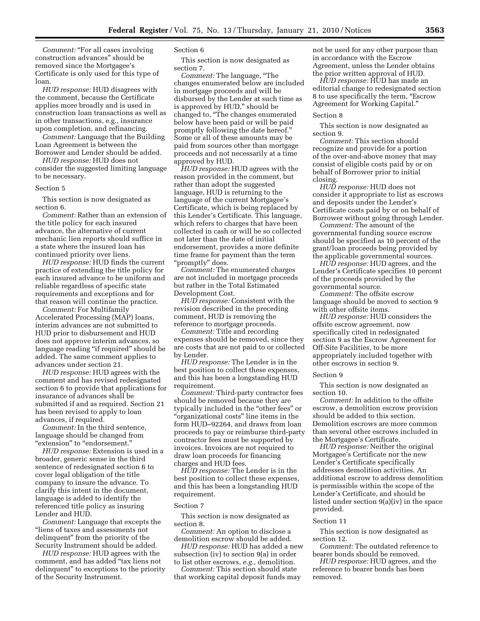*Comment:* "For all cases involving construction advances'' should be removed since the Mortgagee's Certificate is only used for this type of loan.

*HUD response:* HUD disagrees with the comment, because the Certificate applies more broadly and is used in construction loan transactions as well as in other transactions, e.g., insurance upon completion, and refinancing.

*Comment:* Language that the Building Loan Agreement is between the Borrower and Lender should be added.

*HUD response:* HUD does not consider the suggested limiting language to be necessary.

#### Section 5

This section is now designated as section 6.

*Comment:* Rather than an extension of the title policy for each insured advance, the alternative of current mechanic lien reports should suffice in a state where the insured loan has continued priority over liens.

*HUD response:* HUD finds the current practice of extending the title policy for each insured advance to be uniform and reliable regardless of specific state requirements and exceptions and for that reason will continue the practice.

*Comment:* For Multifamily Accelerated Processing (MAP) loans, interim advances are not submitted to HUD prior to disbursement and HUD does not approve interim advances, so language reading "if required" should be added. The same comment applies to advances under section 21.

*HUD response:* HUD agrees with the comment and has revised redesignated section 6 to provide that applications for insurance of advances shall be submitted if and as required. Section 21 has been revised to apply to loan advances, if required.

*Comment:* In the third sentence, language should be changed from "extension" to "endorsement."

*HUD response:* Extension is used in a broader, generic sense in the third sentence of redesignated section 6 to cover legal obligation of the title company to insure the advance. To clarify this intent in the document, language is added to identify the referenced title policy as insuring Lender and HUD.

*Comment:* Language that excepts the "liens of taxes and assessments not delinquent'' from the priority of the Security Instrument should be added.

*HUD response:* HUD agrees with the comment, and has added ''tax liens not delinquent'' to exceptions to the priority of the Security Instrument.

## Section 6

This section is now designated as section 7.

*Comment:* The language, ''The changes enumerated below are included in mortgage proceeds and will be disbursed by the Lender at such time as is approved by HUD," should be changed to, ''The changes enumerated below have been paid or will be paid promptly following the date hereof.'' Some or all of these amounts may be paid from sources other than mortgage proceeds and not necessarily at a time approved by HUD.

*HUD response:* HUD agrees with the reason provided in the comment, but rather than adopt the suggested language, HUD is returning to the language of the current Mortgagee's Certificate, which is being replaced by this Lender's Certificate. This language, which refers to charges that have been collected in cash or will be so collected not later than the date of initial endorsement, provides a more definite time frame for payment than the term "promptly" does.

*Comment:* The enumerated charges are not included in mortgage proceeds but rather in the Total Estimated Development Cost.

*HUD response:* Consistent with the revision described in the preceding comment, HUD is removing the reference to mortgage proceeds.

*Comment:* Title and recording expenses should be removed, since they are costs that are not paid to or collected by Lender.

*HUD response:* The Lender is in the best position to collect these expenses, and this has been a longstanding HUD requirement.

*Comment:* Third-party contractor fees should be removed because they are typically included in the ''other fees'' or "organizational costs" line items in the form HUD–92264, and draws from loan proceeds to pay or reimburse third-party contractor fees must be supported by invoices. Invoices are not required to draw loan proceeds for financing charges and HUD fees.

*HUD response:* The Lender is in the best position to collect these expenses, and this has been a longstanding HUD requirement.

#### Section 7

This section is now designated as section 8.

*Comment:* An option to disclose a demolition escrow should be added.

*HUD response:* HUD has added a new subsection (iv) to section 9(a) in order to list other escrows, *e.g.,* demolition.

*Comment:* This section should state that working capital deposit funds may not be used for any other purpose than in accordance with the Escrow Agreement, unless the Lender obtains the prior written approval of HUD.

*HUD response:* HUD has made an editorial change to redesignated section 8 to use specifically the term, ''Escrow Agreement for Working Capital.''

#### Section 8

This section is now designated as section 9.

*Comment:* This section should recognize and provide for a portion of the over-and-above money that may consist of eligible costs paid by or on behalf of Borrower prior to initial closing.

*HUD response:* HUD does not consider it appropriate to list as escrows and deposits under the Lender's Certificate costs paid by or on behalf of Borrower without going through Lender.

*Comment:* The amount of the governmental funding source escrow should be specified as 10 percent of the grant/loan proceeds being provided by the applicable governmental sources.

*HUD response:* HUD agrees, and the Lender's Certificate specifies 10 percent of the proceeds provided by the governmental source.

*Comment:* The offsite escrow language should be moved to section 9 with other offsite items.

*HUD response:* HUD considers the offsite escrow agreement, now specifically cited in redesignated section 9 as the Escrow Agreement for Off-Site Facilities, to be more appropriately included together with other escrows in section 9.

#### Section 9

This section is now designated as section 10.

*Comment:* In addition to the offsite escrow, a demolition escrow provision should be added to this section. Demolition escrows are more common than several other escrows included in the Mortgagee's Certificate.

*HUD response:* Neither the original Mortgagee's Certificate nor the new Lender's Certificate specifically addresses demolition activities. An additional escrow to address demolition is permissible within the scope of the Lender's Certificate, and should be listed under section 9(a)(iv) in the space provided.

## Section 11

This section is now designated as section 12.

*Comment:* The outdated reference to bearer bonds should be removed.

*HUD response:* HUD agrees, and the reference to bearer bonds has been removed.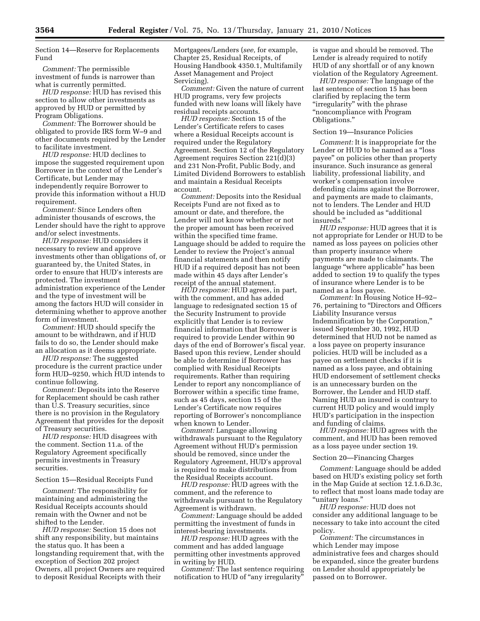Section 14—Reserve for Replacements Fund

*Comment:* The permissible investment of funds is narrower than what is currently permitted.

*HUD response:* HUD has revised this section to allow other investments as approved by HUD or permitted by Program Obligations.

*Comment:* The Borrower should be obligated to provide IRS form W–9 and other documents required by the Lender to facilitate investment.

*HUD response:* HUD declines to impose the suggested requirement upon Borrower in the context of the Lender's Certificate, but Lender may independently require Borrower to provide this information without a HUD requirement.

*Comment:* Since Lenders often administer thousands of escrows, the Lender should have the right to approve and/or select investments.

*HUD response:* HUD considers it necessary to review and approve investments other than obligations of, or guaranteed by, the United States, in order to ensure that HUD's interests are protected. The investment administration experience of the Lender and the type of investment will be among the factors HUD will consider in determining whether to approve another form of investment.

*Comment:* HUD should specify the amount to be withdrawn, and if HUD fails to do so, the Lender should make an allocation as it deems appropriate.

*HUD response:* The suggested procedure is the current practice under form HUD–9250, which HUD intends to continue following.

*Comment:* Deposits into the Reserve for Replacement should be cash rather than U.S. Treasury securities, since there is no provision in the Regulatory Agreement that provides for the deposit of Treasury securities.

*HUD response:* HUD disagrees with the comment. Section 11.a. of the Regulatory Agreement specifically permits investments in Treasury securities.

## Section 15—Residual Receipts Fund

*Comment:* The responsibility for maintaining and administering the Residual Receipts accounts should remain with the Owner and not be shifted to the Lender.

*HUD response:* Section 15 does not shift any responsibility, but maintains the status quo. It has been a longstanding requirement that, with the exception of Section 202 project Owners, all project Owners are required to deposit Residual Receipts with their

Mortgagees/Lenders (*see,* for example, Chapter 25, Residual Receipts, of Housing Handbook 4350.1, Multifamily Asset Management and Project Servicing).

*Comment:* Given the nature of current HUD programs, very few projects funded with new loans will likely have residual receipts accounts.

*HUD response:* Section 15 of the Lender's Certificate refers to cases where a Residual Receipts account is required under the Regulatory Agreement. Section 12 of the Regulatory Agreement requires Section 221(d)(3) and 231 Non-Profit, Public Body, and Limited Dividend Borrowers to establish and maintain a Residual Receipts account.

*Comment:* Deposits into the Residual Receipts Fund are not fixed as to amount or date, and therefore, the Lender will not know whether or not the proper amount has been received within the specified time frame. Language should be added to require the Lender to review the Project's annual financial statements and then notify HUD if a required deposit has not been made within 45 days after Lender's receipt of the annual statement.

*HUD response:* HUD agrees, in part, with the comment, and has added language to redesignated section 15 of the Security Instrument to provide explicitly that Lender is to review financial information that Borrower is required to provide Lender within 90 days of the end of Borrower's fiscal year. Based upon this review, Lender should be able to determine if Borrower has complied with Residual Receipts requirements. Rather than requiring Lender to report any noncompliance of Borrower within a specific time frame, such as 45 days, section 15 of the Lender's Certificate now requires reporting of Borrower's noncompliance when known to Lender.

*Comment:* Language allowing withdrawals pursuant to the Regulatory Agreement without HUD's permission should be removed, since under the Regulatory Agreement, HUD's approval is required to make distributions from the Residual Receipts account.

*HUD response:* HUD agrees with the comment, and the reference to withdrawals pursuant to the Regulatory Agreement is withdrawn.

*Comment:* Language should be added permitting the investment of funds in interest-bearing investments.

*HUD response:* HUD agrees with the comment and has added language permitting other investments approved in writing by HUD.

*Comment:* The last sentence requiring notification to HUD of "any irregularity"

is vague and should be removed. The Lender is already required to notify HUD of any shortfall or of any known violation of the Regulatory Agreement.

*HUD response:* The language of the last sentence of section 15 has been clarified by replacing the term "irregularity" with the phrase ''noncompliance with Program Obligations.''

#### Section 19—Insurance Policies

*Comment:* It is inappropriate for the Lender or HUD to be named as a ''loss payee'' on policies other than property insurance. Such insurance as general liability, professional liability, and worker's compensation involve defending claims against the Borrower, and payments are made to claimants, not to lenders. The Lender and HUD should be included as ''additional insureds.''

*HUD response:* HUD agrees that it is not appropriate for Lender or HUD to be named as loss payees on policies other than property insurance where payments are made to claimants. The language ''where applicable'' has been added to section 19 to qualify the types of insurance where Lender is to be named as a loss payee.

*Comment:* In Housing Notice H–92– 76, pertaining to ''Directors and Officers Liability Insurance versus Indemnification by the Corporation,'' issued September 30, 1992, HUD determined that HUD not be named as a loss payee on property insurance policies. HUD will be included as a payee on settlement checks if it is named as a loss payee, and obtaining HUD endorsement of settlement checks is an unnecessary burden on the Borrower, the Lender and HUD staff. Naming HUD an insured is contrary to current HUD policy and would imply HUD's participation in the inspection and funding of claims.

*HUD response:* HUD agrees with the comment, and HUD has been removed as a loss payee under section 19.

#### Section 20—Financing Charges

*Comment:* Language should be added based on HUD's existing policy set forth in the Map Guide at section 12.1.6.D.3c, to reflect that most loans made today are ''unitary loans.''

*HUD response:* HUD does not consider any additional language to be necessary to take into account the cited policy.

*Comment:* The circumstances in which Lender may impose administrative fees and charges should be expanded, since the greater burdens on Lender should appropriately be passed on to Borrower.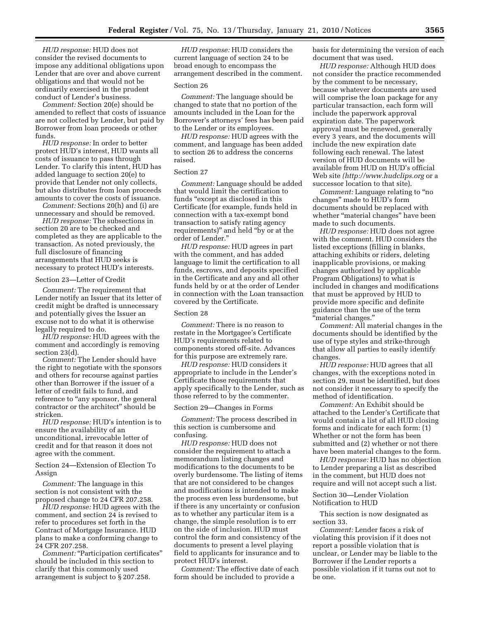*HUD response:* HUD does not consider the revised documents to impose any additional obligations upon Lender that are over and above current obligations and that would not be ordinarily exercised in the prudent conduct of Lender's business.

*Comment:* Section 20(e) should be amended to reflect that costs of issuance are not collected by Lender, but paid by Borrower from loan proceeds or other funds.

*HUD response:* In order to better protect HUD's interest, HUD wants all costs of issuance to pass through Lender. To clarify this intent, HUD has added language to section 20(e) to provide that Lender not only collects, but also distributes from loan proceeds amounts to cover the costs of issuance.

*Comment:* Sections 20(h) and (i) are unnecessary and should be removed.

*HUD response:* The subsections in section 20 are to be checked and completed as they are applicable to the transaction. As noted previously, the full disclosure of financing arrangements that HUD seeks is necessary to protect HUD's interests.

## Section 23—Letter of Credit

*Comment:* The requirement that Lender notify an Issuer that its letter of credit might be drafted is unnecessary and potentially gives the Issuer an excuse not to do what it is otherwise legally required to do.

*HUD response:* HUD agrees with the comment and accordingly is removing section 23(d).

*Comment:* The Lender should have the right to negotiate with the sponsors and others for recourse against parties other than Borrower if the issuer of a letter of credit fails to fund, and reference to "any sponsor, the general contractor or the architect'' should be stricken.

*HUD response:* HUD's intention is to ensure the availability of an unconditional, irrevocable letter of credit and for that reason it does not agree with the comment.

Section 24—Extension of Election To Assign

*Comment:* The language in this section is not consistent with the proposed change to 24 CFR 207.258.

*HUD response:* HUD agrees with the comment, and section 24 is revised to refer to procedures set forth in the Contract of Mortgage Insurance. HUD plans to make a conforming change to 24 CFR 207.258.

Comment: "Participation certificates" should be included in this section to clarify that this commonly used arrangement is subject to § 207.258.

*HUD response:* HUD considers the current language of section 24 to be broad enough to encompass the arrangement described in the comment.

## Section 26

*Comment:* The language should be changed to state that no portion of the amounts included in the Loan for the Borrower's attorneys' fees has been paid to the Lender or its employees.

*HUD response:* HUD agrees with the comment, and language has been added to section 26 to address the concerns raised.

## Section 27

*Comment:* Language should be added that would limit the certification to funds "except as disclosed in this Certificate (for example, funds held in connection with a tax-exempt bond transaction to satisfy rating agency requirements)'' and held ''by or at the order of Lender.''

*HUD response:* HUD agrees in part with the comment, and has added language to limit the certification to all funds, escrows, and deposits specified in the Certificate and any and all other funds held by or at the order of Lender in connection with the Loan transaction covered by the Certificate.

#### Section 28

*Comment:* There is no reason to restate in the Mortgagee's Certificate HUD's requirements related to components stored off-site. Advances for this purpose are extremely rare.

*HUD response:* HUD considers it appropriate to include in the Lender's Certificate those requirements that apply specifically to the Lender, such as those referred to by the commenter.

Section 29—Changes in Forms

*Comment:* The process described in this section is cumbersome and confusing.

*HUD response:* HUD does not consider the requirement to attach a memorandum listing changes and modifications to the documents to be overly burdensome. The listing of items that are not considered to be changes and modifications is intended to make the process even less burdensome, but if there is any uncertainty or confusion as to whether any particular item is a change, the simple resolution is to err on the side of inclusion. HUD must control the form and consistency of the documents to present a level playing field to applicants for insurance and to protect HUD's interest.

*Comment:* The effective date of each form should be included to provide a

basis for determining the version of each document that was used.

*HUD response:* Although HUD does not consider the practice recommended by the comment to be necessary, because whatever documents are used will comprise the loan package for any particular transaction, each form will include the paperwork approval expiration date. The paperwork approval must be renewed, generally every 3 years, and the documents will include the new expiration date following each renewal. The latest version of HUD documents will be available from HUD on HUD's official Web site *(http://www.hudclips.org* or a successor location to that site).

*Comment:* Language relating to "no" changes'' made to HUD's form documents should be replaced with whether "material changes" have been made to such documents.

*HUD response:* HUD does not agree with the comment. HUD considers the listed exceptions (filling in blanks, attaching exhibits or riders, deleting inapplicable provisions, or making changes authorized by applicable Program Obligations) to what is included in changes and modifications that must be approved by HUD to provide more specific and definite guidance than the use of the term ''material changes.''

*Comment:* All material changes in the documents should be identified by the use of type styles and strike-through that allow all parties to easily identify changes.

*HUD response:* HUD agrees that all changes, with the exceptions noted in section 29, must be identified, but does not consider it necessary to specify the method of identification.

*Comment:* An Exhibit should be attached to the Lender's Certificate that would contain a list of all HUD closing forms and indicate for each form: (1) Whether or not the form has been submitted and (2) whether or not there have been material changes to the form.

*HUD response:* HUD has no objection to Lender preparing a list as described in the comment, but HUD does not require and will not accept such a list.

## Section 30—Lender Violation Notification to HUD

This section is now designated as section 33.

*Comment:* Lender faces a risk of violating this provision if it does not report a possible violation that is unclear, or Lender may be liable to the Borrower if the Lender reports a possible violation if it turns out not to be one.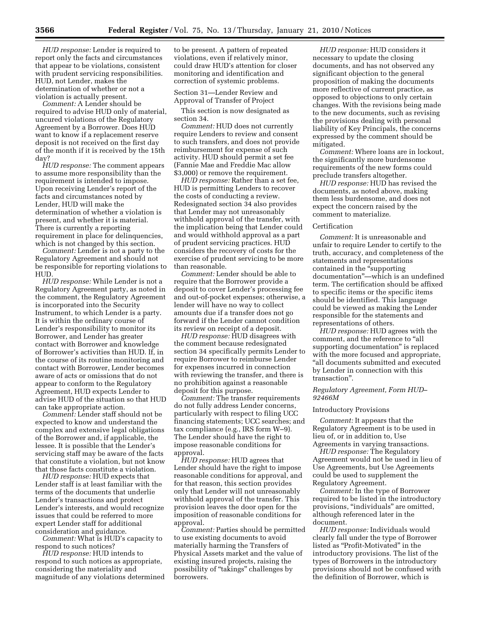*HUD response:* Lender is required to report only the facts and circumstances that appear to be violations, consistent with prudent servicing responsibilities. HUD, not Lender, makes the determination of whether or not a violation is actually present.

*Comment:* A Lender should be required to advise HUD only of material, uncured violations of the Regulatory Agreement by a Borrower. Does HUD want to know if a replacement reserve deposit is not received on the first day of the month if it is received by the 15th day?

*HUD response:* The comment appears to assume more responsibility than the requirement is intended to impose. Upon receiving Lender's report of the facts and circumstances noted by Lender, HUD will make the determination of whether a violation is present, and whether it is material. There is currently a reporting requirement in place for delinquencies, which is not changed by this section.

*Comment:* Lender is not a party to the Regulatory Agreement and should not be responsible for reporting violations to HUD.

*HUD response:* While Lender is not a Regulatory Agreement party, as noted in the comment, the Regulatory Agreement is incorporated into the Security Instrument, to which Lender is a party. It is within the ordinary course of Lender's responsibility to monitor its Borrower, and Lender has greater contact with Borrower and knowledge of Borrower's activities than HUD. If, in the course of its routine monitoring and contact with Borrower, Lender becomes aware of acts or omissions that do not appear to conform to the Regulatory Agreement, HUD expects Lender to advise HUD of the situation so that HUD can take appropriate action.

*Comment:* Lender staff should not be expected to know and understand the complex and extensive legal obligations of the Borrower and, if applicable, the lessee. It is possible that the Lender's servicing staff may be aware of the facts that constitute a violation, but not know that those facts constitute a violation.

*HUD response:* HUD expects that Lender staff is at least familiar with the terms of the documents that underlie Lender's transactions and protect Lender's interests, and would recognize issues that could be referred to more expert Lender staff for additional consideration and guidance.

*Comment:* What is HUD's capacity to respond to such notices?

*HUD response:* HUD intends to respond to such notices as appropriate, considering the materiality and magnitude of any violations determined

to be present. A pattern of repeated violations, even if relatively minor, could draw HUD's attention for closer monitoring and identification and correction of systemic problems.

Section 31—Lender Review and Approval of Transfer of Project

This section is now designated as section 34.

*Comment:* HUD does not currently require Lenders to review and consent to such transfers, and does not provide reimbursement for expense of such activity. HUD should permit a set fee (Fannie Mae and Freddie Mac allow \$3,000) or remove the requirement.

*HUD response:* Rather than a set fee, HUD is permitting Lenders to recover the costs of conducting a review. Redesignated section 34 also provides that Lender may not unreasonably withhold approval of the transfer, with the implication being that Lender could and would withhold approval as a part of prudent servicing practices. HUD considers the recovery of costs for the exercise of prudent servicing to be more than reasonable.

*Comment:* Lender should be able to require that the Borrower provide a deposit to cover Lender's processing fee and out-of-pocket expenses; otherwise, a lender will have no way to collect amounts due if a transfer does not go forward if the Lender cannot condition its review on receipt of a deposit.

*HUD response:* HUD disagrees with the comment because redesignated section 34 specifically permits Lender to require Borrower to reimburse Lender for expenses incurred in connection with reviewing the transfer, and there is no prohibition against a reasonable deposit for this purpose.

*Comment:* The transfer requirements do not fully address Lender concerns, particularly with respect to filing UCC financing statements; UCC searches; and tax compliance (e.g., IRS form W–9). The Lender should have the right to impose reasonable conditions for approval.

*HUD response:* HUD agrees that Lender should have the right to impose reasonable conditions for approval, and for that reason, this section provides only that Lender will not unreasonably withhold approval of the transfer. This provision leaves the door open for the imposition of reasonable conditions for approval.

*Comment:* Parties should be permitted to use existing documents to avoid materially harming the Transfers of Physical Assets market and the value of existing insured projects, raising the possibility of ''takings'' challenges by borrowers.

*HUD response:* HUD considers it necessary to update the closing documents, and has not observed any significant objection to the general proposition of making the documents more reflective of current practice, as opposed to objections to only certain changes. With the revisions being made to the new documents, such as revising the provisions dealing with personal liability of Key Principals, the concerns expressed by the comment should be mitigated.

*Comment:* Where loans are in lockout, the significantly more burdensome requirements of the new forms could preclude transfers altogether.

*HUD response:* HUD has revised the documents, as noted above, making them less burdensome, and does not expect the concern raised by the comment to materialize.

#### Certification

*Comment:* It is unreasonable and unfair to require Lender to certify to the truth, accuracy, and completeness of the statements and representations contained in the ''supporting documentation''—which is an undefined term. The certification should be affixed to specific items or the specific items should be identified. This language could be viewed as making the Lender responsible for the statements and representations of others.

*HUD response:* HUD agrees with the comment, and the reference to ''all supporting documentation'' is replaced with the more focused and appropriate, ''all documents submitted and executed by Lender in connection with this transaction''.

*Regulatory Agreement, Form HUD– 92466M* 

#### Introductory Provisions

*Comment:* It appears that the Regulatory Agreement is to be used in lieu of, or in addition to, Use Agreements in varying transactions.

*HUD response:* The Regulatory Agreement would not be used in lieu of Use Agreements, but Use Agreements could be used to supplement the Regulatory Agreement.

*Comment:* In the type of Borrower required to be listed in the introductory provisions, ''individuals'' are omitted, although referenced later in the document.

*HUD response:* Individuals would clearly fall under the type of Borrower listed as ''Profit-Motivated'' in the introductory provisions. The list of the types of Borrowers in the introductory provisions should not be confused with the definition of Borrower, which is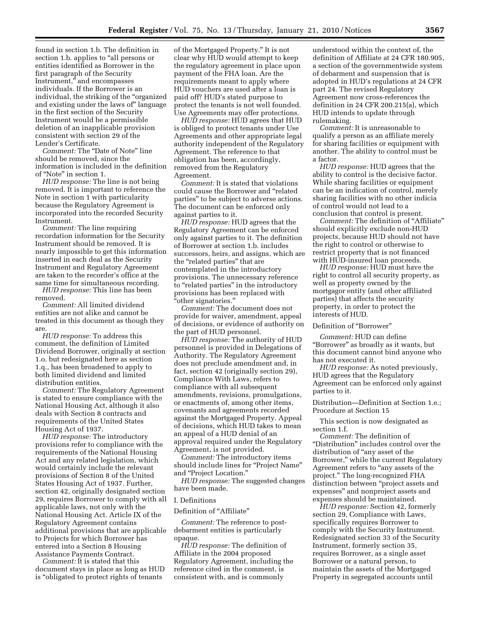found in section 1.b. The definition in section 1.b. applies to "all persons or entities identified as Borrower in the first paragraph of the Security Instrument," and encompasses individuals. If the Borrower is an individual, the striking of the ''organized and existing under the laws of'' language in the first section of the Security Instrument would be a permissible deletion of an inapplicable provision consistent with section 29 of the Lender's Certificate.

*Comment:* The ''Date of Note'' line should be removed, since the information is included in the definition of ''Note'' in section 1.

*HUD response:* The line is not being removed. It is important to reference the Note in section 1 with particularity because the Regulatory Agreement is incorporated into the recorded Security Instrument.

*Comment:* The line requiring recordation information for the Security Instrument should be removed. It is nearly impossible to get this information inserted in each deal as the Security Instrument and Regulatory Agreement are taken to the recorder's office at the same time for simultaneous recording.

*HUD response:* This line has been removed.

*Comment:* All limited dividend entities are not alike and cannot be treated in this document as though they are.

*HUD response:* To address this comment, the definition of Limited Dividend Borrower, originally at section 1.o. but redesignated here as section 1.q., has been broadened to apply to both limited dividend and limited distribution entities.

*Comment:* The Regulatory Agreement is stated to ensure compliance with the National Housing Act, although it also deals with Section 8 contracts and requirements of the United States Housing Act of 1937.

*HUD response:* The introductory provisions refer to compliance with the requirements of the National Housing Act and any related legislation, which would certainly include the relevant provisions of Section 8 of the United States Housing Act of 1937. Further, section 42, originally designated section 29, requires Borrower to comply with all applicable laws, not only with the National Housing Act. Article IX of the Regulatory Agreement contains additional provisions that are applicable to Projects for which Borrower has entered into a Section 8 Housing Assistance Payments Contract.

*Comment:* It is stated that this document stays in place as long as HUD is ''obligated to protect rights of tenants

of the Mortgaged Property.'' It is not clear why HUD would attempt to keep the regulatory agreement in place upon payment of the FHA loan. Are the requirements meant to apply where HUD vouchers are used after a loan is paid off? HUD's stated purpose to protect the tenants is not well founded. Use Agreements may offer protections.

*HUD response:* HUD agrees that HUD is obliged to protect tenants under Use Agreements and other appropriate legal authority independent of the Regulatory Agreement. The reference to that obligation has been, accordingly, removed from the Regulatory Agreement.

*Comment:* It is stated that violations could cause the Borrower and ''related parties'' to be subject to adverse actions. The document can be enforced only against parties to it.

*HUD response:* HUD agrees that the Regulatory Agreement can be enforced only against parties to it. The definition of Borrower at section 1.b. includes successors, heirs, and assigns, which are the ''related parties'' that are contemplated in the introductory provisions. The unnecessary reference to "related parties" in the introductory provisions has been replaced with ''other signatories.''

*Comment:* The document does not provide for waiver, amendment, appeal of decisions, or evidence of authority on the part of HUD personnel.

*HUD response:* The authority of HUD personnel is provided in Delegations of Authority. The Regulatory Agreement does not preclude amendment and, in fact, section 42 (originally section 29), Compliance With Laws, refers to compliance with all subsequent amendments, revisions, promulgations, or enactments of, among other items, covenants and agreements recorded against the Mortgaged Property. Appeal of decisions, which HUD takes to mean an appeal of a HUD denial of an approval required under the Regulatory Agreement, is not provided.

*Comment:* The introductory items should include lines for "Project Name" and ''Project Location.''

*HUD response:* The suggested changes have been made.

## I. Definitions

Definition of "Affiliate"

*Comment:* The reference to postdebarment entities is particularly opaque.

*HUD response:* The definition of Affiliate in the 2004 proposed Regulatory Agreement, including the reference cited in the comment, is consistent with, and is commonly

understood within the context of, the definition of Affiliate at 24 CFR 180.905, a section of the governmentwide system of debarment and suspension that is adopted in HUD's regulations at 24 CFR part 24. The revised Regulatory Agreement now cross-references the definition in 24 CFR 200.215(a), which HUD intends to update through rulemaking.

*Comment:* It is unreasonable to qualify a person as an affiliate merely for sharing facilities or equipment with another. The ability to control must be a factor.

*HUD response:* HUD agrees that the ability to control is the decisive factor. While sharing facilities or equipment can be an indication of control, merely sharing facilities with no other indicia of control would not lead to a conclusion that control is present.

*Comment:* The definition of ''Affiliate'' should explicitly exclude non-HUD projects, because HUD should not have the right to control or otherwise to restrict property that is not financed with HUD-insured loan proceeds.

*HUD response:* HUD must have the right to control all security property, as well as property owned by the mortgagor entity (and other affiliated parties) that affects the security property, in order to protect the interests of HUD.

Definition of "Borrower"

*Comment:* HUD can define ''Borrower'' as broadly as it wants, but this document cannot bind anyone who has not executed it.

*HUD response:* As noted previously, HUD agrees that the Regulatory Agreement can be enforced only against parties to it.

Distribution—Definition at Section 1.e.; Procedure at Section 15

This section is now designated as section 1.f.

*Comment:* The definition of ''Distribution'' includes control over the distribution of "any asset of the Borrower,'' while the current Regulatory Agreement refers to ''any assets of the project.'' The long-recognized FHA distinction between ''project assets and expenses'' and nonproject assets and expenses should be maintained.

*HUD response:* Section 42, formerly section 29, Compliance with Laws, specifically requires Borrower to comply with the Security Instrument. Redesignated section 33 of the Security Instrument, formerly section 35, requires Borrower, as a single asset Borrower or a natural person, to maintain the assets of the Mortgaged Property in segregated accounts until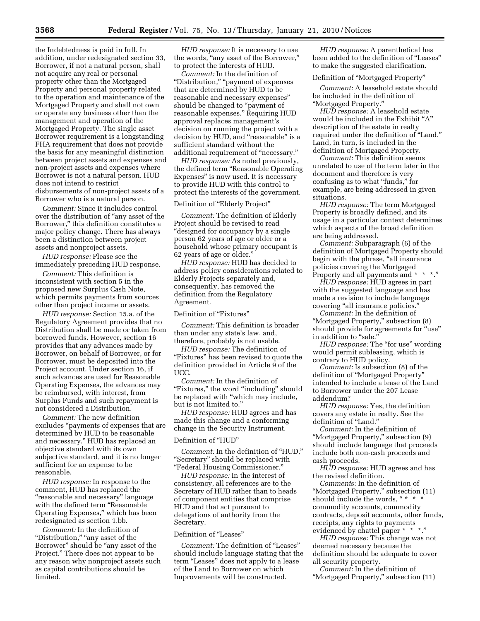the Indebtedness is paid in full. In addition, under redesignated section 33, Borrower, if not a natural person, shall not acquire any real or personal property other than the Mortgaged Property and personal property related to the operation and maintenance of the Mortgaged Property and shall not own or operate any business other than the management and operation of the Mortgaged Property. The single asset Borrower requirement is a longstanding FHA requirement that does not provide the basis for any meaningful distinction between project assets and expenses and non-project assets and expenses where Borrower is not a natural person. HUD does not intend to restrict disbursements of non-project assets of a Borrower who is a natural person.

*Comment:* Since it includes control over the distribution of ''any asset of the Borrower,'' this definition constitutes a major policy change. There has always been a distinction between project assets and nonproject assets.

*HUD response:* Please see the immediately preceding HUD response.

*Comment:* This definition is inconsistent with section 5 in the proposed new Surplus Cash Note, which permits payments from sources other than project income or assets.

*HUD response:* Section 15.a. of the Regulatory Agreement provides that no Distribution shall be made or taken from borrowed funds. However, section 16 provides that any advances made by Borrower, on behalf of Borrower, or for Borrower, must be deposited into the Project account. Under section 16, if such advances are used for Reasonable Operating Expenses, the advances may be reimbursed, with interest, from Surplus Funds and such repayment is not considered a Distribution.

*Comment:* The new definition excludes ''payments of expenses that are determined by HUD to be reasonable and necessary.'' HUD has replaced an objective standard with its own subjective standard, and it is no longer sufficient for an expense to be reasonable.

*HUD response:* In response to the comment, HUD has replaced the ''reasonable and necessary'' language with the defined term "Reasonable Operating Expenses,'' which has been redesignated as section 1.bb.

*Comment:* In the definition of "Distribution," "any asset of the Borrower'' should be ''any asset of the Project.'' There does not appear to be any reason why nonproject assets such as capital contributions should be limited.

*HUD response:* It is necessary to use the words, "any asset of the Borrower," to protect the interests of HUD.

*Comment:* In the definition of ''Distribution,'' ''payment of expenses that are determined by HUD to be reasonable and necessary expenses'' should be changed to "payment of reasonable expenses.'' Requiring HUD approval replaces management's decision on running the project with a decision by HUD, and "reasonable" is a sufficient standard without the additional requirement of ''necessary.''

*HUD response:* As noted previously, the defined term ''Reasonable Operating Expenses'' is now used. It is necessary to provide HUD with this control to protect the interests of the government.

#### Definition of "Elderly Project"

*Comment:* The definition of Elderly Project should be revised to read ''designed for occupancy by a single person 62 years of age or older or a household whose primary occupant is 62 years of age or older.''

*HUD response:* HUD has decided to address policy considerations related to Elderly Projects separately and, consequently, has removed the definition from the Regulatory Agreement.

Definition of "Fixtures"

*Comment:* This definition is broader than under any state's law, and, therefore, probably is not usable.

*HUD response:* The definition of "Fixtures" has been revised to quote the definition provided in Article 9 of the UCC.

*Comment:* In the definition of "Fixtures," the word "including" should be replaced with ''which may include, but is not limited to.''

*HUD response:* HUD agrees and has made this change and a conforming change in the Security Instrument.

## Definition of ''HUD''

*Comment:* In the definition of ''HUD,'' "Secretary" should be replaced with ''Federal Housing Commissioner.''

*HUD response:* In the interest of consistency, all references are to the Secretary of HUD rather than to heads of component entities that comprise HUD and that act pursuant to delegations of authority from the Secretary.

## Definition of "Leases"

*Comment:* The definition of ''Leases'' should include language stating that the term ''Leases'' does not apply to a lease of the Land to Borrower on which Improvements will be constructed.

*HUD response:* A parenthetical has been added to the definition of ''Leases'' to make the suggested clarification.

#### Definition of ''Mortgaged Property''

*Comment:* A leasehold estate should be included in the definition of ''Mortgaged Property.''

*HUD response:* A leasehold estate would be included in the Exhibit ''A'' description of the estate in realty required under the definition of ''Land.'' Land, in turn, is included in the definition of Mortgaged Property.

*Comment:* This definition seems unrelated to use of the term later in the document and therefore is very confusing as to what ''funds,'' for example, are being addressed in given situations.

*HUD response:* The term Mortgaged Property is broadly defined, and its usage in a particular context determines which aspects of the broad definition are being addressed.

*Comment:* Subparagraph (6) of the definition of Mortgaged Property should begin with the phrase, "all insurance policies covering the Mortgaged Property and all payments and \* \* \*."

*HUD response:* HUD agrees in part with the suggested language and has made a revision to include language covering "all insurance policies."

*Comment:* In the definition of ''Mortgaged Property,'' subsection (8) should provide for agreements for "use" in addition to "sale."

*HUD response:* The "for use" wording would permit subleasing, which is contrary to HUD policy.

*Comment:* Is subsection (8) of the definition of ''Mortgaged Property'' intended to include a lease of the Land to Borrower under the 207 Lease addendum?

*HUD response:* Yes, the definition covers any estate in realty. See the definition of "Land."

*Comment:* In the definition of ''Mortgaged Property,'' subsection (9) should include language that proceeds include both non-cash proceeds and cash proceeds.

*HUD response:* HUD agrees and has the revised definition.

*Comment*s: In the definition of ''Mortgaged Property,'' subsection (11) should include the words, " \* \* \* commodity accounts, commodity contracts, deposit accounts, other funds, receipts, any rights to payments evidenced by chattel paper \* \* \*."

*HUD response:* This change was not deemed necessary because the definition should be adequate to cover all security property.

*Comment:* In the definition of ''Mortgaged Property,'' subsection (11)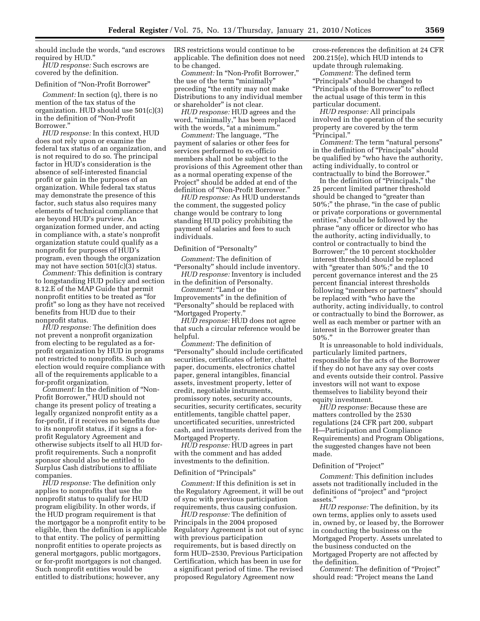should include the words, ''and escrows required by HUD.''

*HUD response:* Such escrows are covered by the definition.

#### Definition of ''Non-Profit Borrower''

*Comment:* In section (q), there is no mention of the tax status of the organization. HUD should use 501(c)(3) in the definition of ''Non-Profit Borrower.''

*HUD response:* In this context, HUD does not rely upon or examine the federal tax status of an organization, and is not required to do so. The principal factor in HUD's consideration is the absence of self-interested financial profit or gain in the purposes of an organization. While federal tax status may demonstrate the presence of this factor, such status also requires many elements of technical compliance that are beyond HUD's purview. An organization formed under, and acting in compliance with, a state's nonprofit organization statute could qualify as a nonprofit for purposes of HUD's program, even though the organization may not have section 501(c)(3) status.

*Comment:* This definition is contrary to longstanding HUD policy and section 8.12.E of the MAP Guide that permit nonprofit entities to be treated as ''for profit'' so long as they have not received benefits from HUD due to their nonprofit status.

*HUD response:* The definition does not prevent a nonprofit organization from electing to be regulated as a forprofit organization by HUD in programs not restricted to nonprofits. Such an election would require compliance with all of the requirements applicable to a for-profit organization.

*Comment:* In the definition of ''Non-Profit Borrower,'' HUD should not change its present policy of treating a legally organized nonprofit entity as a for-profit, if it receives no benefits due to its nonprofit status, if it signs a forprofit Regulatory Agreement and otherwise subjects itself to all HUD forprofit requirements. Such a nonprofit sponsor should also be entitled to Surplus Cash distributions to affiliate companies.

*HUD response:* The definition only applies to nonprofits that use the nonprofit status to qualify for HUD program eligibility. In other words, if the HUD program requirement is that the mortgagor be a nonprofit entity to be eligible, then the definition is applicable to that entity. The policy of permitting nonprofit entities to operate projects as general mortgagors, public mortgagors, or for-profit mortgagors is not changed. Such nonprofit entities would be entitled to distributions; however, any

IRS restrictions would continue to be applicable. The definition does not need to be changed.

*Comment:* In ''Non-Profit Borrower,'' the use of the term "minimally" preceding ''the entity may not make Distributions to any individual member or shareholder'' is not clear.

*HUD response:* HUD agrees and the word, "minimally," has been replaced with the words, "at a minimum.

*Comment:* The language, ''The payment of salaries or other fees for services performed to ex-officio members shall not be subject to the provisions of this Agreement other than as a normal operating expense of the Project'' should be added at end of the definition of ''Non-Profit Borrower.''

*HUD response:* As HUD understands the comment, the suggested policy change would be contrary to long standing HUD policy prohibiting the payment of salaries and fees to such individuals.

#### Definition of "Personalty"

*Comment:* The definition of ''Personalty'' should include inventory.

*HUD response:* Inventory is included in the definition of Personalty.

*Comment:* "Land or the Improvements'' in the definition of ''Personalty'' should be replaced with ''Mortgaged Property.''

*HUD response:* HUD does not agree that such a circular reference would be helpful.

*Comment:* The definition of ''Personalty'' should include certificated securities, certificates of letter, chattel paper, documents, electronics chattel paper, general intangibles, financial assets, investment property, letter of credit, negotiable instruments, promissory notes, security accounts, securities, security certificates, security entitlements, tangible chattel paper, uncertificated securities, unrestricted cash, and investments derived from the Mortgaged Property.

*HUD response:* HUD agrees in part with the comment and has added investments to the definition.

#### Definition of "Principals"

*Comment:* If this definition is set in the Regulatory Agreement, it will be out of sync with previous participation requirements, thus causing confusion.

*HUD response:* The definition of Principals in the 2004 proposed Regulatory Agreement is not out of sync with previous participation requirements, but is based directly on form HUD–2530, Previous Participation Certification, which has been in use for a significant period of time. The revised proposed Regulatory Agreement now

cross-references the definition at 24 CFR 200.215(e), which HUD intends to update through rulemaking.

*Comment:* The defined term ''Principals'' should be changed to ''Principals of the Borrower'' to reflect the actual usage of this term in this particular document.

*HUD response:* All principals involved in the operation of the security property are covered by the term ''Principal.''

*Comment:* The term "natural persons" in the definition of "Principals" should be qualified by ''who have the authority, acting individually, to control or contractually to bind the Borrower.''

In the definition of "Principals," the 25 percent limited partner threshold should be changed to "greater than 50%;'' the phrase, ''in the case of public or private corporations or governmental entities,'' should be followed by the phrase ''any officer or director who has the authority, acting individually, to control or contractually to bind the Borrower;'' the 10 percent stockholder interest threshold should be replaced with "greater than 50%;" and the 10 percent governance interest and the 25 percent financial interest thresholds following ''members or partners'' should be replaced with ''who have the authority, acting individually, to control or contractually to bind the Borrower, as well as each member or partner with an interest in the Borrower greater than 50%.''

It is unreasonable to hold individuals, particularly limited partners, responsible for the acts of the Borrower if they do not have any say over costs and events outside their control. Passive investors will not want to expose themselves to liability beyond their equity investment.

*HUD response:* Because these are matters controlled by the 2530 regulations (24 CFR part 200, subpart H—Participation and Compliance Requirements) and Program Obligations, the suggested changes have not been made.

#### Definition of "Project"

*Comment:* This definition includes assets not traditionally included in the definitions of ''project'' and ''project assets.''

*HUD response:* The definition, by its own terms, applies only to assets used in, owned by, or leased by, the Borrower in conducting the business on the Mortgaged Property. Assets unrelated to the business conducted on the Mortgaged Property are not affected by the definition.

*Comment:* The definition of "Project" should read: ''Project means the Land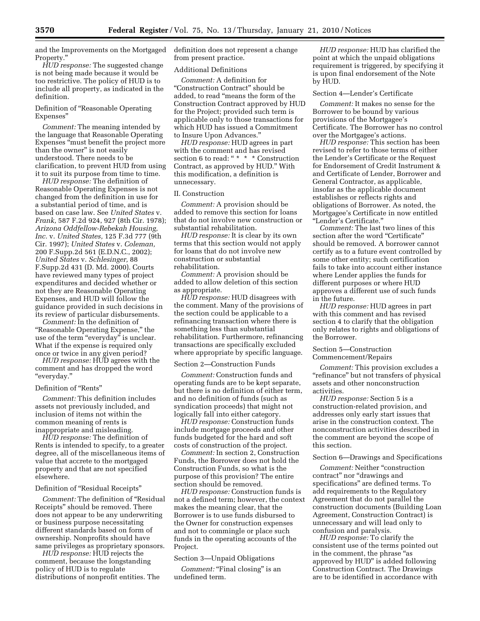and the Improvements on the Mortgaged Property.''

*HUD response:* The suggested change is not being made because it would be too restrictive. The policy of HUD is to include all property, as indicated in the definition.

Definition of ''Reasonable Operating Expenses''

*Comment:* The meaning intended by the language that Reasonable Operating Expenses ''must benefit the project more than the owner'' is not easily understood. There needs to be clarification, to prevent HUD from using it to suit its purpose from time to time.

*HUD response:* The definition of Reasonable Operating Expenses is not changed from the definition in use for a substantial period of time, and is based on case law. See *United States* v. *Frank,* 587 F.2d 924, 927 (8th Cir. 1978); *Arizona Oddfellow-Rebekah Housing, Inc.* v. *United States,* 125 F.3d 777 (9th Cir. 1997); *United States* v. *Coleman,*  200 F.Supp.2d 561 (E.D.N.C., 2002); *United States* v. *Schlesinger,* 88 F.Supp.2d 431 (D. Md. 2000). Courts have reviewed many types of project expenditures and decided whether or not they are Reasonable Operating Expenses, and HUD will follow the guidance provided in such decisions in its review of particular disbursements.

*Comment:* In the definition of ''Reasonable Operating Expense,'' the use of the term "everyday" is unclear. What if the expense is required only once or twice in any given period?

*HUD response:* HUD agrees with the comment and has dropped the word ''everyday.''

#### Definition of "Rents"

*Comment:* This definition includes assets not previously included, and inclusion of items not within the common meaning of rents is inappropriate and misleading.

*HUD response:* The definition of Rents is intended to specify, to a greater degree, all of the miscellaneous items of value that accrete to the mortgaged property and that are not specified elsewhere.

#### Definition of "Residual Receipts"

*Comment:* The definition of ''Residual Receipts'' should be removed. There does not appear to be any underwriting or business purpose necessitating different standards based on form of ownership. Nonprofits should have same privileges as proprietary sponsors.

*HUD response:* HUD rejects the comment, because the longstanding policy of HUD is to regulate distributions of nonprofit entities. The definition does not represent a change from present practice.

## Additional Definitions

*Comment:* A definition for ''Construction Contract'' should be added, to read ''means the form of the Construction Contract approved by HUD for the Project; provided such term is applicable only to those transactions for which HUD has issued a Commitment to Insure Upon Advances.''

*HUD response:* HUD agrees in part with the comment and has revised section 6 to read: " \* \* \* Construction Contract, as approved by HUD.'' With this modification, a definition is unnecessary.

## II. Construction

*Comment:* A provision should be added to remove this section for loans that do not involve new construction or substantial rehabilitation.

*HUD response:* It is clear by its own terms that this section would not apply for loans that do not involve new construction or substantial rehabilitation.

*Comment:* A provision should be added to allow deletion of this section as appropriate.

*HUD response:* HUD disagrees with the comment. Many of the provisions of the section could be applicable to a refinancing transaction where there is something less than substantial rehabilitation. Furthermore, refinancing transactions are specifically excluded where appropriate by specific language.

#### Section 2—Construction Funds

*Comment:* Construction funds and operating funds are to be kept separate, but there is no definition of either term, and no definition of funds (such as syndication proceeds) that might not logically fall into either category.

*HUD response:* Construction funds include mortgage proceeds and other funds budgeted for the hard and soft costs of construction of the project.

*Comment:* In section 2, Construction Funds, the Borrower does not hold the Construction Funds, so what is the purpose of this provision? The entire section should be removed.

*HUD response:* Construction funds is not a defined term; however, the context makes the meaning clear, that the Borrower is to use funds disbursed to the Owner for construction expenses and not to commingle or place such funds in the operating accounts of the Project.

## Section 3—Unpaid Obligations

*Comment:* "Final closing" is an undefined term.

*HUD response:* HUD has clarified the point at which the unpaid obligations requirement is triggered, by specifying it is upon final endorsement of the Note by HUD.

## Section 4—Lender's Certificate

*Comment:* It makes no sense for the Borrower to be bound by various provisions of the Mortgagee's Certificate. The Borrower has no control over the Mortgagee's actions.

*HUD response:* This section has been revised to refer to those terms of either the Lender's Certificate or the Request for Endorsement of Credit Instrument & and Certificate of Lender, Borrower and General Contractor, as applicable, insofar as the applicable document establishes or reflects rights and obligations of Borrower. As noted, the Mortgagee's Certificate in now entitled ''Lender's Certificate.''

*Comment:* The last two lines of this section after the word "Certificate" should be removed. A borrower cannot certify as to a future event controlled by some other entity; such certification fails to take into account either instance where Lender applies the funds for different purposes or where HUD approves a different use of such funds in the future.

*HUD response:* HUD agrees in part with this comment and has revised section 4 to clarify that the obligation only relates to rights and obligations of the Borrower.

## Section 5—Construction Commencement/Repairs

*Comment:* This provision excludes a "refinance" but not transfers of physical assets and other nonconstruction activities.

*HUD response:* Section 5 is a construction-related provision, and addresses only early start issues that arise in the construction context. The nonconstruction activities described in the comment are beyond the scope of this section.

## Section 6—Drawings and Specifications

*Comment:* Neither ''construction contract'' nor ''drawings and specifications'' are defined terms. To add requirements to the Regulatory Agreement that do not parallel the construction documents (Building Loan Agreement, Construction Contract) is unnecessary and will lead only to confusion and paralysis.

*HUD response:* To clarify the consistent use of the terms pointed out in the comment, the phrase "as approved by HUD'' is added following Construction Contract. The Drawings are to be identified in accordance with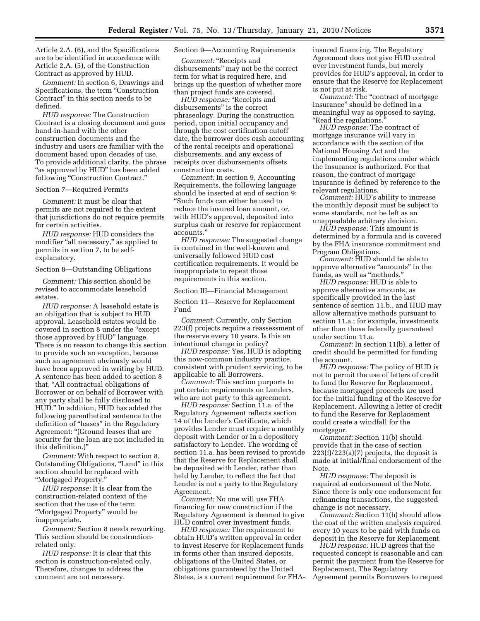Article 2.A. (6), and the Specifications are to be identified in accordance with Article 2.A. (5), of the Construction Contract as approved by HUD.

*Comment:* In section 6, Drawings and Specifications, the term "Construction Contract'' in this section needs to be defined.

*HUD response:* The Construction Contract is a closing document and goes hand-in-hand with the other construction documents and the industry and users are familiar with the document based upon decades of use. To provide additional clarity, the phrase "as approved by HUD" has been added following "Construction Contract."

#### Section 7—Required Permits

*Comment:* It must be clear that permits are not required to the extent that jurisdictions do not require permits for certain activities.

*HUD response:* HUD considers the modifier "all necessary," as applied to permits in section 7, to be selfexplanatory.

#### Section 8—Outstanding Obligations

*Comment:* This section should be revised to accommodate leasehold estates.

*HUD response:* A leasehold estate is an obligation that is subject to HUD approval. Leasehold estates would be covered in section 8 under the ''except those approved by HUD'' language. There is no reason to change this section to provide such an exception, because such an agreement obviously would have been approved in writing by HUD. A sentence has been added to section 8 that, ''All contractual obligations of Borrower or on behalf of Borrower with any party shall be fully disclosed to HUD.'' In addition, HUD has added the following parenthetical sentence to the definition of ''leases'' in the Regulatory Agreement: "(Ground leases that are security for the loan are not included in this definition.)''

*Comment:* With respect to section 8, Outstanding Obligations, "Land" in this section should be replaced with ''Mortgaged Property.''

*HUD response:* It is clear from the construction-related context of the section that the use of the term ''Mortgaged Property'' would be inappropriate.

*Comment:* Section 8 needs reworking. This section should be constructionrelated only.

*HUD response:* It is clear that this section is construction-related only. Therefore, changes to address the comment are not necessary.

## Section 9—Accounting Requirements

*Comment:* ''Receipts and disbursements'' may not be the correct term for what is required here, and brings up the question of whether more than project funds are covered.

*HUD response:* "Receipts and disbursements'' is the correct phraseology. During the construction period, upon initial occupancy and through the cost certification cutoff date, the borrower does cash accounting of the rental receipts and operational disbursements, and any excess of receipts over disbursements offsets construction costs.

*Comment:* In section 9, Accounting Requirements, the following language should be inserted at end of section 9: ''Such funds can either be used to reduce the insured loan amount, or, with HUD's approval, deposited into surplus cash or reserve for replacement accounts.''

*HUD response:* The suggested change is contained in the well-known and universally followed HUD cost certification requirements. It would be inappropriate to repeat those requirements in this section.

#### Section III—Financial Management

Section 11—Reserve for Replacement Fund

*Comment:* Currently, only Section 223(f) projects require a reassessment of the reserve every 10 years. Is this an intentional change in policy?

*HUD response:* Yes, HUD is adopting this now-common industry practice, consistent with prudent servicing, to be applicable to all Borrowers.

*Comment:* This section purports to put certain requirements on Lenders, who are not party to this agreement.

*HUD response:* Section 11.a. of the Regulatory Agreement reflects section 14 of the Lender's Certificate, which provides Lender must require a monthly deposit with Lender or in a depository satisfactory to Lender. The wording of section 11.a. has been revised to provide that the Reserve for Replacement shall be deposited with Lender, rather than held by Lender, to reflect the fact that Lender is not a party to the Regulatory Agreement.

*Comment:* No one will use FHA financing for new construction if the Regulatory Agreement is deemed to give HUD control over investment funds.

*HUD response:* The requirement to obtain HUD's written approval in order to invest Reserve for Replacement funds in forms other than insured deposits, obligations of the United States, or obligations guaranteed by the United States, is a current requirement for FHA- insured financing. The Regulatory Agreement does not give HUD control over investment funds, but merely provides for HUD's approval, in order to ensure that the Reserve for Replacement is not put at risk.

*Comment:* The ''contract of mortgage insurance'' should be defined in a meaningful way as opposed to saying, ''Read the regulations.''

*HUD response:* The contract of mortgage insurance will vary in accordance with the section of the National Housing Act and the implementing regulations under which the insurance is authorized. For that reason, the contract of mortgage insurance is defined by reference to the relevant regulations.

*Comment:* HUD's ability to increase the monthly deposit must be subject to some standards, not be left as an unappealable arbitrary decision.

*HUD response:* This amount is determined by a formula and is covered by the FHA insurance commitment and Program Obligations.

*Comment:* HUD should be able to approve alternative "amounts" in the funds, as well as ''methods.''

*HUD response:* HUD is able to approve alternative amounts, as specifically provided in the last sentence of section 11.b., and HUD may allow alternative methods pursuant to section 11.a.; for example, investments other than those federally guaranteed under section 11.a.

*Comment:* In section 11(b), a letter of credit should be permitted for funding the account.

*HUD response:* The policy of HUD is not to permit the use of letters of credit to fund the Reserve for Replacement, because mortgaged proceeds are used for the initial funding of the Reserve for Replacement. Allowing a letter of credit to fund the Reserve for Replacement could create a windfall for the mortgagor.

*Comment:* Section 11(b) should provide that in the case of section  $223(f)/223(a)(7)$  projects, the deposit is made at initial/final endorsement of the Note.

*HUD response:* The deposit is required at endorsement of the Note. Since there is only one endorsement for refinancing transactions, the suggested change is not necessary.

*Comment:* Section 11(b) should allow the cost of the written analysis required every 10 years to be paid with funds on deposit in the Reserve for Replacement.

*HUD response:* HUD agrees that the requested concept is reasonable and can permit the payment from the Reserve for Replacement. The Regulatory Agreement permits Borrowers to request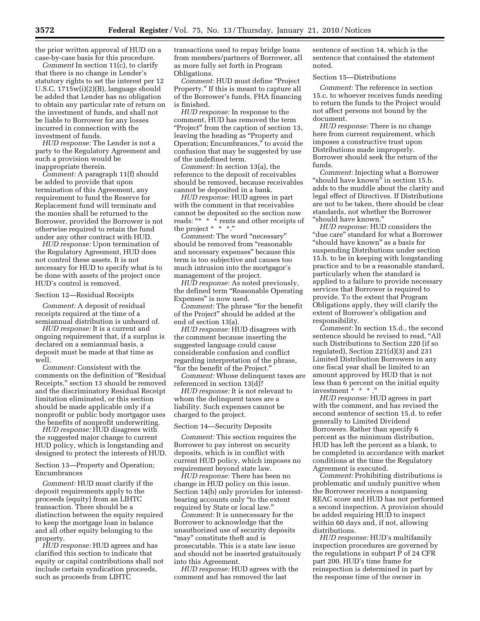the prior written approval of HUD on a case-by-case basis for this procedure.

*Comment* In section 11(c), to clarify that there is no change in Lender's statutory rights to set the interest per 12 U.S.C. 1715w(i)(2)(B), language should be added that Lender has no obligation to obtain any particular rate of return on the investment of funds, and shall not be liable to Borrower for any losses incurred in connection with the investment of funds.

*HUD response:* The Lender is not a party to the Regulatory Agreement and such a provision would be inappropriate therein.

*Comment:* A paragraph 11(f) should be added to provide that upon termination of this Agreement, any requirement to fund the Reserve for Replacement fund will terminate and the monies shall be returned to the Borrower, provided the Borrower is not otherwise required to retain the fund under any other contract with HUD.

*HUD response:* Upon termination of the Regulatory Agreement, HUD does not control these assets. It is not necessary for HUD to specify what is to be done with assets of the project once HUD's control is removed.

#### Section 12—Residual Receipts

*Comment:* A deposit of residual receipts required at the time of a semiannual distribution is unheard of.

*HUD response:* It is a current and ongoing requirement that, if a surplus is declared on a semiannual basis, a deposit must be made at that time as well.

*Comment:* Consistent with the comments on the definition of ''Residual Receipts,'' section 13 should be removed and the discriminatory Residual Receipt limitation eliminated, or this section should be made applicable only if a nonprofit or public body mortgagor uses the benefits of nonprofit underwriting.

*HUD response:* HUD disagrees with the suggested major change to current HUD policy, which is longstanding and designed to protect the interests of HUD.

Section 13—Property and Operation; Encumbrances

*Comment:* HUD must clarify if the deposit requirements apply to the proceeds (equity) from an LIHTC transaction. There should be a distinction between the equity required to keep the mortgage loan in balance and all other equity belonging to the property.

*HUD response:* HUD agrees and has clarified this section to indicate that equity or capital contributions shall not include certain syndication proceeds, such as proceeds from LIHTC

transactions used to repay bridge loans from members/partners of Borrower, all as more fully set forth in Program Obligations.

*Comment:* HUD must define ''Project Property.'' If this is meant to capture all of the Borrower's funds, FHA financing is finished.

*HUD response:* In response to the comment, HUD has removed the term "Project" from the caption of section 13, leaving the heading as ''Property and Operation; Encumbrances,'' to avoid the confusion that may be suggested by use of the undefined term.

*Comment:* In section 13(a), the reference to the deposit of receivables should be removed, because receivables cannot be deposited in a bank.

*HUD response:* HUD agrees in part with the comment in that receivables cannot be deposited so the section now reads: "\* \* \* rents and other receipts of the project  $* * * "$ 

*Comment:* The word "necessary" should be removed from "reasonable and necessary expenses'' because this term is too subjective and causes too much intrusion into the mortgagor's management of the project.

*HUD response:* As noted previously, the defined term ''Reasonable Operating Expenses'' is now used.

*Comment:* The phrase ''for the benefit of the Project'' should be added at the end of section 13(a).

*HUD response:* HUD disagrees with the comment because inserting the suggested language could cause considerable confusion and conflict regarding interpretation of the phrase, ''for the benefit of the Project.''

*Comment:* Whose delinquent taxes are referenced in section 13(d)?

*HUD response:* It is not relevant to whom the delinquent taxes are a liability. Such expenses cannot be charged to the project.

## Section 14—Security Deposits

*Comment:* This section requires the Borrower to pay interest on security deposits, which is in conflict with current HUD policy, which imposes no requirement beyond state law.

*HUD response:* There has been no change in HUD policy on this issue. Section 14(b) only provides for interestbearing accounts only ''to the extent required by State or local law.''

*Comment:* It is unnecessary for the Borrower to acknowledge that the unauthorized use of security deposits "may" constitute theft and is prosecutable. This is a state law issue and should not be inserted gratuitously into this Agreement.

*HUD response:* HUD agrees with the comment and has removed the last

sentence of section 14, which is the sentence that contained the statement noted.

## Section 15—Distributions

*Comment:* The reference in section 15.c. to whoever receives funds needing to return the funds to the Project would not affect persons not bound by the document.

*HUD response:* There is no change here from current requirement, which imposes a constructive trust upon Distributions made improperly. Borrower should seek the return of the funds.

*Comment:* Injecting what a Borrower "should have known" in section 15.b. adds to the muddle about the clarity and legal effect of Directives. If Distributions are not to be taken, there should be clear standards, not whether the Borrower ''should have known.''

*HUD response:* HUD considers the ''due care'' standard for what a Borrower ''should have known'' as a basis for suspending Distributions under section 15.b. to be in keeping with longstanding practice and to be a reasonable standard, particularly when the standard is applied to a failure to provide necessary services that Borrower is required to provide. To the extent that Program Obligations apply, they will clarify the extent of Borrower's obligation and responsibility.

*Comment:* In section 15.d., the second sentence should be revised to read, ''All such Distributions to Section 220 (if so regulated), Section 221(d)(3) and 231 Limited Distribution Borrowers in any one fiscal year shall be limited to an amount approved by HUD that is not less than 6 percent on the initial equity investment \* \* \* .''

*HUD response:* HUD agrees in part with the comment, and has revised the second sentence of section 15.d. to refer generally to Limited Dividend Borrowers. Rather than specify 6 percent as the minimum distribution, HUD has left the percent as a blank, to be completed in accordance with market conditions at the time the Regulatory Agreement is executed.

*Comment:* Prohibiting distributions is problematic and unduly punitive when the Borrower receives a nonpassing REAC score and HUD has not performed a second inspection. A provision should be added requiring HUD to inspect within 60 days and, if not, allowing distributions.

*HUD response:* HUD's multifamily inspection procedures are governed by the regulations in subpart P of 24 CFR part 200. HUD's time frame for reinspection is determined in part by the response time of the owner in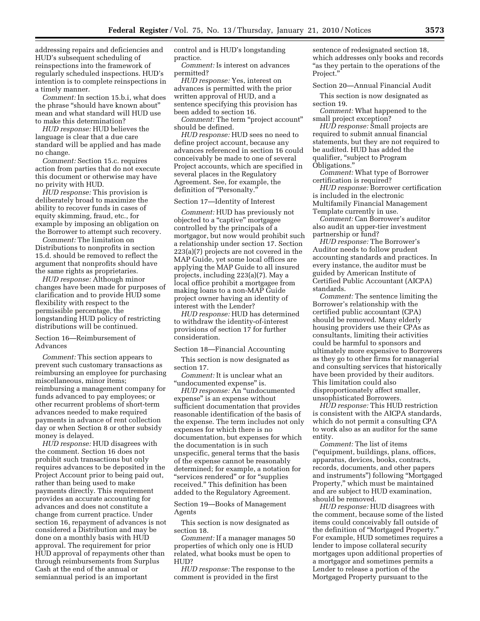addressing repairs and deficiencies and HUD's subsequent scheduling of reinspections into the framework of regularly scheduled inspections. HUD's intention is to complete reinspections in a timely manner.

*Comment:* In section 15.b.i, what does the phrase ''should have known about'' mean and what standard will HUD use to make this determination?

*HUD response:* HUD believes the language is clear that a due care standard will be applied and has made no change.

*Comment:* Section 15.c. requires action from parties that do not execute this document or otherwise may have no privity with HUD.

*HUD response:* This provision is deliberately broad to maximize the ability to recover funds in cases of equity skimming, fraud, etc., for example by imposing an obligation on the Borrower to attempt such recovery.

*Comment:* The limitation on Distributions to nonprofits in section 15.d. should be removed to reflect the argument that nonprofits should have the same rights as proprietaries.

*HUD response:* Although minor changes have been made for purposes of clarification and to provide HUD some flexibility with respect to the permissible percentage, the longstanding HUD policy of restricting distributions will be continued.

## Section 16—Reimbursement of Advances

*Comment:* This section appears to prevent such customary transactions as reimbursing an employee for purchasing miscellaneous, minor items; reimbursing a management company for funds advanced to pay employees; or other recurrent problems of short-term advances needed to make required payments in advance of rent collection day or when Section 8 or other subsidy money is delayed.

*HUD response:* HUD disagrees with the comment. Section 16 does not prohibit such transactions but only requires advances to be deposited in the Project Account prior to being paid out, rather than being used to make payments directly. This requirement provides an accurate accounting for advances and does not constitute a change from current practice. Under section 16, repayment of advances is not considered a Distribution and may be done on a monthly basis with HUD approval. The requirement for prior HUD approval of repayments other than through reimbursements from Surplus Cash at the end of the annual or semiannual period is an important

control and is HUD's longstanding practice.

*Comment:* Is interest on advances permitted?

*HUD response:* Yes, interest on advances is permitted with the prior written approval of HUD, and a sentence specifying this provision has been added to section 16.

*Comment:* The term ''project account'' should be defined.

*HUD response:* HUD sees no need to define project account, because any advances referenced in section 16 could conceivably be made to one of several Project accounts, which are specified in several places in the Regulatory Agreement. See, for example, the definition of "Personalty."

#### Section 17—Identity of Interest

*Comment:* HUD has previously not objected to a ''captive'' mortgagee controlled by the principals of a mortgagor, but now would prohibit such a relationship under section 17. Section 223(a)(7) projects are not covered in the MAP Guide, yet some local offices are applying the MAP Guide to all insured projects, including 223(a)(7). May a local office prohibit a mortgagee from making loans to a non-MAP Guide project owner having an identity of interest with the Lender?

*HUD response:* HUD has determined to withdraw the identity-of-interest provisions of section 17 for further consideration.

#### Section 18—Financial Accounting

This section is now designated as section 17.

*Comment:* It is unclear what an "undocumented expense" is.

*HUD response:* An ''undocumented expense'' is an expense without sufficient documentation that provides reasonable identification of the basis of the expense. The term includes not only expenses for which there is no documentation, but expenses for which the documentation is in such unspecific, general terms that the basis of the expense cannot be reasonably determined; for example, a notation for ''services rendered'' or for ''supplies received.'' This definition has been added to the Regulatory Agreement.

Section 19—Books of Management Agents

This section is now designated as section 18.

*Comment:* If a manager manages 50 properties of which only one is HUD related, what books must be open to HUD?

*HUD response:* The response to the comment is provided in the first

sentence of redesignated section 18, which addresses only books and records ''as they pertain to the operations of the Project.''

## Section 20—Annual Financial Audit

This section is now designated as section 19.

*Comment:* What happened to the small project exception?

*HUD response:* Small projects are required to submit annual financial statements, but they are not required to be audited. HUD has added the qualifier, ''subject to Program Obligations.''

*Comment:* What type of Borrower certification is required?

*HUD response:* Borrower certification is included in the electronic Multifamily Financial Management Template currently in use.

*Comment:* Can Borrower's auditor also audit an upper-tier investment partnership or fund?

*HUD response:* The Borrower's Auditor needs to follow prudent accounting standards and practices. In every instance, the auditor must be guided by American Institute of Certified Public Accountant (AICPA) standards.

*Comment:* The sentence limiting the Borrower's relationship with the certified public accountant (CPA) should be removed. Many elderly housing providers use their CPAs as consultants, limiting their activities could be harmful to sponsors and ultimately more expensive to Borrowers as they go to other firms for managerial and consulting services that historically have been provided by their auditors. This limitation could also disproportionately affect smaller, unsophisticated Borrowers.

*HUD response:* This HUD restriction is consistent with the AICPA standards, which do not permit a consulting CPA to work also as an auditor for the same entity.

*Comment:* The list of items (''equipment, buildings, plans, offices, apparatus, devices, books, contracts, records, documents, and other papers and instruments'') following ''Mortgaged Property,'' which must be maintained and are subject to HUD examination, should be removed.

*HUD response:* HUD disagrees with the comment, because some of the listed items could conceivably fall outside of the definition of ''Mortgaged Property.'' For example, HUD sometimes requires a lender to impose collateral security mortgages upon additional properties of a mortgagor and sometimes permits a Lender to release a portion of the Mortgaged Property pursuant to the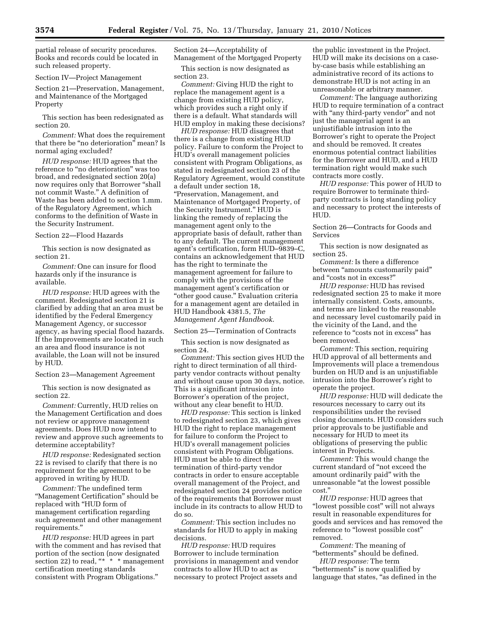partial release of security procedures. Books and records could be located in such released property.

Section IV—Project Management

Section 21—Preservation, Management, and Maintenance of the Mortgaged Property

This section has been redesignated as section 20.

*Comment:* What does the requirement that there be "no deterioration" mean? Is normal aging excluded?

*HUD response:* HUD agrees that the reference to ''no deterioration'' was too broad, and redesignated section 20(a) now requires only that Borrower ''shall not commit Waste.'' A definition of Waste has been added to section 1.mm. of the Regulatory Agreement, which conforms to the definition of Waste in the Security Instrument.

## Section 22—Flood Hazards

This section is now designated as section 21.

*Comment:* One can insure for flood hazards only if the insurance is available.

*HUD response:* HUD agrees with the comment. Redesignated section 21 is clarified by adding that an area must be identified by the Federal Emergency Management Agency, or successor agency, as having special flood hazards. If the Improvements are located in such an area and flood insurance is not available, the Loan will not be insured by HUD.

Section 23—Management Agreement

This section is now designated as section 22.

*Comment:* Currently, HUD relies on the Management Certification and does not review or approve management agreements. Does HUD now intend to review and approve such agreements to determine acceptability?

*HUD response:* Redesignated section 22 is revised to clarify that there is no requirement for the agreement to be approved in writing by HUD.

*Comment:* The undefined term ''Management Certification'' should be replaced with ''HUD form of management certification regarding such agreement and other management requirements.''

*HUD response:* HUD agrees in part with the comment and has revised that portion of the section (now designated section 22) to read,  $**$  \* \* management certification meeting standards consistent with Program Obligations.''

Section 24—Acceptability of Management of the Mortgaged Property

This section is now designated as section 23.

*Comment:* Giving HUD the right to replace the management agent is a change from existing HUD policy, which provides such a right only if there is a default. What standards will HUD employ in making these decisions?

*HUD response:* HUD disagrees that there is a change from existing HUD policy. Failure to conform the Project to HUD's overall management policies consistent with Program Obligations, as stated in redesignated section 23 of the Regulatory Agreement, would constitute a default under section 18, ''Preservation, Management, and Maintenance of Mortgaged Property, of the Security Instrument.'' HUD is linking the remedy of replacing the management agent only to the appropriate basis of default, rather than to any default. The current management agent's certification, form HUD–9839–C, contains an acknowledgement that HUD has the right to terminate the management agreement for failure to comply with the provisions of the management agent's certification or ''other good cause.'' Evaluation criteria for a management agent are detailed in HUD Handbook 4381.5, *The Management Agent Handbook*.

## Section 25—Termination of Contracts

This section is now designated as section 24.

*Comment:* This section gives HUD the right to direct termination of all thirdparty vendor contracts without penalty and without cause upon 30 days, notice. This is a significant intrusion into Borrower's operation of the project, without any clear benefit to HUD.

*HUD response:* This section is linked to redesignated section 23, which gives HUD the right to replace management for failure to conform the Project to HUD's overall management policies consistent with Program Obligations. HUD must be able to direct the termination of third-party vendor contracts in order to ensure acceptable overall management of the Project, and redesignated section 24 provides notice of the requirements that Borrower must include in its contracts to allow HUD to do so.

*Comment:* This section includes no standards for HUD to apply in making decisions.

*HUD response:* HUD requires Borrower to include termination provisions in management and vendor contracts to allow HUD to act as necessary to protect Project assets and

the public investment in the Project. HUD will make its decisions on a caseby-case basis while establishing an administrative record of its actions to demonstrate HUD is not acting in an unreasonable or arbitrary manner.

*Comment:* The language authorizing HUD to require termination of a contract with "any third-party vendor" and not just the managerial agent is an unjustifiable intrusion into the Borrower's right to operate the Project and should be removed. It creates enormous potential contract liabilities for the Borrower and HUD, and a HUD termination right would make such contracts more costly.

*HUD response:* This power of HUD to require Borrower to terminate thirdparty contracts is long standing policy and necessary to protect the interests of HUD.

Section 26—Contracts for Goods and Services

This section is now designated as section 25.

*Comment:* Is there a difference between "amounts customarily paid" and ''costs not in excess?''

*HUD response:* HUD has revised redesignated section 25 to make it more internally consistent. Costs, amounts, and terms are linked to the reasonable and necessary level customarily paid in the vicinity of the Land, and the reference to "costs not in excess" has been removed.

*Comment:* This section, requiring HUD approval of all betterments and Improvements will place a tremendous burden on HUD and is an unjustifiable intrusion into the Borrower's right to operate the project.

*HUD response:* HUD will dedicate the resources necessary to carry out its responsibilities under the revised closing documents. HUD considers such prior approvals to be justifiable and necessary for HUD to meet its obligations of preserving the public interest in Projects.

*Comment:* This would change the current standard of ''not exceed the amount ordinarily paid'' with the unreasonable "at the lowest possible cost.''

*HUD response:* HUD agrees that ''lowest possible cost'' will not always result in reasonable expenditures for goods and services and has removed the reference to "lowest possible cost" removed.

*Comment:* The meaning of ''betterments'' should be defined.

*HUD response:* The term ''betterments'' is now qualified by language that states, "as defined in the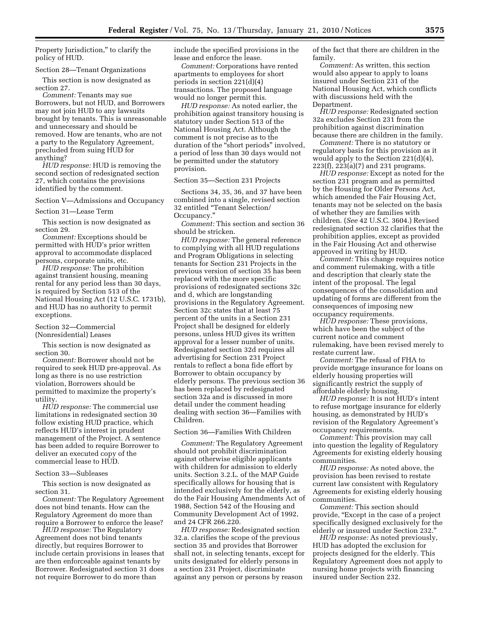Property Jurisdiction," to clarify the policy of HUD.

#### Section 28—Tenant Organizations

This section is now designated as section 27.

*Comment:* Tenants may sue Borrowers, but not HUD, and Borrowers may not join HUD to any lawsuits brought by tenants. This is unreasonable and unnecessary and should be removed. How are tenants, who are not a party to the Regulatory Agreement, precluded from suing HUD for anything?

*HUD response:* HUD is removing the second section of redesignated section 27, which contains the provisions identified by the comment.

Section V—Admissions and Occupancy

Section 31—Lease Term

This section is now designated as section 29.

*Comment:* Exceptions should be permitted with HUD's prior written approval to accommodate displaced persons, corporate units, etc.

*HUD response:* The prohibition against transient housing, meaning rental for any period less than 30 days, is required by Section 513 of the National Housing Act (12 U.S.C. 1731b), and HUD has no authority to permit exceptions.

Section 32—Commercial (Nonresidential) Leases

This section is now designated as section 30.

*Comment:* Borrower should not be required to seek HUD pre-approval. As long as there is no use restriction violation, Borrowers should be permitted to maximize the property's utility.

*HUD response:* The commercial use limitations in redesignated section 30 follow existing HUD practice, which reflects HUD's interest in prudent management of the Project. A sentence has been added to require Borrower to deliver an executed copy of the commercial lease to HUD.

## Section 33—Subleases

This section is now designated as section 31.

*Comment:* The Regulatory Agreement does not bind tenants. How can the Regulatory Agreement do more than require a Borrower to enforce the lease?

*HUD response:* The Regulatory Agreement does not bind tenants directly, but requires Borrower to include certain provisions in leases that are then enforceable against tenants by Borrower. Redesignated section 31 does not require Borrower to do more than

include the specified provisions in the lease and enforce the lease.

*Comment:* Corporations have rented apartments to employees for short periods in section 221(d)(4) transactions. The proposed language would no longer permit this.

*HUD response:* As noted earlier, the prohibition against transitory housing is statutory under Section 513 of the National Housing Act. Although the comment is not precise as to the duration of the "short periods" involved, a period of less than 30 days would not be permitted under the statutory provision.

#### Section 35—Section 231 Projects

Sections 34, 35, 36, and 37 have been combined into a single, revised section 32 entitled ''Tenant Selection/ Occupancy.''

*Comment:* This section and section 36 should be stricken.

*HUD response:* The general reference to complying with all HUD regulations and Program Obligations in selecting tenants for Section 231 Projects in the previous version of section 35 has been replaced with the more specific provisions of redesignated sections 32c and d, which are longstanding provisions in the Regulatory Agreement. Section 32c states that at least 75 percent of the units in a Section 231 Project shall be designed for elderly persons, unless HUD gives its written approval for a lesser number of units. Redesignated section 32d requires all advertising for Section 231 Project rentals to reflect a bona fide effort by Borrower to obtain occupancy by elderly persons. The previous section 36 has been replaced by redesignated section 32a and is discussed in more detail under the comment heading dealing with section 36—Families with Children.

## Section 36—Families With Children

*Comment:* The Regulatory Agreement should not prohibit discrimination against otherwise eligible applicants with children for admission to elderly units. Section 3.2.L. of the MAP Guide specifically allows for housing that is intended exclusively for the elderly, as do the Fair Housing Amendments Act of 1988, Section 542 of the Housing and Community Development Act of 1992, and 24 CFR 266.220.

*HUD response:* Redesignated section 32.a. clarifies the scope of the previous section 35 and provides that Borrower shall not, in selecting tenants, except for units designated for elderly persons in a section 231 Project, discriminate against any person or persons by reason

of the fact that there are children in the family.

*Comment:* As written, this section would also appear to apply to loans insured under Section 231 of the National Housing Act, which conflicts with discussions held with the Department.

*HUD response:* Redesignated section 32a excludes Section 231 from the prohibition against discrimination because there are children in the family.

*Comment:* There is no statutory or regulatory basis for this provision as it would apply to the Section 221(d)(4), 223(f), 223(a)(7) and 231 programs.

*HUD response:* Except as noted for the section 231 program and as permitted by the Housing for Older Persons Act, which amended the Fair Housing Act, tenants may not be selected on the basis of whether they are families with children. (*See* 42 U.S.C. 3604.) Revised redesignated section 32 clarifies that the prohibition applies, except as provided in the Fair Housing Act and otherwise approved in writing by HUD.

*Comment:* This change requires notice and comment rulemaking, with a title and description that clearly state the intent of the proposal. The legal consequences of the consolidation and updating of forms are different from the consequences of imposing new occupancy requirements.

*HUD response:* These provisions, which have been the subject of the current notice and comment rulemaking, have been revised merely to restate current law.

*Comment:* The refusal of FHA to provide mortgage insurance for loans on elderly housing properties will significantly restrict the supply of affordable elderly housing.

*HUD response:* It is not HUD's intent to refuse mortgage insurance for elderly housing, as demonstrated by HUD's revision of the Regulatory Agreement's occupancy requirements.

*Comment:* This provision may call into question the legality of Regulatory Agreements for existing elderly housing communities.

*HUD response:* As noted above, the provision has been revised to restate current law consistent with Regulatory Agreements for existing elderly housing communities.

*Comment:* This section should provide, ''Except in the case of a project specifically designed exclusively for the elderly or insured under Section 232.''

*HUD response:* As noted previously, HUD has adopted the exclusion for projects designed for the elderly. This Regulatory Agreement does not apply to nursing home projects with financing insured under Section 232.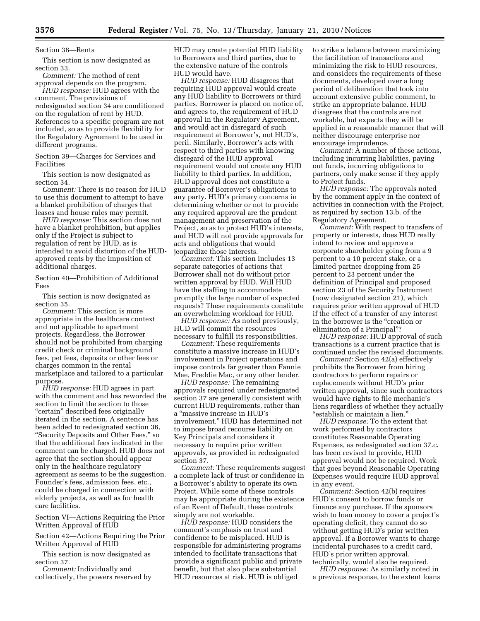Section 38—Rents

This section is now designated as section 33.

*Comment:* The method of rent approval depends on the program.

*HUD response:* HUD agrees with the comment. The provisions of redesignated section 34 are conditioned on the regulation of rent by HUD. References to a specific program are not included, so as to provide flexibility for the Regulatory Agreement to be used in different programs.

Section 39—Charges for Services and Facilities

This section is now designated as section 34.

*Comment:* There is no reason for HUD to use this document to attempt to have a blanket prohibition of charges that leases and house rules may permit.

*HUD response:* This section does not have a blanket prohibition, but applies only if the Project is subject to regulation of rent by HUD, as is intended to avoid distortion of the HUDapproved rents by the imposition of additional charges.

Section 40—Prohibition of Additional Fees

This section is now designated as section 35.

*Comment:* This section is more appropriate in the healthcare context and not applicable to apartment projects. Regardless, the Borrower should not be prohibited from charging credit check or criminal background fees, pet fees, deposits or other fees or charges common in the rental marketplace and tailored to a particular purpose.

*HUD response:* HUD agrees in part with the comment and has reworded the section to limit the section to those "certain" described fees originally iterated in the section. A sentence has been added to redesignated section 36, ''Security Deposits and Other Fees,'' so that the additional fees indicated in the comment can be charged. HUD does not agree that the section should appear only in the healthcare regulatory agreement as seems to be the suggestion. Founder's fees, admission fees, etc., could be charged in connection with elderly projects, as well as for health care facilities.

Section VI—Actions Requiring the Prior Written Approval of HUD

Section 42—Actions Requiring the Prior Written Approval of HUD

This section is now designated as section 37.

*Comment:* Individually and collectively, the powers reserved by HUD may create potential HUD liability to Borrowers and third parties, due to the extensive nature of the controls HUD would have.

*HUD response:* HUD disagrees that requiring HUD approval would create any HUD liability to Borrowers or third parties. Borrower is placed on notice of, and agrees to, the requirement of HUD approval in the Regulatory Agreement, and would act in disregard of such requirement at Borrower's, not HUD's, peril. Similarly, Borrower's acts with respect to third parties with knowing disregard of the HUD approval requirement would not create any HUD liability to third parties. In addition, HUD approval does not constitute a guarantee of Borrower's obligations to any party. HUD's primary concerns in determining whether or not to provide any required approval are the prudent management and preservation of the Project, so as to protect HUD's interests, and HUD will not provide approvals for acts and obligations that would jeopardize those interests.

*Comment:* This section includes 13 separate categories of actions that Borrower shall not do without prior written approval by HUD. Will HUD have the staffing to accommodate promptly the large number of expected requests? These requirements constitute an overwhelming workload for HUD.

*HUD response:* As noted previously, HUD will commit the resources necessary to fulfill its responsibilities.

*Comment:* These requirements constitute a massive increase in HUD's involvement in Project operations and impose controls far greater than Fannie Mae, Freddie Mac, or any other lender.

*HUD response:* The remaining approvals required under redesignated section 37 are generally consistent with current HUD requirements, rather than a ''massive increase in HUD's involvement.'' HUD has determined not to impose broad recourse liability on Key Principals and considers it necessary to require prior written approvals, as provided in redesignated section 37.

*Comment:* These requirements suggest a complete lack of trust or confidence in a Borrower's ability to operate its own Project. While some of these controls may be appropriate during the existence of an Event of Default, these controls simply are not workable.

*HUD response:* HUD considers the comment's emphasis on trust and confidence to be misplaced. HUD is responsible for administering programs intended to facilitate transactions that provide a significant public and private benefit, but that also place substantial HUD resources at risk. HUD is obliged

to strike a balance between maximizing the facilitation of transactions and minimizing the risk to HUD resources, and considers the requirements of these documents, developed over a long period of deliberation that took into account extensive public comment, to strike an appropriate balance. HUD disagrees that the controls are not workable, but expects they will be applied in a reasonable manner that will neither discourage enterprise nor encourage imprudence.

*Comment:* A number of these actions, including incurring liabilities, paying out funds, incurring obligations to partners, only make sense if they apply to Project funds.

*HUD response:* The approvals noted by the comment apply in the context of activities in connection with the Project, as required by section 13.b. of the Regulatory Agreement.

*Comment:* With respect to transfers of property or interests, does HUD really intend to review and approve a corporate shareholder going from a 9 percent to a 10 percent stake, or a limited partner dropping from 25 percent to 23 percent under the definition of Principal and proposed section 23 of the Security Instrument (now designated section 21), which requires prior written approval of HUD if the effect of a transfer of any interest in the borrower is the "creation or elimination of a Principal''?

*HUD response:* HUD approval of such transactions is a current practice that is continued under the revised documents.

*Comment:* Section 42(a) effectively prohibits the Borrower from hiring contractors to perform repairs or replacements without HUD's prior written approval, since such contractors would have rights to file mechanic's liens regardless of whether they actually ''establish or maintain a lien.''

*HUD response:* To the extent that work performed by contractors constitutes Reasonable Operating Expenses, as redesignated section 37.c. has been revised to provide, HUD approval would not be required. Work that goes beyond Reasonable Operating Expenses would require HUD approval in any event.

*Comment:* Section 42(b) requires HUD's consent to borrow funds or finance any purchase. If the sponsors wish to loan money to cover a project's operating deficit, they cannot do so without getting HUD's prior written approval. If a Borrower wants to charge incidental purchases to a credit card, HUD's prior written approval, technically, would also be required.

*HUD response:* As similarly noted in a previous response, to the extent loans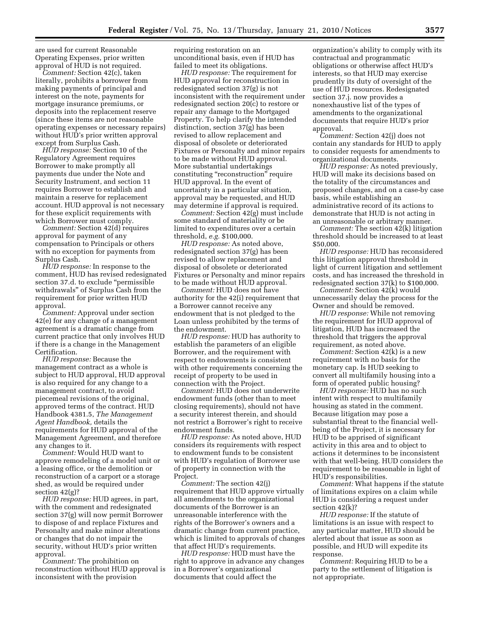are used for current Reasonable Operating Expenses, prior written approval of HUD is not required.

*Comment:* Section 42(c), taken literally, prohibits a borrower from making payments of principal and interest on the note, payments for mortgage insurance premiums, or deposits into the replacement reserve (since these items are not reasonable operating expenses or necessary repairs) without HUD's prior written approval except from Surplus Cash.

*HUD response:* Section 10 of the Regulatory Agreement requires Borrower to make promptly all payments due under the Note and Security Instrument, and section 11 requires Borrower to establish and maintain a reserve for replacement account. HUD approval is not necessary for these explicit requirements with which Borrower must comply.

*Comment:* Section 42(d) requires approval for payment of any compensation to Principals or others with no exception for payments from Surplus Cash.

*HUD response:* In response to the comment, HUD has revised redesignated section 37.d. to exclude ''permissible withdrawals'' of Surplus Cash from the requirement for prior written HUD approval.

*Comment:* Approval under section 42(e) for any change of a management agreement is a dramatic change from current practice that only involves HUD if there is a change in the Management Certification.

*HUD response:* Because the management contract as a whole is subject to HUD approval, HUD approval is also required for any change to a management contract, to avoid piecemeal revisions of the original, approved terms of the contract. HUD Handbook 4381.5, *The Management Agent Handbook,* details the requirements for HUD approval of the Management Agreement, and therefore any changes to it.

*Comment:* Would HUD want to approve remodeling of a model unit or a leasing office, or the demolition or reconstruction of a carport or a storage shed, as would be required under section 42(g)?

*HUD response:* HUD agrees, in part, with the comment and redesignated section 37(g) will now permit Borrower to dispose of and replace Fixtures and Personalty and make minor alterations or changes that do not impair the security, without HUD's prior written approval.

*Comment:* The prohibition on reconstruction without HUD approval is inconsistent with the provision

requiring restoration on an unconditional basis, even if HUD has failed to meet its obligations.

*HUD response:* The requirement for HUD approval for reconstruction in redesignated section 37(g) is not inconsistent with the requirement under redesignated section 20(c) to restore or repair any damage to the Mortgaged Property. To help clarify the intended distinction, section 37(g) has been revised to allow replacement and disposal of obsolete or deteriorated Fixtures or Personalty and minor repairs to be made without HUD approval. More substantial undertakings constituting ''reconstruction'' require HUD approval. In the event of uncertainty in a particular situation, approval may be requested, and HUD may determine if approval is required.

*Comment:* Section 42(g) must include some standard of materiality or be limited to expenditures over a certain threshold, *e.g.* \$100,000.

*HUD response:* As noted above, redesignated section 37(g) has been revised to allow replacement and disposal of obsolete or deteriorated Fixtures or Personalty and minor repairs to be made without HUD approval.

*Comment:* HUD does not have authority for the 42(i) requirement that a Borrower cannot receive any endowment that is not pledged to the Loan unless prohibited by the terms of the endowment.

*HUD response:* HUD has authority to establish the parameters of an eligible Borrower, and the requirement with respect to endowments is consistent with other requirements concerning the receipt of property to be used in connection with the Project.

*Comment:* HUD does not underwrite endowment funds (other than to meet closing requirements), should not have a security interest therein, and should not restrict a Borrower's right to receive endowment funds.

*HUD response:* As noted above, HUD considers its requirements with respect to endowment funds to be consistent with HUD's regulation of Borrower use of property in connection with the Project.

*Comment:* The section 42(j) requirement that HUD approve virtually all amendments to the organizational documents of the Borrower is an unreasonable interference with the rights of the Borrower's owners and a dramatic change from current practice, which is limited to approvals of changes that affect HUD's requirements.

*HUD response:* HUD must have the right to approve in advance any changes in a Borrower's organizational documents that could affect the

organization's ability to comply with its contractual and programmatic obligations or otherwise affect HUD's interests, so that HUD may exercise prudently its duty of oversight of the use of HUD resources. Redesignated section 37.j. now provides a nonexhaustive list of the types of amendments to the organizational documents that require HUD's prior approval.

*Comment:* Section 42(j) does not contain any standards for HUD to apply to consider requests for amendments to organizational documents.

*HUD response:* As noted previously, HUD will make its decisions based on the totality of the circumstances and proposed changes, and on a case-by case basis, while establishing an administrative record of its actions to demonstrate that HUD is not acting in an unreasonable or arbitrary manner.

*Comment:* The section 42(k) litigation threshold should be increased to at least \$50,000.

*HUD response:* HUD has reconsidered this litigation approval threshold in light of current litigation and settlement costs, and has increased the threshold in redesignated section 37(k) to \$100,000.

*Comment:* Section 42(k) would unnecessarily delay the process for the Owner and should be removed.

*HUD response:* While not removing the requirement for HUD approval of litigation, HUD has increased the threshold that triggers the approval requirement, as noted above.

*Comment:* Section 42(k) is a new requirement with no basis for the monetary cap. Is HUD seeking to convert all multifamily housing into a form of operated public housing?

*HUD response:* HUD has no such intent with respect to multifamily housing as stated in the comment. Because litigation may pose a substantial threat to the financial wellbeing of the Project, it is necessary for HUD to be apprised of significant activity in this area and to object to actions it determines to be inconsistent with that well-being. HUD considers the requirement to be reasonable in light of HUD's responsibilities.

*Comment:* What happens if the statute of limitations expires on a claim while HUD is considering a request under section 42(k)?

*HUD response:* If the statute of limitations is an issue with respect to any particular matter, HUD should be alerted about that issue as soon as possible, and HUD will expedite its response.

*Comment:* Requiring HUD to be a party to the settlement of litigation is not appropriate.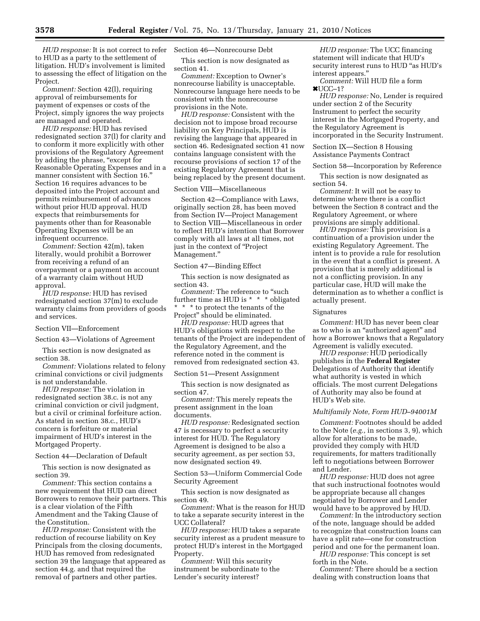*HUD response:* It is not correct to refer to HUD as a party to the settlement of litigation. HUD's involvement is limited to assessing the effect of litigation on the Project.

*Comment:* Section 42(l), requiring approval of reimbursements for payment of expenses or costs of the Project, simply ignores the way projects are managed and operated.

*HUD response:* HUD has revised redesignated section 37(l) for clarity and to conform it more explicitly with other provisions of the Regulatory Agreement by adding the phrase, "except for Reasonable Operating Expenses and in a manner consistent with Section 16.'' Section 16 requires advances to be deposited into the Project account and permits reimbursement of advances without prior HUD approval. HUD expects that reimbursements for payments other than for Reasonable Operating Expenses will be an infrequent occurrence.

*Comment:* Section 42(m), taken literally, would prohibit a Borrower from receiving a refund of an overpayment or a payment on account of a warranty claim without HUD approval.

*HUD response:* HUD has revised redesignated section 37(m) to exclude warranty claims from providers of goods and services.

Section VII—Enforcement

Section 43—Violations of Agreement

This section is now designated as section 38.

*Comment:* Violations related to felony criminal convictions or civil judgments is not understandable.

*HUD response:* The violation in redesignated section 38.c. is not any criminal conviction or civil judgment, but a civil or criminal forfeiture action. As stated in section 38.c., HUD's concern is forfeiture or material impairment of HUD's interest in the Mortgaged Property.

Section 44—Declaration of Default

This section is now designated as section 39.

*Comment:* This section contains a new requirement that HUD can direct Borrowers to remove their partners. This is a clear violation of the Fifth Amendment and the Taking Clause of the Constitution.

*HUD response:* Consistent with the reduction of recourse liability on Key Principals from the closing documents, HUD has removed from redesignated section 39 the language that appeared as section 44.g. and that required the removal of partners and other parties.

## Section 46—Nonrecourse Debt

This section is now designated as section 41.

*Comment:* Exception to Owner's nonrecourse liability is unacceptable. Nonrecourse language here needs to be consistent with the nonrecourse provisions in the Note.

*HUD response:* Consistent with the decision not to impose broad recourse liability on Key Principals, HUD is revising the language that appeared in section 46. Redesignated section 41 now contains language consistent with the recourse provisions of section 17 of the existing Regulatory Agreement that is being replaced by the present document.

#### Section VIII—Miscellaneous

Section 42—Compliance with Laws, originally section 28, has been moved from Section IV—Project Management to Section VIII—Miscellaneous in order to reflect HUD's intention that Borrower comply with all laws at all times, not just in the context of "Project" Management.''

Section 47—Binding Effect

This section is now designated as section 43.

*Comment:* The reference to ''such further time as HUD is \* \* \* obligated \* \* \* to protect the tenants of the

Project'' should be eliminated.

*HUD response:* HUD agrees that HUD's obligations with respect to the tenants of the Project are independent of the Regulatory Agreement, and the reference noted in the comment is removed from redesignated section 43.

Section 51—Present Assignment

This section is now designated as section 47.

*Comment:* This merely repeats the present assignment in the loan documents.

*HUD response:* Redesignated section 47 is necessary to perfect a security interest for HUD. The Regulatory Agreement is designed to be also a security agreement, as per section 53, now designated section 49.

Section 53—Uniform Commercial Code Security Agreement

This section is now designated as section 49.

*Comment:* What is the reason for HUD to take a separate security interest in the UCC Collateral?

*HUD response:* HUD takes a separate security interest as a prudent measure to protect HUD's interest in the Mortgaged Property.

*Comment:* Will this security instrument be subordinate to the Lender's security interest?

*HUD response:* The UCC financing statement will indicate that HUD's security interest runs to HUD "as HUD's interest appears.''

*Comment:* Will HUD file a form  $*UCC-1?$ 

*HUD response:* No, Lender is required under section 2 of the Security Instrument to perfect the security interest in the Mortgaged Property, and the Regulatory Agreement is incorporated in the Security Instrument.

Section IX—Section 8 Housing Assistance Payments Contract

Section 58—Incorporation by Reference

This section is now designated as section 54.

*Comment:* It will not be easy to determine where there is a conflict between the Section 8 contract and the Regulatory Agreement, or where provisions are simply additional.

*HUD response:* This provision is a continuation of a provision under the existing Regulatory Agreement. The intent is to provide a rule for resolution in the event that a conflict is present. A provision that is merely additional is not a conflicting provision. In any particular case, HUD will make the determination as to whether a conflict is actually present.

#### Signatures

*Comment:* HUD has never been clear as to who is an ''authorized agent'' and how a Borrower knows that a Regulatory Agreement is validly executed.

*HUD response:* HUD periodically publishes in the **Federal Register**  Delegations of Authority that identify what authority is vested in which officials. The most current Delegations of Authority may also be found at HUD's Web site.

#### *Multifamily Note, Form HUD–94001M*

*Comment:* Footnotes should be added to the Note (*e.g.,* in sections 3, 9), which allow for alterations to be made, provided they comply with HUD requirements, for matters traditionally left to negotiations between Borrower and Lender.

*HUD response:* HUD does not agree that such instructional footnotes would be appropriate because all changes negotiated by Borrower and Lender would have to be approved by HUD.

*Comment:* In the introductory section of the note, language should be added to recognize that construction loans can have a split rate—one for construction period and one for the permanent loan.

*HUD response:* This concept is set forth in the Note.

*Comment:* There should be a section dealing with construction loans that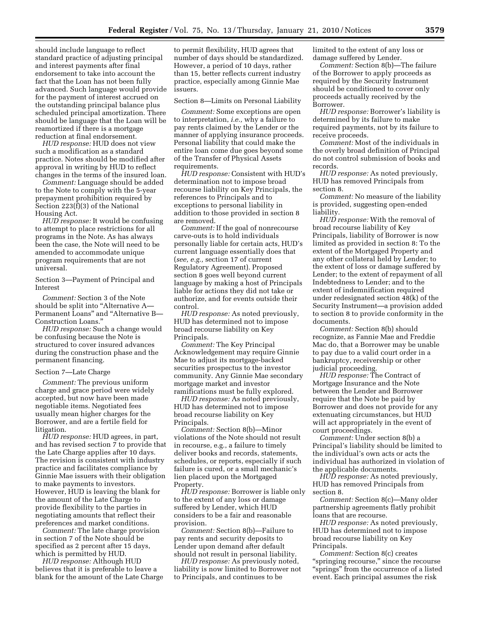should include language to reflect standard practice of adjusting principal and interest payments after final endorsement to take into account the fact that the Loan has not been fully advanced. Such language would provide for the payment of interest accrued on the outstanding principal balance plus scheduled principal amortization. There should be language that the Loan will be reamortized if there is a mortgage reduction at final endorsement.

*HUD response:* HUD does not view such a modification as a standard practice. Notes should be modified after approval in writing by HUD to reflect changes in the terms of the insured loan.

*Comment:* Language should be added to the Note to comply with the 5-year prepayment prohibition required by Section 223(f)(3) of the National Housing Act.

*HUD response:* It would be confusing to attempt to place restrictions for all programs in the Note. As has always been the case, the Note will need to be amended to accommodate unique program requirements that are not universal.

Section 3—Payment of Principal and Interest

*Comment:* Section 3 of the Note should be split into "Alternative A-Permanent Loans'' and ''Alternative B— Construction Loans.''

*HUD response:* Such a change would be confusing because the Note is structured to cover insured advances during the construction phase and the permanent financing.

#### Section 7—Late Charge

*Comment:* The previous uniform charge and grace period were widely accepted, but now have been made negotiable items. Negotiated fees usually mean higher charges for the Borrower, and are a fertile field for litigation.

*HUD response:* HUD agrees, in part, and has revised section 7 to provide that the Late Charge applies after 10 days. The revision is consistent with industry practice and facilitates compliance by Ginnie Mae issuers with their obligation to make payments to investors. However, HUD is leaving the blank for the amount of the Late Charge to provide flexibility to the parties in negotiating amounts that reflect their preferences and market conditions.

*Comment:* The late charge provision in section 7 of the Note should be specified as 2 percent after 15 days, which is permitted by HUD.

*HUD response:* Although HUD believes that it is preferable to leave a blank for the amount of the Late Charge

to permit flexibility, HUD agrees that number of days should be standardized. However, a period of 10 days, rather than 15, better reflects current industry practice, especially among Ginnie Mae issuers.

#### Section 8—Limits on Personal Liability

*Comment:* Some exceptions are open to interpretation, *i.e.,* why a failure to pay rents claimed by the Lender or the manner of applying insurance proceeds. Personal liability that could make the entire loan come due goes beyond some of the Transfer of Physical Assets requirements.

*HUD response:* Consistent with HUD's determination not to impose broad recourse liability on Key Principals, the references to Principals and to exceptions to personal liability in addition to those provided in section 8 are removed.

*Comment:* If the goal of nonrecourse carve-outs is to hold individuals personally liable for certain acts, HUD's current language essentially does that (*see, e.g.,* section 17 of current Regulatory Agreement). Proposed section 8 goes well beyond current language by making a host of Principals liable for actions they did not take or authorize, and for events outside their control.

*HUD response:* As noted previously, HUD has determined not to impose broad recourse liability on Key Principals.

*Comment:* The Key Principal Acknowledgement may require Ginnie Mae to adjust its mortgage-backed securities prospectus to the investor community. Any Ginnie Mae secondary mortgage market and investor ramifications must be fully explored.

*HUD response:* As noted previously, HUD has determined not to impose broad recourse liability on Key Principals.

*Comment:* Section 8(b)—Minor violations of the Note should not result in recourse, e.g., a failure to timely deliver books and records, statements, schedules, or reports, especially if such failure is cured, or a small mechanic's lien placed upon the Mortgaged Property.

*HUD response:* Borrower is liable only to the extent of any loss or damage suffered by Lender, which HUD considers to be a fair and reasonable provision.

*Comment:* Section 8(b)—Failure to pay rents and security deposits to Lender upon demand after default should not result in personal liability.

*HUD response:* As previously noted, liability is now limited to Borrower not to Principals, and continues to be

limited to the extent of any loss or damage suffered by Lender.

*Comment:* Section 8(b)—The failure of the Borrower to apply proceeds as required by the Security Instrument should be conditioned to cover only proceeds actually received by the Borrower.

*HUD response:* Borrower's liability is determined by its failure to make required payments, not by its failure to receive proceeds.

*Comment:* Most of the individuals in the overly broad definition of Principal do not control submission of books and records.

*HUD response:* As noted previously, HUD has removed Principals from section 8.

*Comment:* No measure of the liability is provided, suggesting open-ended liability.

*HUD response:* With the removal of broad recourse liability of Key Principals, liability of Borrower is now limited as provided in section 8: To the extent of the Mortgaged Property and any other collateral held by Lender; to the extent of loss or damage suffered by Lender; to the extent of repayment of all Indebtedness to Lender; and to the extent of indemnification required under redesignated section 48(k) of the Security Instrument—a provision added to section 8 to provide conformity in the documents.

*Comment:* Section 8(b) should recognize, as Fannie Mae and Freddie Mac do, that a Borrower may be unable to pay due to a valid court order in a bankruptcy, receivership or other judicial proceeding.

*HUD response:* The Contract of Mortgage Insurance and the Note between the Lender and Borrower require that the Note be paid by Borrower and does not provide for any extenuating circumstances, but HUD will act appropriately in the event of court proceedings.

*Comment:* Under section 8(b) a Principal's liability should be limited to the individual's own acts or acts the individual has authorized in violation of the applicable documents.

*HUD response:* As noted previously, HUD has removed Principals from section 8.

*Comment:* Section 8(c)—Many older partnership agreements flatly prohibit loans that are recourse.

*HUD response:* As noted previously, HUD has determined not to impose broad recourse liability on Key Principals.

*Comment:* Section 8(c) creates "springing recourse," since the recourse ''springs'' from the occurrence of a listed event. Each principal assumes the risk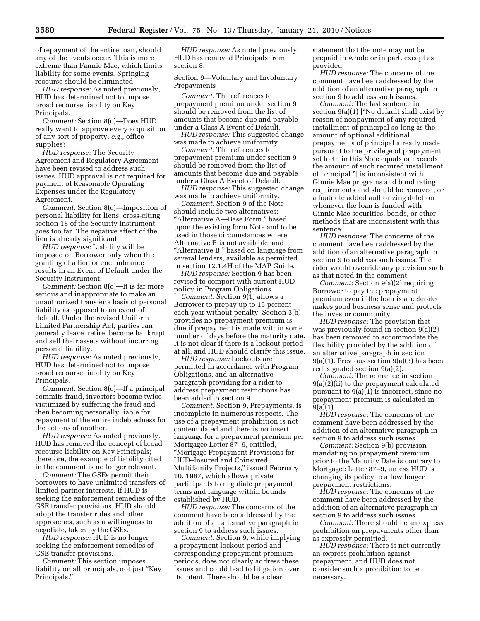of repayment of the entire loan, should any of the events occur. This is more extreme than Fannie Mae, which limits liability for some events. Springing recourse should be eliminated.

*HUD response:* As noted previously, HUD has determined not to impose broad recourse liability on Key Principals.

*Comment:* Section 8(c)—Does HUD really want to approve every acquisition of any sort of property, *e.g.,* office supplies?

*HUD response:* The Security Agreement and Regulatory Agreement have been revised to address such issues. HUD approval is not required for payment of Reasonable Operating Expenses under the Regulatory Agreement.

*Comment:* Section 8(c)—Imposition of personal liability for liens, cross-citing section 18 of the Security Instrument, goes too far. The negative effect of the lien is already significant.

*HUD response:* Liability will be imposed on Borrower only when the granting of a lien or encumbrance results in an Event of Default under the Security Instrument.

*Comment:* Section 8(c)—It is far more serious and inappropriate to make an unauthorized transfer a basis of personal liability as opposed to an event of default. Under the revised Uniform Limited Partnership Act, parties can generally leave, retire, become bankrupt, and sell their assets without incurring personal liability.

*HUD response:* As noted previously, HUD has determined not to impose broad recourse liability on Key Principals.

*Comment:* Section 8(c)—If a principal commits fraud, investors become twice victimized by suffering the fraud and then becoming personally liable for repayment of the entire indebtedness for the actions of another.

*HUD response:* As noted previously, HUD has removed the concept of broad recourse liability on Key Principals; therefore, the example of liability cited in the comment is no longer relevant.

*Comment:* The GSEs permit their borrowers to have unlimited transfers of limited partner interests. If HUD is seeking the enforcement remedies of the GSE transfer provisions, HUD should adopt the transfer rules and other approaches, such as a willingness to negotiate, taken by the GSEs.

*HUD response:* HUD is no longer seeking the enforcement remedies of GSE transfer provisions.

*Comment:* This section imposes liability on all principals, not just ''Key Principals.''

*HUD response:* As noted previously, HUD has removed Principals from section 8.

Section 9—Voluntary and Involuntary Prepayments

*Comment:* The references to prepayment premium under section 9 should be removed from the list of amounts that become due and payable under a Class A Event of Default.

*HUD response:* This suggested change was made to achieve uniformity.

*Comment:* The references to prepayment premium under section 9 should be removed from the list of amounts that become due and payable under a Class A Event of Default.

*HUD response:* This suggested change was made to achieve uniformity.

*Comment:* Section 9 of the Note should include two alternatives: ''Alternative A—Base Form,'' based upon the existing form Note and to be used in those circumstances where Alternative B is not available; and ''Alternative B,'' based on language from several lenders, available as permitted in section 12.1.4H of the MAP Guide.

*HUD response:* Section 9 has been revised to comport with current HUD policy in Program Obligations.

*Comment:* Section 9(1) allows a Borrower to prepay up to 15 percent each year without penalty. Section 3(b) provides no prepayment premium is due if prepayment is made within some number of days before the maturity date. It is not clear if there is a lockout period at all, and HUD should clarify this issue.

*HUD response:* Lockouts are permitted in accordance with Program Obligations, and an alternative paragraph providing for a rider to address prepayment restrictions has been added to section 9.

*Comment:* Section 9, Prepayments, is incomplete in numerous respects. The use of a prepayment prohibition is not contemplated and there is no insert language for a prepayment premium per Mortgagee Letter 87–9, entitled, ''Mortgage Prepayment Provisions for HUD–Insured and Coinsured Multifamily Projects,'' issued February 10, 1987, which allows private participants to negotiate prepayment terms and language within bounds established by HUD.

*HUD response:* The concerns of the comment have been addressed by the addition of an alternative paragraph in section 9 to address such issues.

*Comment:* Section 9, while implying a prepayment lockout period and corresponding prepayment premium periods, does not clearly address these issues and could lead to litigation over its intent. There should be a clear

statement that the note may not be prepaid in whole or in part, except as provided.

*HUD response:* The concerns of the comment have been addressed by the addition of an alternative paragraph in section 9 to address such issues.

*Comment:* The last sentence in section 9(a)(1) [''No default shall exist by reason of nonpayment of any required installment of principal so long as the amount of optional additional prepayments of principal already made pursuant to the privilege of prepayment set forth in this Note equals or exceeds the amount of such required installment of principal.''] is inconsistent with Ginnie Mae programs and bond rating requirements and should be removed, or a footnote added authorizing deletion whenever the loan is funded with Ginnie Mae securities, bonds, or other methods that are inconsistent with this sentence.

*HUD response:* The concerns of the comment have been addressed by the addition of an alternative paragraph in section 9 to address such issues. The rider would override any provision such as that noted in the comment.

*Comment:* Section 9(a)(2) requiring Borrower to pay the prepayment premium even if the loan is accelerated makes good business sense and protects the investor community.

*HUD response:* The provision that was previously found in section 9(a)(2) has been removed to accommodate the flexibility provided by the addition of an alternative paragraph in section 9(a)(1). Previous section 9(a)(3) has been redesignated section 9(a)(2).

*Comment:* The reference in section 9(a)(2)(ii) to the prepayment calculated pursuant to 9(a)(1) is incorrect, since no prepayment premium is calculated in 9(a)(1).

*HUD response:* The concerns of the comment have been addressed by the addition of an alternative paragraph in section 9 to address such issues.

*Comment:* Section 9(b) provision mandating no prepayment premium prior to the Maturity Date is contrary to Mortgagee Letter 87–9, unless HUD is changing its policy to allow longer prepayment restrictions.

*HUD response:* The concerns of the comment have been addressed by the addition of an alternative paragraph in section 9 to address such issues.

*Comment:* There should be an express prohibition on prepayments other than as expressly permitted.

*HUD response:* There is not currently an express prohibition against prepayment, and HUD does not consider such a prohibition to be necessary.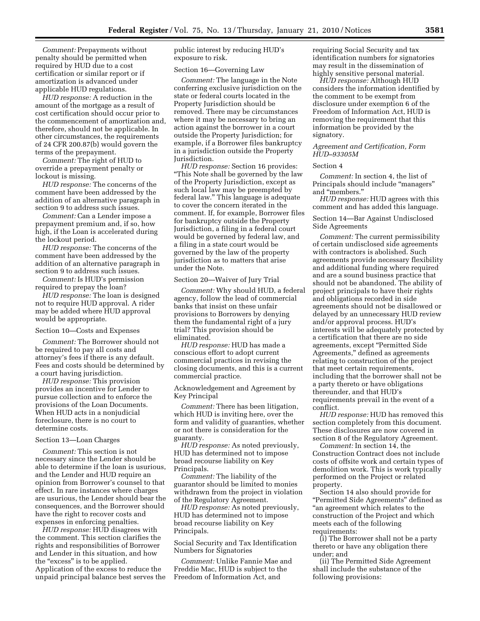*Comment:* Prepayments without penalty should be permitted when required by HUD due to a cost certification or similar report or if amortization is advanced under applicable HUD regulations.

*HUD response:* A reduction in the amount of the mortgage as a result of cost certification should occur prior to the commencement of amortization and, therefore, should not be applicable. In other circumstances, the requirements of 24 CFR 200.87(b) would govern the terms of the prepayment.

*Comment:* The right of HUD to override a prepayment penalty or lockout is missing.

*HUD response:* The concerns of the comment have been addressed by the addition of an alternative paragraph in section 9 to address such issues.

*Comment:* Can a Lender impose a prepayment premium and, if so, how high, if the Loan is accelerated during the lockout period.

*HUD response:* The concerns of the comment have been addressed by the addition of an alternative paragraph in section 9 to address such issues.

*Comment:* Is HUD's permission required to prepay the loan?

*HUD response:* The loan is designed not to require HUD approval. A rider may be added where HUD approval would be appropriate.

## Section 10—Costs and Expenses

*Comment:* The Borrower should not be required to pay all costs and attorney's fees if there is any default. Fees and costs should be determined by a court having jurisdiction.

*HUD response:* This provision provides an incentive for Lender to pursue collection and to enforce the provisions of the Loan Documents. When HUD acts in a nonjudicial foreclosure, there is no court to determine costs.

#### Section 13—Loan Charges

*Comment:* This section is not necessary since the Lender should be able to determine if the loan is usurious, and the Lender and HUD require an opinion from Borrower's counsel to that effect. In rare instances where charges are usurious, the Lender should bear the consequences, and the Borrower should have the right to recover costs and expenses in enforcing penalties.

*HUD response:* HUD disagrees with the comment. This section clarifies the rights and responsibilities of Borrower and Lender in this situation, and how the "excess" is to be applied. Application of the excess to reduce the unpaid principal balance best serves the public interest by reducing HUD's exposure to risk.

#### Section 16—Governing Law

*Comment:* The language in the Note conferring exclusive jurisdiction on the state or federal courts located in the Property Jurisdiction should be removed. There may be circumstances where it may be necessary to bring an action against the borrower in a court outside the Property Jurisdiction; for example, if a Borrower files bankruptcy in a jurisdiction outside the Property Jurisdiction.

*HUD response:* Section 16 provides: ''This Note shall be governed by the law of the Property Jurisdiction, except as such local law may be preempted by federal law.'' This language is adequate to cover the concern iterated in the comment. If, for example, Borrower files for bankruptcy outside the Property Jurisdiction, a filing in a federal court would be governed by federal law, and a filing in a state court would be governed by the law of the property jurisdiction as to matters that arise under the Note.

## Section 20—Waiver of Jury Trial

*Comment:* Why should HUD, a federal agency, follow the lead of commercial banks that insist on these unfair provisions to Borrowers by denying them the fundamental right of a jury trial? This provision should be eliminated.

*HUD response:* HUD has made a conscious effort to adopt current commercial practices in revising the closing documents, and this is a current commercial practice.

Acknowledgement and Agreement by Key Principal

*Comment:* There has been litigation, which HUD is inviting here, over the form and validity of guaranties, whether or not there is consideration for the guaranty.

*HUD response:* As noted previously, HUD has determined not to impose broad recourse liability on Key Principals.

*Comment:* The liability of the guarantor should be limited to monies withdrawn from the project in violation of the Regulatory Agreement.

*HUD response:* As noted previously, HUD has determined not to impose broad recourse liability on Key Principals.

Social Security and Tax Identification Numbers for Signatories

*Comment:* Unlike Fannie Mae and Freddie Mac, HUD is subject to the Freedom of Information Act, and

requiring Social Security and tax identification numbers for signatories may result in the dissemination of highly sensitive personal material.

*HUD response:* Although HUD considers the information identified by the comment to be exempt from disclosure under exemption 6 of the Freedom of Information Act, HUD is removing the requirement that this information be provided by the signatory.

*Agreement and Certification, Form HUD–93305M* 

#### Section 4

*Comment:* In section 4, the list of Principals should include "managers" and ''members.''

*HUD response:* HUD agrees with this comment and has added this language.

Section 14—Bar Against Undisclosed Side Agreements

*Comment:* The current permissibility of certain undisclosed side agreements with contractors is abolished. Such agreements provide necessary flexibility and additional funding where required and are a sound business practice that should not be abandoned. The ability of project principals to have their rights and obligations recorded in side agreements should not be disallowed or delayed by an unnecessary HUD review and/or approval process. HUD's interests will be adequately protected by a certification that there are no side agreements, except ''Permitted Side Agreements,'' defined as agreements relating to construction of the project that meet certain requirements, including that the borrower shall not be a party thereto or have obligations thereunder, and that HUD's requirements prevail in the event of a conflict.

*HUD response:* HUD has removed this section completely from this document. These disclosures are now covered in section 8 of the Regulatory Agreement.

*Comment:* In section 14, the Construction Contract does not include costs of offsite work and certain types of demolition work. This is work typically performed on the Project or related property.

Section 14 also should provide for ''Permitted Side Agreements'' defined as "an agreement which relates to the construction of the Project and which meets each of the following requirements:

(i) The Borrower shall not be a party thereto or have any obligation there under; and

(ii) The Permitted Side Agreement shall include the substance of the following provisions: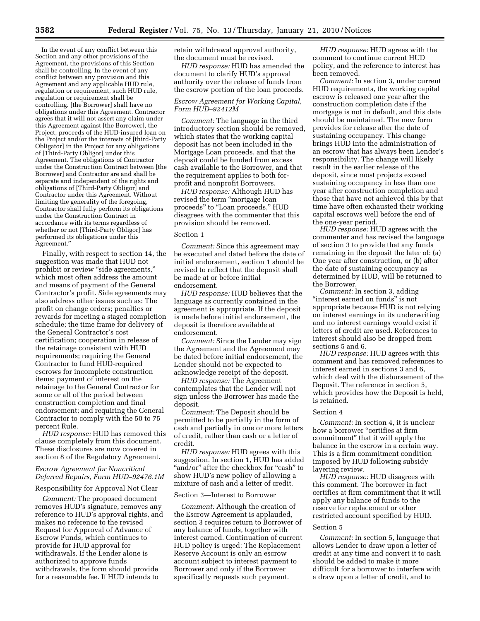In the event of any conflict between this Section and any other provisions of the Agreement, the provisions of this Section shall be controlling. In the event of any conflict between any provision and this Agreement and any applicable HUD rule, regulation or requirement, such HUD rule, regulation or requirement shall be controlling. [the Borrower] shall have no obligations under this Agreement. Contractor agrees that it will not assert any claim under this Agreement against [the Borrower], the Project, proceeds of the HUD-insured loan on the Project and/or the interests of [third-Party Obligator] in the Project for any obligations of [Third-Party Obligor] under this Agreement. The obligations of Contractor under the Construction Contract between [the Borrower] and Contractor are and shall be separate and independent of the rights and obligations of [Third-Party Obligor] and Contractor under this Agreement. Without limiting the generality of the foregoing, Contractor shall fully perform its obligations under the Construction Contract in accordance with its terms regardless of whether or not [Third-Party Obligor] has performed its obligations under this Agreement.''

Finally, with respect to section 14, the suggestion was made that HUD not prohibit or review "side agreements," which most often address the amount and means of payment of the General Contractor's profit. Side agreements may also address other issues such as: The profit on change orders; penalties or rewards for meeting a staged completion schedule; the time frame for delivery of the General Contractor's cost certification; cooperation in release of the retainage consistent with HUD requirements; requiring the General Contractor to fund HUD-required escrows for incomplete construction items; payment of interest on the retainage to the General Contractor for some or all of the period between construction completion and final endorsement; and requiring the General Contractor to comply with the 50 to 75 percent Rule.

*HUD response:* HUD has removed this clause completely from this document. These disclosures are now covered in section 8 of the Regulatory Agreement.

## *Escrow Agreement for Noncritical Deferred Repairs, Form HUD–92476.1M*

Responsibility for Approval Not Clear

*Comment:* The proposed document removes HUD's signature, removes any reference to HUD's approval rights, and makes no reference to the revised Request for Approval of Advance of Escrow Funds, which continues to provide for HUD approval for withdrawals. If the Lender alone is authorized to approve funds withdrawals, the form should provide for a reasonable fee. If HUD intends to

retain withdrawal approval authority, the document must be revised.

*HUD response:* HUD has amended the document to clarify HUD's approval authority over the release of funds from the escrow portion of the loan proceeds.

#### *Escrow Agreement for Working Capital, Form HUD–92412M*

*Comment:* The language in the third introductory section should be removed, which states that the working capital deposit has not been included in the Mortgage Loan proceeds, and that the deposit could be funded from excess cash available to the Borrower, and that the requirement applies to both forprofit and nonprofit Borrowers.

*HUD response:* Although HUD has revised the term "mortgage loan proceeds" to "Loan proceeds," HUD disagrees with the commenter that this provision should be removed.

## Section 1

*Comment:* Since this agreement may be executed and dated before the date of initial endorsement, section 1 should be revised to reflect that the deposit shall be made at or before initial endorsement.

*HUD response:* HUD believes that the language as currently contained in the agreement is appropriate. If the deposit is made before initial endorsement, the deposit is therefore available at endorsement.

*Comment:* Since the Lender may sign the Agreement and the Agreement may be dated before initial endorsement, the Lender should not be expected to acknowledge receipt of the deposit.

*HUD response:* The Agreement contemplates that the Lender will not sign unless the Borrower has made the deposit.

*Comment:* The Deposit should be permitted to be partially in the form of cash and partially in one or more letters of credit, rather than cash or a letter of credit.

*HUD response:* HUD agrees with this suggestion. In section 1, HUD has added ''and/or'' after the checkbox for ''cash'' to show HUD's new policy of allowing a mixture of cash and a letter of credit.

## Section 3—Interest to Borrower

*Comment:* Although the creation of the Escrow Agreement is applauded, section 3 requires return to Borrower of any balance of funds, together with interest earned. Continuation of current HUD policy is urged: The Replacement Reserve Account is only an escrow account subject to interest payment to Borrower and only if the Borrower specifically requests such payment.

*HUD response:* HUD agrees with the comment to continue current HUD policy, and the reference to interest has been removed.

*Comment:* In section 3, under current HUD requirements, the working capital escrow is released one year after the construction completion date if the mortgage is not in default, and this date should be maintained. The new form provides for release after the date of sustaining occupancy. This change brings HUD into the administration of an escrow that has always been Lender's responsibility. The change will likely result in the earlier release of the deposit, since most projects exceed sustaining occupancy in less than one year after construction completion and those that have not achieved this by that time have often exhausted their working capital escrows well before the end of the one-year period.

*HUD response:* HUD agrees with the commenter and has revised the language of section 3 to provide that any funds remaining in the deposit the later of: (a) One year after construction, or (b) after the date of sustaining occupancy as determined by HUD, will be returned to the Borrower.

*Comment:* In section 3, adding "interest earned on funds" is not appropriate because HUD is not relying on interest earnings in its underwriting and no interest earnings would exist if letters of credit are used. References to interest should also be dropped from sections 5 and 6.

*HUD response:* HUD agrees with this comment and has removed references to interest earned in sections 3 and 6, which deal with the disbursement of the Deposit. The reference in section 5, which provides how the Deposit is held, is retained.

## Section 4

*Comment:* In section 4, it is unclear how a borrower "certifies at firm commitment'' that it will apply the balance in the escrow in a certain way. This is a firm commitment condition imposed by HUD following subsidy layering review.

*HUD response:* HUD disagrees with this comment. The borrower in fact certifies at firm commitment that it will apply any balance of funds to the reserve for replacement or other restricted account specified by HUD.

#### Section 5

*Comment:* In section 5, language that allows Lender to draw upon a letter of credit at any time and convert it to cash should be added to make it more difficult for a borrower to interfere with a draw upon a letter of credit, and to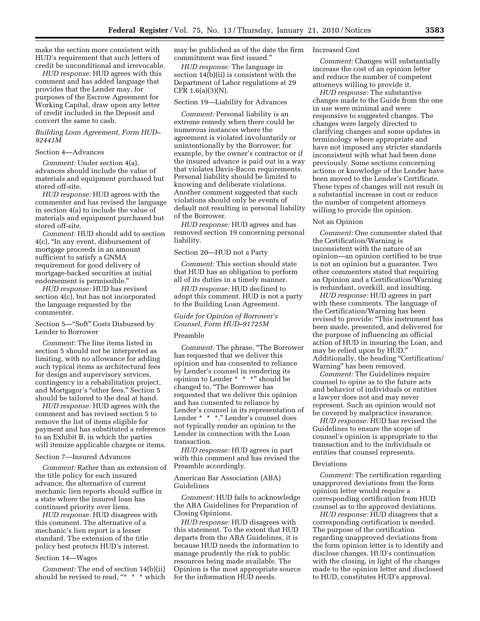make the section more consistent with HUD's requirement that such letters of credit be unconditional and irrevocable.

*HUD response:* HUD agrees with this comment and has added language that provides that the Lender may, for purposes of the Escrow Agreement for Working Capital, draw upon any letter of credit included in the Deposit and convert the same to cash.

## *Building Loan Agreement, Form HUD– 92441M*

## Section 4—Advances

*Comment:* Under section 4(a), advances should include the value of materials and equipment purchased but stored off-site.

*HUD response:* HUD agrees with the commenter and has revised the language in section 4(a) to include the value of materials and equipment purchased but stored off-site.

*Comment:* HUD should add to section 4(c), ''In any event, disbursement of mortgage proceeds in an amount sufficient to satisfy a GNMA requirement for good delivery of mortgage-backed securities at initial endorsement is permissible.''

*HUD response:* HUD has revised section 4(c), but has not incorporated the language requested by the commenter.

Section 5—''Soft'' Costs Disbursed by Lender to Borrower

*Comment:* The line items listed in section 5 should not be interpreted as limiting, with no allowance for adding such typical items as architectural fees for design and supervisory services, contingency in a rehabilitation project, and Mortgagor's ''other fees.'' Section 5 should be tailored to the deal at hand.

*HUD response:* HUD agrees with the comment and has revised section 5 to remove the list of items eligible for payment and has substituted a reference to an Exhibit B, in which the parties will itemize applicable charges or items.

## Section 7—Insured Advances

*Comment:* Rather than an extension of the title policy for each insured advance, the alternative of current mechanic lien reports should suffice in a state where the insured loan has continued priority over liens.

*HUD response:* HUD disagrees with this comment. The alternative of a mechanic's lien report is a lesser standard. The extension of the title policy best protects HUD's interest.

#### Section 14—Wages

*Comment:* The end of section 14(b)(ii) should be revised to read, "\* \* \* which may be published as of the date the firm commitment was first issued.''

*HUD response:* The language in section 14(b)(ii) is consistent with the Department of Labor regulations at 29 CFR 1.6(a)(3)(N).

## Section 19—Liability for Advances

*Comment:* Personal liability is an extreme remedy when there could be numerous instances where the agreement is violated involuntarily or unintentionally by the Borrower; for example, by the owner's contractor or if the insured advance is paid out in a way that violates Davis-Bacon requirements. Personal liability should be limited to knowing and deliberate violations. Another comment suggested that such violations should only be events of default not resulting in personal liability of the Borrower.

*HUD response:* HUD agrees and has removed section 19 concerning personal liability.

## Section 20—HUD not a Party

*Comment:* This section should state that HUD has an obligation to perform all of its duties in a timely manner.

*HUD response:* HUD declined to adopt this comment. HUD is not a party to the Building Loan Agreement.

*Guide for Opinion of Borrower's Counsel, Form HUD–91725M* 

## Preamble

*Comment:* The phrase, ''The Borrower has requested that we deliver this opinion and has consented to reliance by Lender's counsel in rendering its opinion to Lender \* \* \*'' should be changed to, ''The Borrower has requested that we deliver this opinion and has consented to reliance by Lender's counsel in its representation of Lender \* \* \*." Lender's counsel does not typically render an opinion to the Lender in connection with the Loan transaction.

*HUD response:* HUD agrees in part with this comment and has revised the Preamble accordingly.

American Bar Association (ABA) Guidelines

*Comment:* HUD fails to acknowledge the ABA Guidelines for Preparation of Closing Opinions.

*HUD response:* HUD disagrees with this statement. To the extent that HUD departs from the ABA Guidelines, it is because HUD needs the information to manage prudently the risk to public resources being made available. The Opinion is the most appropriate source for the information HUD needs.

#### Increased Cost

*Comment:* Changes will substantially increase the cost of an opinion letter and reduce the number of competent attorneys willing to provide it.

*HUD response:* The substantive changes made to the Guide from the one in use were minimal and were responsive to suggested changes. The changes were largely directed to clarifying changes and some updates in terminology where appropriate and have not imposed any stricter standards inconsistent with what had been done previously. Some sections concerning actions or knowledge of the Lender have been moved to the Lender's Certificate. These types of changes will not result in a substantial increase in cost or reduce the number of competent attorneys willing to provide the opinion.

#### Not an Opinion

*Comment:* One commenter stated that the Certification/Warning is inconsistent with the nature of an opinion—an opinion certified to be true is not an opinion but a guarantee. Two other commenters stated that requiring an Opinion and a Certification/Warning is redundant, overkill, and insulting.

*HUD response:* HUD agrees in part with these comments. The language of the Certification/Warning has been revised to provide: ''This instrument has been made, presented, and delivered for the purpose of influencing an official action of HUD in insuring the Loan, and may be relied upon by HUD.'' Additionally, the heading ''Certification/ Warning'' has been removed.

*Comment:* The Guidelines require counsel to opine as to the future acts and behavior of individuals or entities a lawyer does not and may never represent. Such an opinion would not be covered by malpractice insurance.

*HUD response:* HUD has revised the Guidelines to ensure the scope of counsel's opinion is appropriate to the transaction and to the individuals or entities that counsel represents.

#### Deviations

*Comment:* The certification regarding unapproved deviations from the form opinion letter would require a corresponding certification from HUD counsel as to the approved deviations.

*HUD response:* HUD disagrees that a corresponding certification is needed. The purpose of the certification regarding unapproved deviations from the form opinion letter is to identify and disclose changes. HUD's continuation with the closing, in light of the changes made to the opinion letter and disclosed to HUD, constitutes HUD's approval.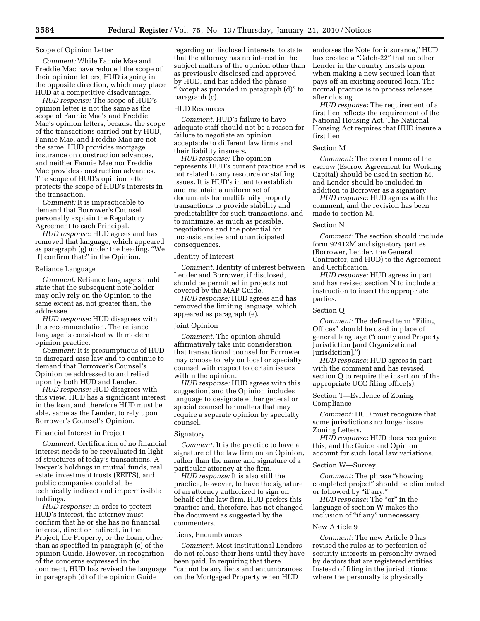## Scope of Opinion Letter

*Comment:* While Fannie Mae and Freddie Mac have reduced the scope of their opinion letters, HUD is going in the opposite direction, which may place HUD at a competitive disadvantage.

*HUD response:* The scope of HUD's opinion letter is not the same as the scope of Fannie Mae's and Freddie Mac's opinion letters, because the scope of the transactions carried out by HUD, Fannie Mae, and Freddie Mac are not the same. HUD provides mortgage insurance on construction advances, and neither Fannie Mae nor Freddie Mac provides construction advances. The scope of HUD's opinion letter protects the scope of HUD's interests in the transaction.

*Comment:* It is impracticable to demand that Borrower's Counsel personally explain the Regulatory Agreement to each Principal.

*HUD response:* HUD agrees and has removed that language, which appeared as paragraph (g) under the heading, ''We [I] confirm that:'' in the Opinion.

#### Reliance Language

*Comment:* Reliance language should state that the subsequent note holder may only rely on the Opinion to the same extent as, not greater than, the addressee.

*HUD response:* HUD disagrees with this recommendation. The reliance language is consistent with modern opinion practice.

*Comment:* It is presumptuous of HUD to disregard case law and to continue to demand that Borrower's Counsel's Opinion be addressed to and relied upon by both HUD and Lender.

*HUD response:* HUD disagrees with this view. HUD has a significant interest in the loan, and therefore HUD must be able, same as the Lender, to rely upon Borrower's Counsel's Opinion.

## Financial Interest in Project

*Comment:* Certification of no financial interest needs to be reevaluated in light of structures of today's transactions. A lawyer's holdings in mutual funds, real estate investment trusts (REITS), and public companies could all be technically indirect and impermissible holdings.

*HUD response:* In order to protect HUD's interest, the attorney must confirm that he or she has no financial interest, direct or indirect, in the Project, the Property, or the Loan, other than as specified in paragraph (c) of the opinion Guide. However, in recognition of the concerns expressed in the comment, HUD has revised the language in paragraph (d) of the opinion Guide

regarding undisclosed interests, to state that the attorney has no interest in the subject matters of the opinion other than as previously disclosed and approved by HUD, and has added the phrase ''Except as provided in paragraph (d)'' to paragraph (c).

#### HUD Resources

*Comment:* HUD's failure to have adequate staff should not be a reason for failure to negotiate an opinion acceptable to different law firms and their liability insurers.

*HUD response:* The opinion represents HUD's current practice and is not related to any resource or staffing issues. It is HUD's intent to establish and maintain a uniform set of documents for multifamily property transactions to provide stability and predictability for such transactions, and to minimize, as much as possible, negotiations and the potential for inconsistencies and unanticipated consequences.

## Identity of Interest

*Comment:* Identity of interest between Lender and Borrower, if disclosed, should be permitted in projects not covered by the MAP Guide.

*HUD response:* HUD agrees and has removed the limiting language, which appeared as paragraph (e).

#### Joint Opinion

*Comment:* The opinion should affirmatively take into consideration that transactional counsel for Borrower may choose to rely on local or specialty counsel with respect to certain issues within the opinion.

*HUD response:* HUD agrees with this suggestion, and the Opinion includes language to designate either general or special counsel for matters that may require a separate opinion by specialty counsel.

## Signatory

*Comment:* It is the practice to have a signature of the law firm on an Opinion, rather than the name and signature of a particular attorney at the firm.

*HUD response:* It is also still the practice, however, to have the signature of an attorney authorized to sign on behalf of the law firm. HUD prefers this practice and, therefore, has not changed the document as suggested by the commenters.

#### Liens, Encumbrances

*Comment:* Most institutional Lenders do not release their liens until they have been paid. In requiring that there ''cannot be any liens and encumbrances on the Mortgaged Property when HUD

endorses the Note for insurance,'' HUD has created a "Catch-22" that no other Lender in the country insists upon when making a new secured loan that pays off an existing secured loan. The normal practice is to process releases after closing.

*HUD response:* The requirement of a first lien reflects the requirement of the National Housing Act. The National Housing Act requires that HUD insure a first lien.

#### Section M

*Comment:* The correct name of the escrow (Escrow Agreement for Working Capital) should be used in section M, and Lender should be included in addition to Borrower as a signatory.

*HUD response:* HUD agrees with the comment, and the revision has been made to section M.

## Section N

*Comment:* The section should include form 92412M and signatory parties (Borrower, Lender, the General Contractor, and HUD) to the Agreement and Certification.

*HUD response:* HUD agrees in part and has revised section N to include an instruction to insert the appropriate parties.

#### Section Q

*Comment:* The defined term "Filing" Offices'' should be used in place of general language (''county and Property Jurisdiction [and Organizational Jurisdiction].'')

*HUD response:* HUD agrees in part with the comment and has revised section Q to require the insertion of the appropriate UCC filing office(s).

## Section T—Evidence of Zoning Compliance

*Comment:* HUD must recognize that some jurisdictions no longer issue Zoning Letters.

*HUD response:* HUD does recognize this, and the Guide and Opinion account for such local law variations.

#### Section W—Survey

*Comment:* The phrase ''showing completed project'' should be eliminated or followed by "if any."

*HUD response:* The "or" in the language of section W makes the inclusion of "if any" unnecessary.

#### New Article 9

*Comment:* The new Article 9 has revised the rules as to perfection of security interests in personalty owned by debtors that are registered entities. Instead of filing in the jurisdictions where the personalty is physically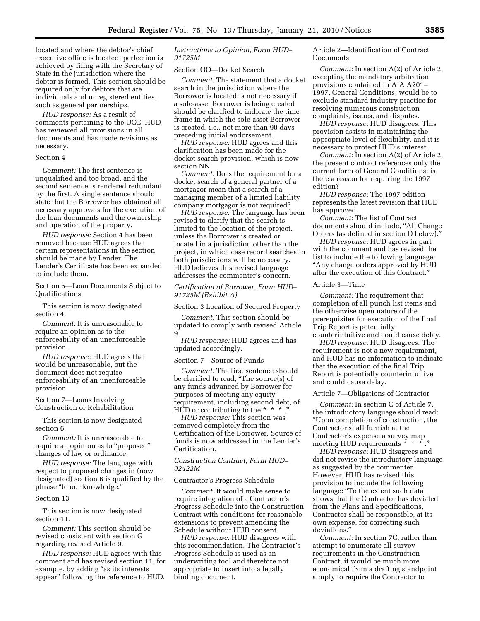located and where the debtor's chief executive office is located, perfection is achieved by filing with the Secretary of State in the jurisdiction where the debtor is formed. This section should be required only for debtors that are individuals and unregistered entities, such as general partnerships.

*HUD response:* As a result of comments pertaining to the UCC, HUD has reviewed all provisions in all documents and has made revisions as necessary.

#### Section 4

*Comment:* The first sentence is unqualified and too broad, and the second sentence is rendered redundant by the first. A single sentence should state that the Borrower has obtained all necessary approvals for the execution of the loan documents and the ownership and operation of the property.

*HUD response:* Section 4 has been removed because HUD agrees that certain representations in the section should be made by Lender. The Lender's Certificate has been expanded to include them.

Section 5—Loan Documents Subject to Qualifications

This section is now designated section 4.

*Comment:* It is unreasonable to require an opinion as to the enforceability of an unenforceable provision.

*HUD response:* HUD agrees that would be unreasonable, but the document does not require enforceability of an unenforceable provision.

Section 7—Loans Involving Construction or Rehabilitation

This section is now designated section 6.

*Comment:* It is unreasonable to require an opinion as to ''proposed'' changes of law or ordinance.

*HUD response:* The language with respect to proposed changes in (now designated) section 6 is qualified by the phrase ''to our knowledge.''

#### Section 13

This section is now designated section 11.

*Comment:* This section should be revised consistent with section G regarding revised Article 9.

*HUD response:* HUD agrees with this comment and has revised section 11, for example, by adding "as its interests appear'' following the reference to HUD.

## *Instructions to Opinion, Form HUD– 91725M*

## Section OO—Docket Search

*Comment:* The statement that a docket search in the jurisdiction where the Borrower is located is not necessary if a sole-asset Borrower is being created should be clarified to indicate the time frame in which the sole-asset Borrower is created, i.e., not more than 90 days preceding initial endorsement.

*HUD response:* HUD agrees and this clarification has been made for the docket search provision, which is now section NN.

*Comment:* Does the requirement for a docket search of a general partner of a mortgagor mean that a search of a managing member of a limited liability company mortgagor is not required?

*HUD response:* The language has been revised to clarify that the search is limited to the location of the project, unless the Borrower is created or located in a jurisdiction other than the project, in which case record searches in both jurisdictions will be necessary. HUD believes this revised language addresses the commenter's concern.

## *Certification of Borrower, Form HUD– 91725M (Exhibit A)*

Section 3 Location of Secured Property

*Comment:* This section should be updated to comply with revised Article 9.

*HUD response:* HUD agrees and has updated accordingly.

#### Section 7—Source of Funds

*Comment:* The first sentence should be clarified to read, ''The source(s) of any funds advanced by Borrower for purposes of meeting any equity requirement, including second debt, of HUD or contributing to the  $* * * "$ 

*HUD response:* This section was removed completely from the Certification of the Borrower. Source of funds is now addressed in the Lender's Certification.

#### *Construction Contract, Form HUD– 92422M*

## Contractor's Progress Schedule

*Comment:* It would make sense to require integration of a Contractor's Progress Schedule into the Construction Contract with conditions for reasonable extensions to prevent amending the Schedule without HUD consent.

*HUD response:* HUD disagrees with this recommendation. The Contractor's Progress Schedule is used as an underwriting tool and therefore not appropriate to insert into a legally binding document.

Article 2—Identification of Contract Documents

*Comment:* In section A(2) of Article 2, excepting the mandatory arbitration provisions contained in AIA A201– 1997, General Conditions, would be to exclude standard industry practice for resolving numerous construction complaints, issues, and disputes.

*HUD response:* HUD disagrees. This provision assists in maintaining the appropriate level of flexibility, and it is necessary to protect HUD's interest.

*Comment:* In section A(2) of Article 2, the present contract references only the current form of General Conditions; is there a reason for requiring the 1997 edition?

*HUD response:* The 1997 edition represents the latest revision that HUD has approved.

*Comment:* The list of Contract documents should include, ''All Change Orders (as defined in section D below).''

*HUD response:* HUD agrees in part with the comment and has revised the list to include the following language: ''Any change orders approved by HUD after the execution of this Contract.''

## Article 3—Time

*Comment:* The requirement that completion of all punch list items and the otherwise open nature of the prerequisites for execution of the final Trip Report is potentially counterintuitive and could cause delay.

*HUD response:* HUD disagrees. The requirement is not a new requirement, and HUD has no information to indicate that the execution of the final Trip Report is potentially counterintuitive and could cause delay.

## Article 7—Obligations of Contractor

*Comment:* In section C of Article 7, the introductory language should read: ''Upon completion of construction, the Contractor shall furnish at the Contractor's expense a survey map meeting HUD requirements  $* * * *$ ."

*HUD response:* HUD disagrees and did not revise the introductory language as suggested by the commenter. However, HUD has revised this provision to include the following language: "To the extent such data shows that the Contractor has deviated from the Plans and Specifications, Contractor shall be responsible, at its own expense, for correcting such deviations.''

*Comment:* In section 7C, rather than attempt to enumerate all survey requirements in the Construction Contract, it would be much more economical from a drafting standpoint simply to require the Contractor to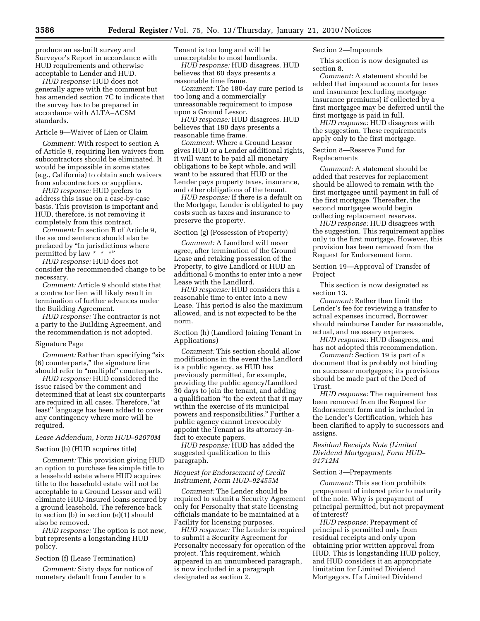produce an as-built survey and Surveyor's Report in accordance with HUD requirements and otherwise acceptable to Lender and HUD.

*HUD response:* HUD does not generally agree with the comment but has amended section 7C to indicate that the survey has to be prepared in accordance with ALTA–ACSM standards.

## Article 9—Waiver of Lien or Claim

*Comment:* With respect to section A of Article 9, requiring lien waivers from subcontractors should be eliminated. It would be impossible in some states (e.g., California) to obtain such waivers from subcontractors or suppliers.

*HUD response:* HUD prefers to address this issue on a case-by-case basis. This provision is important and HUD, therefore, is not removing it completely from this contract.

*Comment:* In section B of Article 9, the second sentence should also be prefaced by ''In jurisdictions where permitted by law \* \* \*"

*HUD response:* HUD does not consider the recommended change to be necessary.

*Comment:* Article 9 should state that a contractor lien will likely result in termination of further advances under the Building Agreement.

*HUD response:* The contractor is not a party to the Building Agreement, and the recommendation is not adopted.

## Signature Page

*Comment:* Rather than specifying "six" (6) counterparts,'' the signature line should refer to "multiple" counterparts.

*HUD response:* HUD considered the issue raised by the comment and determined that at least six counterparts are required in all cases. Therefore, "at least'' language has been added to cover any contingency where more will be required.

## *Lease Addendum, Form HUD–92070M*

#### Section (b) (HUD acquires title)

*Comment:* This provision giving HUD an option to purchase fee simple title to a leasehold estate where HUD acquires title to the leasehold estate will not be acceptable to a Ground Lessor and will eliminate HUD-insured loans secured by a ground leasehold. The reference back to section (b) in section (e)(1) should also be removed.

*HUD response:* The option is not new, but represents a longstanding HUD policy.

#### Section (f) (Lease Termination)

*Comment:* Sixty days for notice of monetary default from Lender to a

Tenant is too long and will be unacceptable to most landlords.

*HUD response:* HUD disagrees. HUD believes that 60 days presents a reasonable time frame.

*Comment:* The 180-day cure period is too long and a commercially unreasonable requirement to impose upon a Ground Lessor.

*HUD response:* HUD disagrees. HUD believes that 180 days presents a reasonable time frame.

*Comment:* Where a Ground Lessor gives HUD or a Lender additional rights, it will want to be paid all monetary obligations to be kept whole, and will want to be assured that HUD or the Lender pays property taxes, insurance, and other obligations of the tenant.

*HUD response:* If there is a default on the Mortgage, Lender is obligated to pay costs such as taxes and insurance to preserve the property.

## Section (g) (Possession of Property)

*Comment:* A Landlord will never agree, after termination of the Ground Lease and retaking possession of the Property, to give Landlord or HUD an additional 6 months to enter into a new Lease with the Landlord.

*HUD response:* HUD considers this a reasonable time to enter into a new Lease. This period is also the maximum allowed, and is not expected to be the norm.

Section (h) (Landlord Joining Tenant in Applications)

*Comment:* This section should allow modifications in the event the Landlord is a public agency, as HUD has previously permitted, for example, providing the public agency/Landlord 30 days to join the tenant, and adding a qualification ''to the extent that it may within the exercise of its municipal powers and responsibilities.'' Further a public agency cannot irrevocably appoint the Tenant as its attorney-infact to execute papers.

*HUD response:* HUD has added the suggested qualification to this paragraph.

#### *Request for Endorsement of Credit Instrument, Form HUD–92455M*

*Comment:* The Lender should be required to submit a Security Agreement only for Personalty that state licensing officials mandate to be maintained at a Facility for licensing purposes.

*HUD response:* The Lender is required to submit a Security Agreement for Personalty necessary for operation of the project. This requirement, which appeared in an unnumbered paragraph, is now included in a paragraph designated as section 2.

## Section 2—Impounds

This section is now designated as section 8.

*Comment:* A statement should be added that impound accounts for taxes and insurance (excluding mortgage insurance premiums) if collected by a first mortgagee may be deferred until the first mortgage is paid in full.

*HUD response:* HUD disagrees with the suggestion. These requirements apply only to the first mortgage.

## Section 8—Reserve Fund for Replacements

*Comment:* A statement should be added that reserves for replacement should be allowed to remain with the first mortgagee until payment in full of the first mortgage. Thereafter, the second mortgagee would begin collecting replacement reserves.

*HUD response:* HUD disagrees with the suggestion. This requirement applies only to the first mortgage. However, this provision has been removed from the Request for Endorsement form.

Section 19—Approval of Transfer of Project

This section is now designated as section 13.

*Comment:* Rather than limit the Lender's fee for reviewing a transfer to actual expenses incurred, Borrower should reimburse Lender for reasonable, actual, and necessary expenses.

*HUD response:* HUD disagrees, and has not adopted this recommendation.

*Comment:* Section 19 is part of a document that is probably not binding on successor mortgagees; its provisions should be made part of the Deed of Trust.

*HUD response:* The requirement has been removed from the Request for Endorsement form and is included in the Lender's Certification, which has been clarified to apply to successors and assigns.

## *Residual Receipts Note (Limited Dividend Mortgagors), Form HUD– 91712M*

## Section 3—Prepayments

*Comment:* This section prohibits prepayment of interest prior to maturity of the note. Why is prepayment of principal permitted, but not prepayment of interest?

*HUD response:* Prepayment of principal is permitted only from residual receipts and only upon obtaining prior written approval from HUD. This is longstanding HUD policy, and HUD considers it an appropriate limitation for Limited Dividend Mortgagors. If a Limited Dividend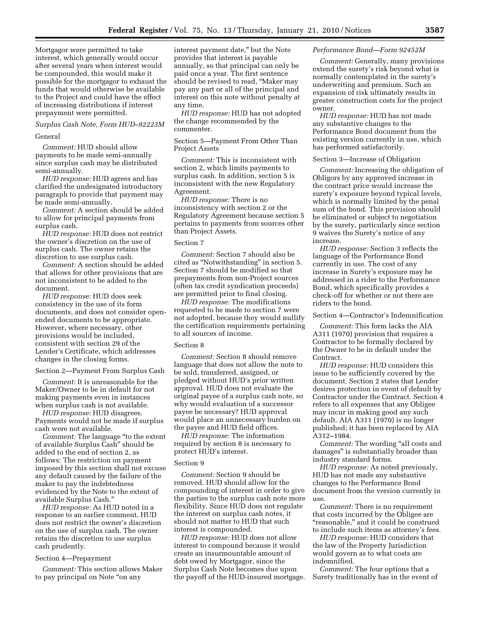Mortgagor were permitted to take interest, which generally would occur after several years when interest would be compounded, this would make it possible for the mortgagor to exhaust the funds that would otherwise be available to the Project and could have the effect of increasing distributions if interest prepayment were permitted.

## *Surplus Cash Note, Form HUD–92223M*

## General

*Comment:* HUD should allow payments to be made semi-annually since surplus cash may be distributed semi-annually.

*HUD response:* HUD agrees and has clarified the undesignated introductory paragraph to provide that payment may be made semi-annually.

*Comment:* A section should be added to allow for principal payments from surplus cash.

*HUD response:* HUD does not restrict the owner's discretion on the use of surplus cash. The owner retains the discretion to use surplus cash.

*Comment:* A section should be added that allows for other provisions that are not inconsistent to be added to the document.

*HUD response:* HUD does seek consistency in the use of its form documents, and does not consider openended documents to be appropriate. However, where necessary, other provisions would be included, consistent with section 29 of the Lender's Certificate, which addresses changes in the closing forms.

Section 2—Payment From Surplus Cash

*Comment:* It is unreasonable for the Maker/Owner to be in default for not making payments even in instances when surplus cash is not available.

*HUD response:* HUD disagrees. Payments would not be made if surplus cash were not available.

*Comment:* The language ''to the extent of available Surplus Cash'' should be added to the end of section 2, as follows: The restriction on payment imposed by this section shall not excuse any default caused by the failure of the maker to pay the indebtedness evidenced by the Note to the extent of available Surplus Cash.''

*HUD response:* As HUD noted in a response to an earlier comment, HUD does not restrict the owner's discretion on the use of surplus cash. The owner retains the discretion to use surplus cash prudently.

#### Section 4—Prepayment

*Comment:* This section allows Maker to pay principal on Note "on any

interest payment date,'' but the Note provides that interest is payable annually, so that principal can only be paid once a year. The first sentence should be revised to read, ''Maker may pay any part or all of the principal and interest on this note without penalty at any time.

*HUD response:* HUD has not adopted the change recommended by the commenter.

Section 5—Payment From Other Than Project Assets

*Comment:* This is inconsistent with section 2, which limits payments to surplus cash. In addition, section 5 is inconsistent with the new Regulatory Agreement.

*HUD response:* There is no inconsistency with section 2 or the Regulatory Agreement because section 5 pertains to payments from sources other than Project Assets.

#### Section 7

*Comment:* Section 7 should also be cited as ''Notwithstanding'' in section 5. Section 7 should be modified so that prepayments from non-Project sources (often tax credit syndication proceeds) are permitted prior to final closing.

*HUD response:* The modifications requested to be made to section 7 were not adopted, because they would nullify the certification requirements pertaining to all sources of income.

## Section 8

*Comment:* Section 8 should remove language that does not allow the note to be sold, transferred, assigned, or pledged without HUD's prior written approval. HUD does not evaluate the original payee of a surplus cash note, so why would evaluation of a successor payee be necessary? HUD approval would place an unnecessary burden on the payee and HUD field offices.

*HUD response:* The information required by section 8 is necessary to protect HUD's interest.

#### Section 9

*Comment:* Section 9 should be removed. HUD should allow for the compounding of interest in order to give the parties to the surplus cash note more flexibility. Since HUD does not regulate the interest on surplus cash notes, it should not matter to HUD that such interest is compounded.

*HUD response:* HUD does not allow interest to compound because it would create an insurmountable amount of debt owed by Mortgagor, since the Surplus Cash Note becomes due upon the payoff of the HUD-insured mortgage.

#### *Performance Bond—Form 92452M*

*Comment:* Generally, many provisions extend the surety's risk beyond what is normally contemplated in the surety's underwriting and premium. Such an expansion of risk ultimately results in greater construction costs for the project owner.

*HUD response:* HUD has not made any substantive changes to the Performance Bond document from the existing version currently in use, which has performed satisfactorily.

#### Section 3—Increase of Obligation

*Comment:* Increasing the obligation of Obligors by any approved increase in the contract price would increase the surety's exposure beyond typical levels, which is normally limited by the penal sum of the bond. This provision should be eliminated or subject to negotiation by the surety, particularly since section 9 waives the Surety's notice of any increase.

*HUD response:* Section 3 reflects the language of the Performance Bond currently in use. The cost of any increase in Surety's exposure may be addressed in a rider to the Performance Bond, which specifically provides a check-off for whether or not there are riders to the bond.

Section 4—Contractor's Indemnification

*Comment:* This form lacks the AIA A311 (1970) provision that requires a Contractor to be formally declared by the Owner to be in default under the Contract.

*HUD response:* HUD considers this issue to be sufficiently covered by the document. Section 2 states that Lender desires protection in event of default by Contractor under the Contract. Section 4 refers to all expenses that any Obligee may incur in making good any such default. AIA A311 (1970) is no longer published; it has been replaced by AIA A312–1984.

*Comment:* The wording "all costs and damages'' is substantially broader than industry standard forms.

*HUD response:* As noted previously, HUD has not made any substantive changes to the Performance Bond document from the version currently in use.

*Comment:* There is no requirement that costs incurred by the Obligee are ''reasonable,'' and it could be construed to include such items as attorney's fees.

*HUD response:* HUD considers that the law of the Property Jurisdiction would govern as to what costs are indemnified.

*Comment:* The four options that a Surety traditionally has in the event of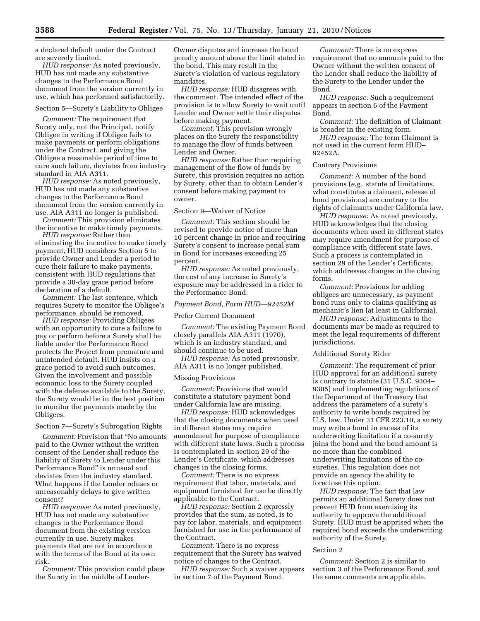a declared default under the Contract are severely limited.

*HUD response:* As noted previously, HUD has not made any substantive changes to the Performance Bond document from the version currently in use, which has performed satisfactorily.

Section 5—Surety's Liability to Obligee

*Comment:* The requirement that Surety only, not the Principal, notify Obligee in writing if Obligee fails to make payments or perform obligations under the Contract, and giving the Obligee a reasonable period of time to cure such failure, deviates from industry standard in AIA A311.

*HUD response:* As noted previously, HUD has not made any substantive changes to the Performance Bond document from the version currently in use. AIA A311 no longer is published.

*Comment:* This provision eliminates the incentive to make timely payments.

*HUD response:* Rather than eliminating the incentive to make timely payment, HUD considers Section 5 to provide Owner and Lender a period to cure their failure to make payments, consistent with HUD regulations that provide a 30-day grace period before declaration of a default.

*Comment:* The last sentence, which requires Surety to monitor the Obligee's performance, should be removed.

*HUD response:* Providing Obligees with an opportunity to cure a failure to pay or perform before a Surety shall be liable under the Performance Bond protects the Project from premature and unintended default. HUD insists on a grace period to avoid such outcomes. Given the involvement and possible economic loss to the Surety coupled with the defense available to the Surety, the Surety would be in the best position to monitor the payments made by the Obligees.

## Section 7—Surety's Subrogation Rights

*Comment:* Provision that ''No amounts paid to the Owner without the written consent of the Lender shall reduce the liability of Surety to Lender under this Performance Bond'' is unusual and deviates from the industry standard. What happens if the Lender refuses or unreasonably delays to give written consent?

*HUD response:* As noted previously, HUD has not made any substantive changes to the Performance Bond document from the existing version currently in use. Surety makes payments that are not in accordance with the terms of the Bond at its own risk.

*Comment:* This provision could place the Surety in the middle of LenderOwner disputes and increase the bond penalty amount above the limit stated in the bond. This may result in the Surety's violation of various regulatory mandates.

*HUD response:* HUD disagrees with the comment. The intended effect of the provision is to allow Surety to wait until Lender and Owner settle their disputes before making payment.

*Comment:* This provision wrongly places on the Surety the responsibility to manage the flow of funds between Lender and Owner.

*HUD response:* Rather than requiring management of the flow of funds by Surety, this provision requires no action by Surety, other than to obtain Lender's consent before making payment to owner.

## Section 9—Waiver of Notice

*Comment:* This section should be revised to provide notice of more than 10 percent change in price and requiring Surety's consent to increase penal sum in Bond for increases exceeding 25 percent.

*HUD response:* As noted previously, the cost of any increase in Surety's exposure may be addressed in a rider to the Performance Bond.

#### *Payment Bond, Form HUD—92452M*

#### Prefer Current Document

*Comment:* The existing Payment Bond closely parallels AIA A311 (1970), which is an industry standard, and should continue to be used.

*HUD response:* As noted previously, AIA A311 is no longer published.

#### Missing Provisions

*Comment:* Provisions that would constitute a statutory payment bond under California law are missing.

*HUD response:* HUD acknowledges that the closing documents when used in different states may require amendment for purpose of compliance with different state laws. Such a process is contemplated in section 29 of the Lender's Certificate, which addresses changes in the closing forms.

*Comment:* There is no express requirement that labor, materials, and equipment furnished for use be directly applicable to the Contract.

*HUD response:* Section 2 expressly provides that the sum, as noted, is to pay for labor, materials, and equipment furnished for use in the performance of the Contract.

*Comment:* There is no express requirement that the Surety has waived notice of changes to the Contract.

*HUD response:* Such a waiver appears in section 7 of the Payment Bond.

*Comment:* There is no express requirement that no amounts paid to the Owner without the written consent of the Lender shall reduce the liability of the Surety to the Lender under the Bond.

*HUD response:* Such a requirement appears in section 6 of the Payment Bond.

*Comment:* The definition of Claimant is broader in the existing form.

*HUD response:* The term Claimant is not used in the current form HUD– 92452A.

Contrary Provisions

*Comment:* A number of the bond provisions (*e.g.,* statute of limitations, what constitutes a claimant, release of bond provisions) are contrary to the rights of claimants under California law.

*HUD response:* As noted previously, HUD acknowledges that the closing documents when used in different states may require amendment for purpose of compliance with different state laws. Such a process is contemplated in section 29 of the Lender's Certificate, which addresses changes in the closing forms.

*Comment:* Provisions for adding obligees are unnecessary, as payment bond runs only to claims qualifying as mechanic's lien (at least in California).

*HUD response:* Adjustments to the documents may be made as required to meet the legal requirements of different jurisdictions.

## Additional Surety Rider

*Comment:* The requirement of prior HUD approval for an additional surety is contrary to statute (31 U.S.C. 9304– 9305) and implementing regulations of the Department of the Treasury that address the parameters of a surety's authority to write bonds required by U.S. law. Under 31 CFR 223.10, a surety may write a bond in excess of its underwriting limitation if a co-surety joins the bond and the bond amount is no more than the combined underwriting limitations of the cosureties. This regulation does not provide an agency the ability to foreclose this option.

*HUD response:* The fact that law permits an additional Surety does not prevent HUD from exercising its authority to approve the additional Surety. HUD must be apprised when the required bond exceeds the underwriting authority of the Surety.

#### Section 2

*Comment:* Section 2 is similar to section 3 of the Performance Bond, and the same comments are applicable.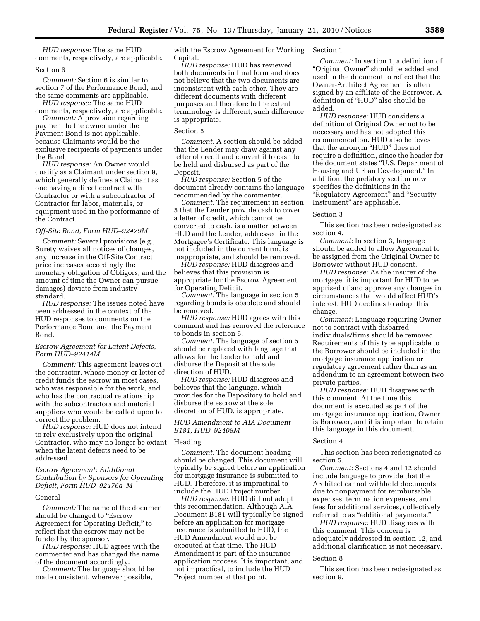*HUD response:* The same HUD comments, respectively, are applicable.

#### Section 6

*Comment:* Section 6 is similar to section 7 of the Performance Bond, and the same comments are applicable.

*HUD response:* The same HUD comments, respectively, are applicable.

*Comment:* A provision regarding payment to the owner under the Payment Bond is not applicable, because Claimants would be the exclusive recipients of payments under the Bond.

*HUD response:* An Owner would qualify as a Claimant under section 9, which generally defines a Claimant as one having a direct contract with Contractor or with a subcontractor of Contractor for labor, materials, or equipment used in the performance of the Contract.

## *Off-Site Bond, Form HUD–92479M*

*Comment:* Several provisions (e.g., Surety waives all notices of changes, any increase in the Off-Site Contract price increases accordingly the monetary obligation of Obligors, and the amount of time the Owner can pursue damages) deviate from industry standard.

*HUD response:* The issues noted have been addressed in the context of the HUD responses to comments on the Performance Bond and the Payment Bond.

## *Escrow Agreement for Latent Defects, Form HUD–92414M*

*Comment:* This agreement leaves out the contractor, whose money or letter of credit funds the escrow in most cases, who was responsible for the work, and who has the contractual relationship with the subcontractors and material suppliers who would be called upon to correct the problem.

*HUD response:* HUD does not intend to rely exclusively upon the original Contractor, who may no longer be extant when the latent defects need to be addressed.

## *Escrow Agreement: Additional Contribution by Sponsors for Operating Deficit, Form HUD–92476a–M*

#### General

*Comment:* The name of the document should be changed to "Escrow Agreement for Operating Deficit,'' to reflect that the escrow may not be funded by the sponsor.

*HUD response:* HUD agrees with the commenter and has changed the name of the document accordingly.

*Comment:* The language should be made consistent, wherever possible,

with the Escrow Agreement for Working Capital.

*HUD response:* HUD has reviewed both documents in final form and does not believe that the two documents are inconsistent with each other. They are different documents with different purposes and therefore to the extent terminology is different, such difference is appropriate.

## Section 5

*Comment:* A section should be added that the Lender may draw against any letter of credit and convert it to cash to be held and disbursed as part of the Deposit.

*HUD response:* Section 5 of the document already contains the language recommended by the commenter.

*Comment:* The requirement in section 5 that the Lender provide cash to cover a letter of credit, which cannot be converted to cash, is a matter between HUD and the Lender, addressed in the Mortgagee's Certificate. This language is not included in the current form, is inappropriate, and should be removed.

*HUD response:* HUD disagrees and believes that this provision is appropriate for the Escrow Agreement for Operating Deficit.

*Comment:* The language in section 5 regarding bonds is obsolete and should be removed.

*HUD response:* HUD agrees with this comment and has removed the reference to bonds in section 5.

*Comment:* The language of section 5 should be replaced with language that allows for the lender to hold and disburse the Deposit at the sole direction of HUD.

*HUD response:* HUD disagrees and believes that the language, which provides for the Depository to hold and disburse the escrow at the sole discretion of HUD, is appropriate.

## *HUD Amendment to AIA Document B181, HUD–92408M*

#### Heading

*Comment:* The document heading should be changed. This document will typically be signed before an application for mortgage insurance is submitted to HUD. Therefore, it is impractical to include the HUD Project number.

*HUD response:* HUD did not adopt this recommendation. Although AIA Document B181 will typically be signed before an application for mortgage insurance is submitted to HUD, the HUD Amendment would not be executed at that time. The HUD Amendment is part of the insurance application process. It is important, and not impractical, to include the HUD Project number at that point.

#### Section 1

*Comment:* In section 1, a definition of "Original Owner" should be added and used in the document to reflect that the Owner-Architect Agreement is often signed by an affiliate of the Borrower. A definition of ''HUD'' also should be added.

*HUD response:* HUD considers a definition of Original Owner not to be necessary and has not adopted this recommendation. HUD also believes that the acronym "HUD" does not require a definition, since the header for the document states ''U.S. Department of Housing and Urban Development.'' In addition, the prefatory section now specifies the definitions in the ''Regulatory Agreement'' and ''Security Instrument'' are applicable.

## Section 3

This section has been redesignated as section 4.

*Comment:* In section 3, language should be added to allow Agreement to be assigned from the Original Owner to Borrower without HUD consent.

*HUD response:* As the insurer of the mortgage, it is important for HUD to be apprised of and approve any changes in circumstances that would affect HUD's interest. HUD declines to adopt this change.

*Comment:* Language requiring Owner not to contract with disbarred individuals/firms should be removed. Requirements of this type applicable to the Borrower should be included in the mortgage insurance application or regulatory agreement rather than as an addendum to an agreement between two private parties.

*HUD response:* HUD disagrees with this comment. At the time this document is executed as part of the mortgage insurance application, Owner is Borrower, and it is important to retain this language in this document.

## Section 4

This section has been redesignated as section 5.

*Comment:* Sections 4 and 12 should include language to provide that the Architect cannot withhold documents due to nonpayment for reimbursable expenses, termination expenses, and fees for additional services, collectively referred to as "additional payments."

*HUD response:* HUD disagrees with this comment. This concern is adequately addressed in section 12, and additional clarification is not necessary.

#### Section 8

This section has been redesignated as section 9.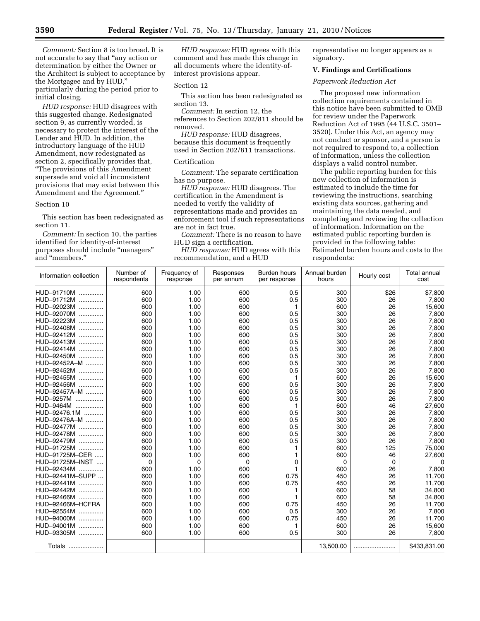*Comment:* Section 8 is too broad. It is not accurate to say that ''any action or determination by either the Owner or the Architect is subject to acceptance by the Mortgagee and by HUD,'' particularly during the period prior to initial closing.

*HUD response:* HUD disagrees with this suggested change. Redesignated section 9, as currently worded, is necessary to protect the interest of the Lender and HUD. In addition, the introductory language of the HUD Amendment, now redesignated as section 2, specifically provides that, ''The provisions of this Amendment supersede and void all inconsistent provisions that may exist between this Amendment and the Agreement.''

#### Section 10

This section has been redesignated as section 11.

*Comment:* In section 10, the parties identified for identity-of-interest purposes should include "managers" and ''members.''

*HUD response:* HUD agrees with this comment and has made this change in all documents where the identity-ofinterest provisions appear.

## Section 12

This section has been redesignated as section 13.

*Comment:* In section 12, the references to Section 202/811 should be removed.

*HUD response:* HUD disagrees, because this document is frequently used in Section 202/811 transactions.

## Certification

*Comment:* The separate certification has no purpose.

*HUD response:* HUD disagrees. The certification in the Amendment is needed to verify the validity of representations made and provides an enforcement tool if such representations are not in fact true.

*Comment:* There is no reason to have HUD sign a certification.

*HUD response:* HUD agrees with this recommendation, and a HUD

representative no longer appears as a signatory.

## **V. Findings and Certifications**

## *Paperwork Reduction Act*

The proposed new information collection requirements contained in this notice have been submitted to OMB for review under the Paperwork Reduction Act of 1995 (44 U.S.C. 3501– 3520). Under this Act, an agency may not conduct or sponsor, and a person is not required to respond to, a collection of information, unless the collection displays a valid control number.

The public reporting burden for this new collection of information is estimated to include the time for reviewing the instructions, searching existing data sources, gathering and maintaining the data needed, and completing and reviewing the collection of information. Information on the estimated public reporting burden is provided in the following table: Estimated burden hours and costs to the respondents:

| Information collection | Number of<br>respondents | Frequency of<br>response | Responses<br>per annum | Burden hours<br>per response | Annual burden<br>hours | Hourly cost | <b>Total annual</b><br>cost |
|------------------------|--------------------------|--------------------------|------------------------|------------------------------|------------------------|-------------|-----------------------------|
| HUD-91710M             | 600                      | 1.00                     | 600                    | 0.5                          | 300                    | \$26        | \$7,800                     |
| HUD-91712M<br>.        | 600                      | 1.00                     | 600                    | 0.5                          | 300                    | 26          | 7,800                       |
| HUD-92023M<br>.        | 600                      | 1.00                     | 600                    | 1                            | 600                    | 26          | 15,600                      |
| HUD-92070M<br>.        | 600                      | 1.00                     | 600                    | 0.5                          | 300                    | 26          | 7,800                       |
| HUD-92223M<br>.        | 600                      | 1.00                     | 600                    | 0.5                          | 300                    | 26          | 7,800                       |
| HUD-92408M             | 600                      | 1.00                     | 600                    | 0.5                          | 300                    | 26          | 7,800                       |
| HUD-92412M             | 600                      | 1.00                     | 600                    | 0.5                          | 300                    | 26          | 7,800                       |
| HUD-92413M             | 600                      | 1.00                     | 600                    | 0.5                          | 300                    | 26          | 7,800                       |
| HUD-92414M             | 600                      | 1.00                     | 600                    | 0.5                          | 300                    | 26          | 7,800                       |
| HUD-92450M             | 600                      | 1.00                     | 600                    | 0.5                          | 300                    | 26          | 7,800                       |
| HUD-92452A-M           | 600                      | 1.00                     | 600                    | 0.5                          | 300                    | 26          | 7,800                       |
| HUD-92452M<br>.        | 600                      | 1.00                     | 600                    | 0.5                          | 300                    | 26          | 7,800                       |
| HUD-92455M             | 600                      | 1.00                     | 600                    | 1                            | 600                    | 26          | 15,600                      |
| HUD-92456M             | 600                      | 1.00                     | 600                    | 0.5                          | 300                    | 26          | 7,800                       |
| HUD-92457A-M           | 600                      | 1.00                     | 600                    | 0.5                          | 300                    | 26          | 7,800                       |
| <b>HUD-9257M</b><br>.  | 600                      | 1.00                     | 600                    | 0.5                          | 300                    | 26          | 7,800                       |
| <b>HUD-9464M</b><br>.  | 600                      | 1.00                     | 600                    | 1                            | 600                    | 46          | 27,600                      |
| HUD-92476.1M           | 600                      | 1.00                     | 600                    | 0.5                          | 300                    | 26          | 7,800                       |
| HUD-92476A-M           | 600                      | 1.00                     | 600                    | 0.5                          | 300                    | 26          | 7,800                       |
| HUD-92477M             | 600                      | 1.00                     | 600                    | 0.5                          | 300                    | 26          | 7,800                       |
| HUD-92478M             | 600                      | 1.00                     | 600                    | 0.5                          | 300                    | 26          | 7,800                       |
| HUD-92479M             | 600                      | 1.00                     | 600                    | 0.5                          | 300                    | 26          | 7,800                       |
| HUD-91725M             | 600                      | 1.00                     | 600                    |                              | 600                    | 125         | 75,000                      |
| HUD-91725M-CER         | 600                      | 1.00                     | 600                    | 1                            | 600                    | 46          | 27,600                      |
| HUD-91725M-INST        | 0                        | 0                        | 0                      | 0                            | 0                      | 0           | $\Omega$                    |
| HUD-92434M             | 600                      | 1.00                     | 600                    | 1                            | 600                    | 26          | 7,800                       |
| HUD-92441M-SUPP        | 600                      | 1.00                     | 600                    | 0.75                         | 450                    | 26          | 11,700                      |
| HUD-92441M             | 600                      | 1.00                     | 600                    | 0.75                         | 450                    | 26          | 11,700                      |
| HUD-92442M             | 600                      | 1.00                     | 600                    |                              | 600                    | 58          | 34,800                      |
| HUD-92466M<br>.        | 600                      | 1.00                     | 600                    |                              | 600                    | 58          | 34,800                      |
| HUD-92466M-HCFRA       | 600                      | 1.00                     | 600                    | 0.75                         | 450                    | 26          | 11,700                      |
| HUD-92554M             | 600                      | 1.00                     | 600                    | 0.5                          | 300                    | 26          | 7,800                       |
| HUD-94000M             | 600                      | 1.00                     | 600                    | 0.75                         | 450                    | 26          | 11,700                      |
| HUD-94001M             | 600                      | 1.00                     | 600                    | 1                            | 600                    | 26          | 15,600                      |
| HUD-93305M             | 600                      | 1.00                     | 600                    | 0.5                          | 300                    | 26          | 7,800                       |
| Totals                 |                          |                          |                        |                              | 13,500.00              |             | \$433,831.00                |